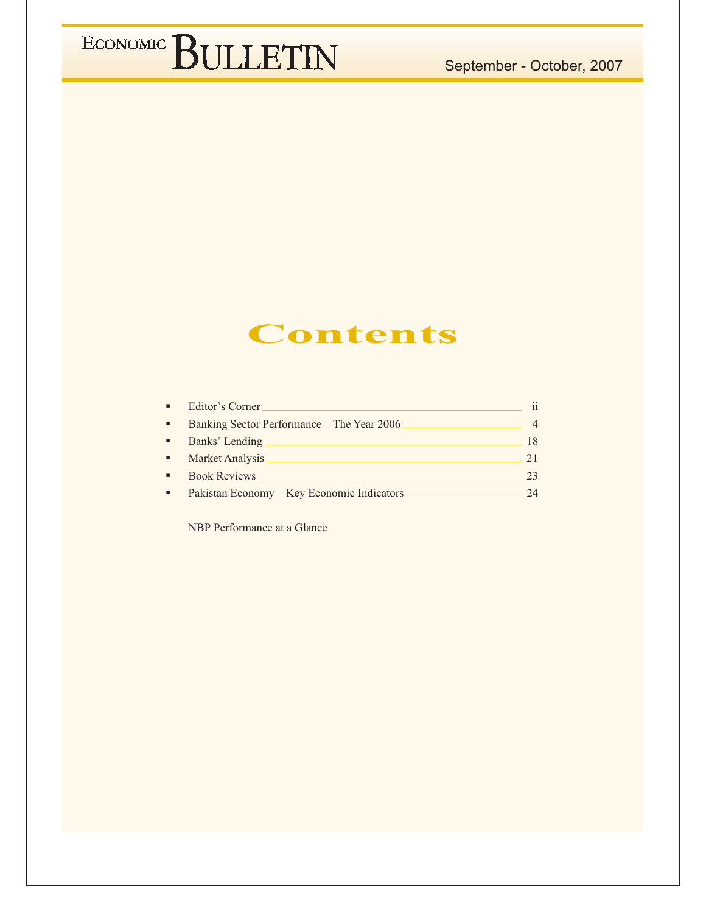#### September - October, 2007

### ECONOMIC BULLETIN

### **Contents**

| $\blacksquare$ | Editor's Corner                            | ii |
|----------------|--------------------------------------------|----|
| $\blacksquare$ | Banking Sector Performance – The Year 2006 |    |
| ٠              | Banks' Lending                             | 18 |
| $\blacksquare$ | Market Analysis                            | 21 |
| $\blacksquare$ | <b>Book Reviews</b>                        | 23 |
| $\blacksquare$ | Pakistan Economy – Key Economic Indicators | 24 |

NBP Performance at a Glance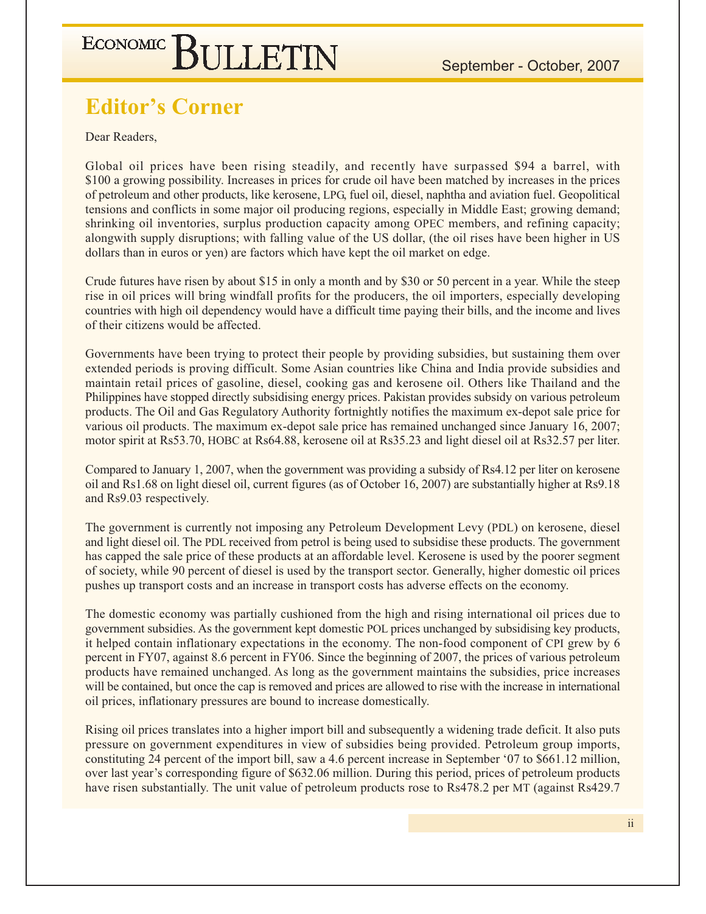### **Editor's Corner**

Dear Readers.

Global oil prices have been rising steadily, and recently have surpassed \$94 a barrel, with \$100 a growing possibility. Increases in prices for crude oil have been matched by increases in the prices of petroleum and other products, like kerosene, LPG, fuel oil, diesel, naphtha and aviation fuel. Geopolitical tensions and conflicts in some major oil producing regions, especially in Middle East; growing demand; shrinking oil inventories, surplus production capacity among OPEC members, and refining capacity; alongwith supply disruptions; with falling value of the US dollar, (the oil rises have been higher in US dollars than in euros or yen) are factors which have kept the oil market on edge.

Crude futures have risen by about \$15 in only a month and by \$30 or 50 percent in a year. While the steep rise in oil prices will bring windfall profits for the producers, the oil importers, especially developing countries with high oil dependency would have a difficult time paying their bills, and the income and lives of their citizens would be affected.

Governments have been trying to protect their people by providing subsidies, but sustaining them over extended periods is proving difficult. Some Asian countries like China and India provide subsidies and maintain retail prices of gasoline, diesel, cooking gas and kerosene oil. Others like Thailand and the Philippines have stopped directly subsidising energy prices. Pakistan provides subsidy on various petroleum products. The Oil and Gas Regulatory Authority fortnightly notifies the maximum ex-depot sale price for various oil products. The maximum ex-depot sale price has remained unchanged since January 16, 2007; motor spirit at Rs53.70, HOBC at Rs64.88, kerosene oil at Rs35.23 and light diesel oil at Rs32.57 per liter.

Compared to January 1, 2007, when the government was providing a subsidy of Rs4.12 per liter on kerosene oil and Rs1.68 on light diesel oil, current figures (as of October 16, 2007) are substantially higher at Rs9.18 and Rs9.03 respectively.

The government is currently not imposing any Petroleum Development Levy (PDL) on kerosene, diesel and light diesel oil. The PDL received from petrol is being used to subsidise these products. The government has capped the sale price of these products at an affordable level. Kerosene is used by the poorer segment of society, while 90 percent of diesel is used by the transport sector. Generally, higher domestic oil prices pushes up transport costs and an increase in transport costs has adverse effects on the economy.

The domestic economy was partially cushioned from the high and rising international oil prices due to government subsidies. As the government kept domestic POL prices unchanged by subsidising key products, it helped contain inflationary expectations in the economy. The non-food component of CPI grew by 6 percent in FY07, against 8.6 percent in FY06. Since the beginning of 2007, the prices of various petroleum products have remained unchanged. As long as the government maintains the subsidies, price increases will be contained, but once the cap is removed and prices are allowed to rise with the increase in international oil prices, inflationary pressures are bound to increase domestically.

Rising oil prices translates into a higher import bill and subsequently a widening trade deficit. It also puts pressure on government expenditures in view of subsidies being provided. Petroleum group imports, constituting 24 percent of the import bill, saw a 4.6 percent increase in September '07 to \$661.12 million, over last year's corresponding figure of \$632.06 million. During this period, prices of petroleum products have risen substantially. The unit value of petroleum products rose to Rs478.2 per MT (against Rs429.7)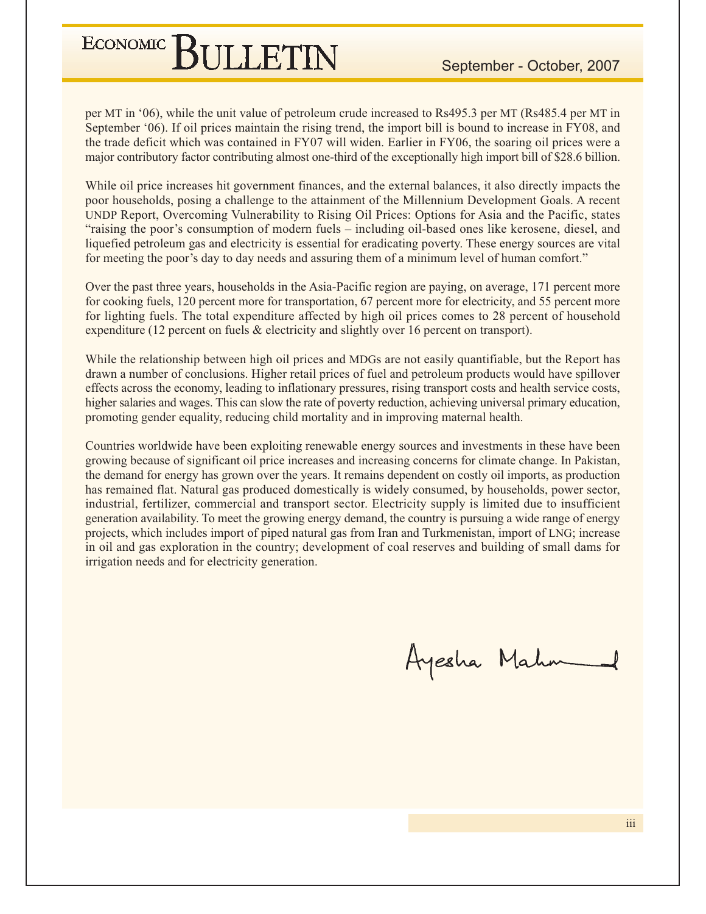per MT in '06), while the unit value of petroleum crude increased to Rs495.3 per MT (Rs485.4 per MT in September '06). If oil prices maintain the rising trend, the import bill is bound to increase in FY08, and the trade deficit which was contained in FY07 will widen. Earlier in FY06, the soaring oil prices were a major contributory factor contributing almost one-third of the exceptionally high import bill of \$28.6 billion.

While oil price increases hit government finances, and the external balances, it also directly impacts the poor households, posing a challenge to the attainment of the Millennium Development Goals. A recent UNDP Report, Overcoming Vulnerability to Rising Oil Prices: Options for Asia and the Pacific, states "raising the poor's consumption of modern fuels – including oil-based ones like kerosene, diesel, and liquefied petroleum gas and electricity is essential for eradicating poverty. These energy sources are vital for meeting the poor's day to day needs and assuring them of a minimum level of human comfort."

Over the past three years, households in the Asia-Pacific region are paying, on average, 171 percent more for cooking fuels, 120 percent more for transportation, 67 percent more for electricity, and 55 percent more for lighting fuels. The total expenditure affected by high oil prices comes to 28 percent of household expenditure (12 percent on fuels  $\&$  electricity and slightly over 16 percent on transport).

While the relationship between high oil prices and MDGs are not easily quantifiable, but the Report has drawn a number of conclusions. Higher retail prices of fuel and petroleum products would have spillover effects across the economy, leading to inflationary pressures, rising transport costs and health service costs, higher salaries and wages. This can slow the rate of poverty reduction, achieving universal primary education, promoting gender equality, reducing child mortality and in improving maternal health.

Countries worldwide have been exploiting renewable energy sources and investments in these have been growing because of significant oil price increases and increasing concerns for climate change. In Pakistan, the demand for energy has grown over the years. It remains dependent on costly oil imports, as production has remained flat. Natural gas produced domestically is widely consumed, by households, power sector, industrial, fertilizer, commercial and transport sector. Electricity supply is limited due to insufficient generation availability. To meet the growing energy demand, the country is pursuing a wide range of energy projects, which includes import of piped natural gas from Iran and Turkmenistan, import of LNG; increase in oil and gas exploration in the country; development of coal reserves and building of small dams for irrigation needs and for electricity generation.

Ayesha Mahn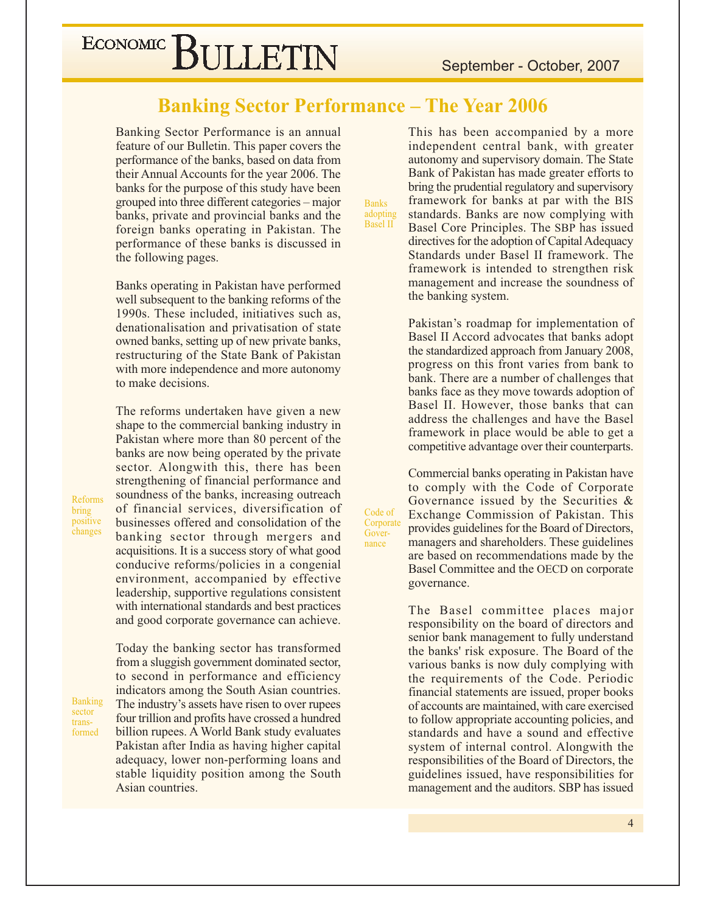#### **Banking Sector Performance - The Year 2006**

Banking Sector Performance is an annual feature of our Bulletin. This paper covers the performance of the banks, based on data from their Annual Accounts for the year 2006. The banks for the purpose of this study have been grouped into three different categories – major banks, private and provincial banks and the foreign banks operating in Pakistan. The performance of these banks is discussed in the following pages.

Banks operating in Pakistan have performed well subsequent to the banking reforms of the 1990s. These included, initiatives such as, denationalisation and privatisation of state owned banks, setting up of new private banks, restructuring of the State Bank of Pakistan with more independence and more autonomy to make decisions.

The reforms undertaken have given a new shape to the commercial banking industry in Pakistan where more than 80 percent of the banks are now being operated by the private sector. Alongwith this, there has been strengthening of financial performance and soundness of the banks, increasing outreach of financial services, diversification of businesses offered and consolidation of the banking sector through mergers and acquisitions. It is a success story of what good conducive reforms/policies in a congenial environment, accompanied by effective leadership, supportive regulations consistent with international standards and best practices and good corporate governance can achieve.

Reforms bring positive changes

**Banking** sector transformed

Today the banking sector has transformed from a sluggish government dominated sector, to second in performance and efficiency indicators among the South Asian countries. The industry's assets have risen to over rupees four trillion and profits have crossed a hundred billion rupees. A World Bank study evaluates Pakistan after India as having higher capital adequacy, lower non-performing loans and stable liquidity position among the South Asian countries.

**Banks** adopting<br>Basel II

Code of

Gover-

nance

Corporate

This has been accompanied by a more independent central bank, with greater autonomy and supervisory domain. The State Bank of Pakistan has made greater efforts to bring the prudential regulatory and supervisory framework for banks at par with the BIS standards. Banks are now complying with Basel Core Principles. The SBP has issued directives for the adoption of Capital Adequacy Standards under Basel II framework. The framework is intended to strengthen risk management and increase the soundness of the banking system.

Pakistan's roadmap for implementation of Basel II Accord advocates that banks adopt the standardized approach from January 2008, progress on this front varies from bank to bank. There are a number of challenges that banks face as they move towards adoption of Basel II. However, those banks that can address the challenges and have the Basel framework in place would be able to get a competitive advantage over their counterparts.

Commercial banks operating in Pakistan have to comply with the Code of Corporate Governance issued by the Securities  $\&$ Exchange Commission of Pakistan. This provides guidelines for the Board of Directors, managers and shareholders. These guidelines are based on recommendations made by the Basel Committee and the OECD on corporate governance.

The Basel committee places major responsibility on the board of directors and senior bank management to fully understand the banks' risk exposure. The Board of the various banks is now duly complying with the requirements of the Code. Periodic financial statements are issued, proper books of accounts are maintained, with care exercised to follow appropriate accounting policies, and standards and have a sound and effective system of internal control. Alongwith the responsibilities of the Board of Directors, the guidelines issued, have responsibilities for management and the auditors. SBP has issued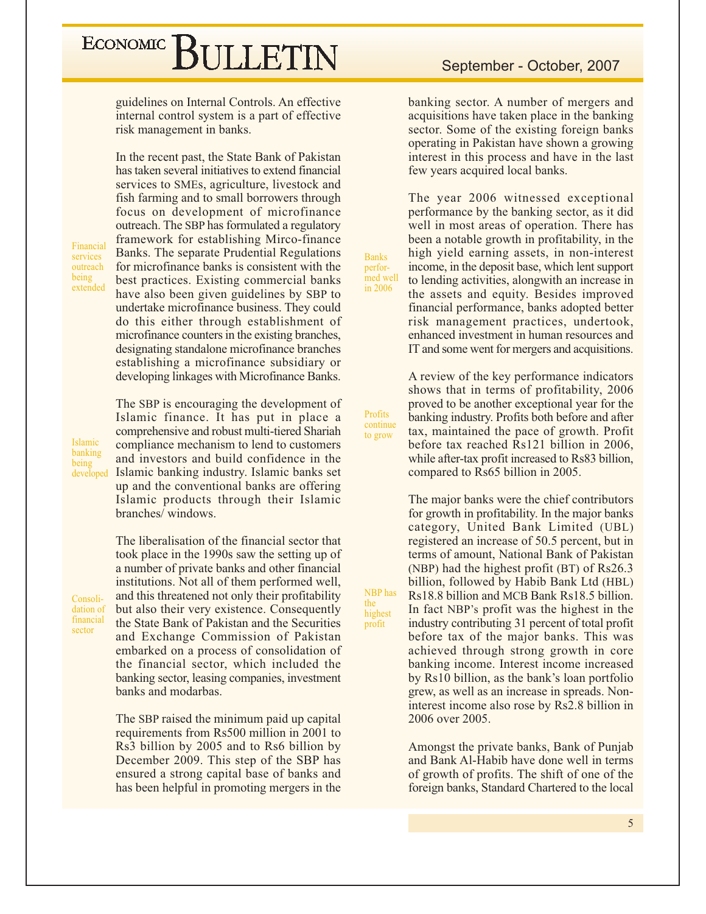guidelines on Internal Controls. An effective internal control system is a part of effective risk management in banks.

In the recent past, the State Bank of Pakistan

Financial services outreach being extended has taken several initiatives to extend financial services to SMEs, agriculture, livestock and fish farming and to small borrowers through focus on development of microfinance outreach. The SBP has formulated a regulatory framework for establishing Mirco-finance Banks. The separate Prudential Regulations for microfinance banks is consistent with the best practices. Existing commercial banks have also been given guidelines by SBP to undertake microfinance business. They could do this either through establishment of microfinance counters in the existing branches, designating standalone microfinance branches establishing a microfinance subsidiary or developing linkages with Microfinance Banks.

The SBP is encouraging the development of Islamic finance. It has put in place a comprehensive and robust multi-tiered Shariah compliance mechanism to lend to customers and investors and build confidence in the Islamic banking industry. Islamic banks set up and the conventional banks are offering Islamic products through their Islamic branches/windows.

The liberalisation of the financial sector that

took place in the 1990s saw the setting up of a number of private banks and other financial institutions. Not all of them performed well, and this threatened not only their profitability Consolidation of but also their very existence. Consequently financial the State Bank of Pakistan and the Securities and Exchange Commission of Pakistan embarked on a process of consolidation of the financial sector, which included the banking sector, leasing companies, investment

banks and modarbas.

The SBP raised the minimum paid up capital requirements from Rs500 million in 2001 to Rs3 billion by 2005 and to Rs6 billion by December 2009. This step of the SBP has ensured a strong capital base of banks and has been helpful in promoting mergers in the

banking sector. A number of mergers and acquisitions have taken place in the banking sector. Some of the existing foreign banks operating in Pakistan have shown a growing interest in this process and have in the last few years acquired local banks.

The year 2006 witnessed exceptional performance by the banking sector, as it did well in most areas of operation. There has been a notable growth in profitability, in the high yield earning assets, in non-interest income, in the deposit base, which lent support to lending activities, along with an increase in the assets and equity. Besides improved financial performance, banks adopted better risk management practices, undertook, enhanced investment in human resources and IT and some went for mergers and acquisitions.

**Banks** 

perfor-

med well

in 2006

Profits

continue

to grow

NBP has

highest

profit

the

A review of the key performance indicators shows that in terms of profitability, 2006 proved to be another exceptional year for the banking industry. Profits both before and after tax, maintained the pace of growth. Profit before tax reached Rs121 billion in 2006, while after-tax profit increased to Rs83 billion, compared to Rs65 billion in 2005.

The major banks were the chief contributors for growth in profitability. In the major banks category, United Bank Limited (UBL) registered an increase of 50.5 percent, but in terms of amount, National Bank of Pakistan (NBP) had the highest profit (BT) of Rs26.3 billion, followed by Habib Bank Ltd (HBL) Rs18.8 billion and MCB Bank Rs18.5 billion. In fact NBP's profit was the highest in the industry contributing 31 percent of total profit before tax of the major banks. This was achieved through strong growth in core banking income. Interest income increased by Rs10 billion, as the bank's loan portfolio grew, as well as an increase in spreads. Noninterest income also rose by Rs2.8 billion in 2006 over 2005.

Amongst the private banks, Bank of Punjab and Bank Al-Habib have done well in terms of growth of profits. The shift of one of the foreign banks, Standard Chartered to the local

Islamic banking being developed

sector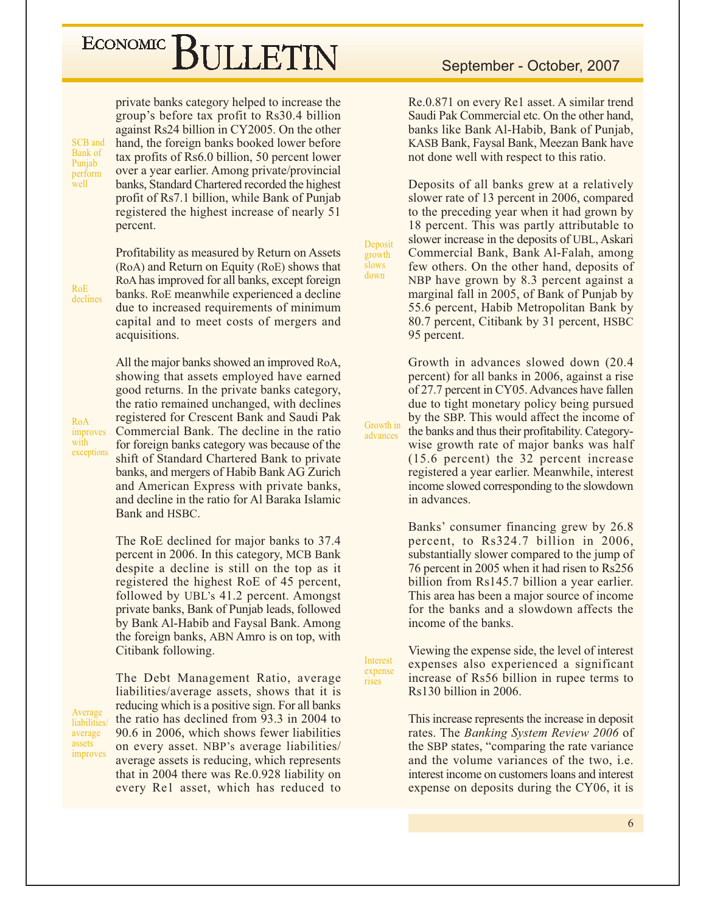## ECONOMIC BIJLETIN

private banks category helped to increase the group's before tax profit to Rs30.4 billion against Rs24 billion in CY2005. On the other hand, the foreign banks booked lower before tax profits of Rs6.0 billion, 50 percent lower over a year earlier. Among private/provincial banks, Standard Chartered recorded the highest profit of Rs7.1 billion, while Bank of Punjab registered the highest increase of nearly 51 percent.

 $RoE$ declines

RoA

with

improves

exceptions

SCB and

Bank of

Punjab

well

perform

Profitability as measured by Return on Assets (RoA) and Return on Equity (RoE) shows that RoA has improved for all banks, except foreign banks. RoE meanwhile experienced a decline due to increased requirements of minimum capital and to meet costs of mergers and acquisitions.

All the major banks showed an improved RoA, showing that assets employed have earned good returns. In the private banks category, the ratio remained unchanged, with declines registered for Crescent Bank and Saudi Pak Commercial Bank. The decline in the ratio for foreign banks category was because of the shift of Standard Chartered Bank to private banks, and mergers of Habib Bank AG Zurich and American Express with private banks, and decline in the ratio for Al Baraka Islamic Bank and HSBC.

The RoE declined for major banks to 37.4 percent in 2006. In this category, MCB Bank despite a decline is still on the top as it registered the highest RoE of 45 percent, followed by UBL's 41.2 percent. Amongst private banks, Bank of Punjab leads, followed by Bank Al-Habib and Faysal Bank. Among the foreign banks, ABN Amro is on top, with Citibank following.

Average liabilities. average assets improves The Debt Management Ratio, average liabilities/average assets, shows that it is reducing which is a positive sign. For all banks the ratio has declined from 93.3 in 2004 to 90.6 in 2006, which shows fewer liabilities on every asset. NBP's average liabilities/ average assets is reducing, which represents that in 2004 there was Re.0.928 liability on every Re1 asset, which has reduced to Re.0.871 on every Re1 asset. A similar trend Saudi Pak Commercial etc. On the other hand, banks like Bank Al-Habib, Bank of Punjab, KASB Bank, Faysal Bank, Meezan Bank have not done well with respect to this ratio.

Deposits of all banks grew at a relatively slower rate of 13 percent in 2006, compared to the preceding year when it had grown by 18 percent. This was partly attributable to slower increase in the deposits of UBL, Askari Commercial Bank, Bank Al-Falah, among few others. On the other hand, deposits of NBP have grown by 8.3 percent against a marginal fall in 2005, of Bank of Punjab by 55.6 percent, Habib Metropolitan Bank by 80.7 percent, Citibank by 31 percent, HSBC 95 percent.

Deposit

growth slows

down

advances

Interest

expense

rises

Growth in advances slowed down (20.4) percent) for all banks in 2006, against a rise of 27.7 percent in CY05. Advances have fallen due to tight monetary policy being pursued by the SBP. This would affect the income of Growth in the banks and thus their profitability. Categorywise growth rate of major banks was half  $(15.6$  percent) the 32 percent increase registered a year earlier. Meanwhile, interest income slowed corresponding to the slowdown in advances.

> Banks' consumer financing grew by 26.8 percent, to Rs324.7 billion in 2006, substantially slower compared to the jump of 76 percent in 2005 when it had risen to Rs256 billion from Rs145.7 billion a year earlier. This area has been a major source of income for the banks and a slowdown affects the income of the banks.

Viewing the expense side, the level of interest expenses also experienced a significant increase of Rs56 billion in rupee terms to Rs130 billion in 2006.

This increase represents the increase in deposit rates. The Banking System Review 2006 of the SBP states, "comparing the rate variance" and the volume variances of the two, i.e. interest income on customers loans and interest expense on deposits during the CY06, it is

6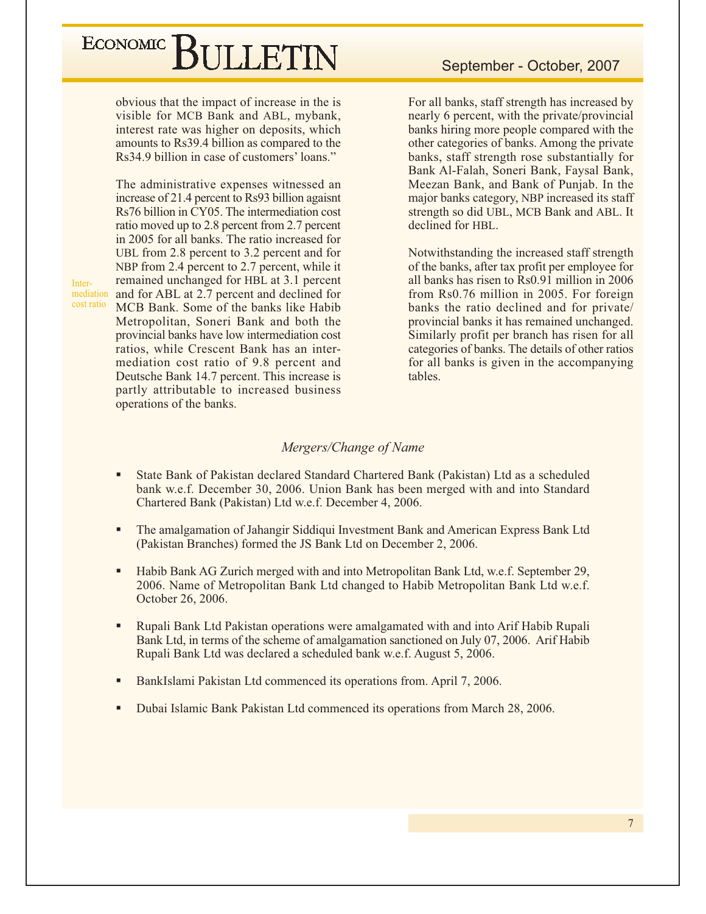## ECONOMIC BIJLETIN

obvious that the impact of increase in the is visible for MCB Bank and ABL, mybank, interest rate was higher on deposits, which amounts to Rs39.4 billion as compared to the Rs34.9 billion in case of customers' loans."

The administrative expenses witnessed an increase of 21.4 percent to Rs93 billion agaisnt Rs76 billion in CY05. The intermediation cost ratio moved up to 2.8 percent from 2.7 percent in 2005 for all banks. The ratio increased for UBL from 2.8 percent to 3.2 percent and for NBP from 2.4 percent to 2.7 percent, while it remained unchanged for HBL at 3.1 percent mediation and for ABL at 2.7 percent and declined for MCB Bank. Some of the banks like Habib Metropolitan, Soneri Bank and both the provincial banks have low intermediation cost ratios, while Crescent Bank has an intermediation cost ratio of 9.8 percent and Deutsche Bank 14.7 percent. This increase is partly attributable to increased business operations of the banks.

For all banks, staff strength has increased by nearly 6 percent, with the private/provincial banks hiring more people compared with the other categories of banks. Among the private banks, staff strength rose substantially for Bank Al-Falah, Soneri Bank, Faysal Bank, Meezan Bank, and Bank of Punjab. In the major banks category, NBP increased its staff strength so did UBL, MCB Bank and ABL. It declined for HBL.

Notwithstanding the increased staff strength of the banks, after tax profit per employee for all banks has risen to Rs0.91 million in 2006 from Rs0.76 million in 2005. For foreign banks the ratio declined and for private/ provincial banks it has remained unchanged. Similarly profit per branch has risen for all categories of banks. The details of other ratios for all banks is given in the accompanying tables.

#### Mergers/Change of Name

- State Bank of Pakistan declared Standard Chartered Bank (Pakistan) Ltd as a scheduled bank w.e.f. December 30, 2006. Union Bank has been merged with and into Standard Chartered Bank (Pakistan) Ltd w.e.f. December 4, 2006.
- The amalgamation of Jahangir Siddiqui Investment Bank and American Express Bank Ltd (Pakistan Branches) formed the JS Bank Ltd on December 2, 2006.
- Habib Bank AG Zurich merged with and into Metropolitan Bank Ltd, w.e.f. September 29, 2006. Name of Metropolitan Bank Ltd changed to Habib Metropolitan Bank Ltd w.e.f. October 26, 2006.
- $\blacksquare$ Rupali Bank Ltd Pakistan operations were amalgamated with and into Arif Habib Rupali Bank Ltd, in terms of the scheme of amalgamation sanctioned on July 07, 2006. Arif Habib Rupali Bank Ltd was declared a scheduled bank w.e.f. August 5, 2006.
- BankIslami Pakistan Ltd commenced its operations from. April 7, 2006.
- Dubai Islamic Bank Pakistan Ltd commenced its operations from March 28, 2006.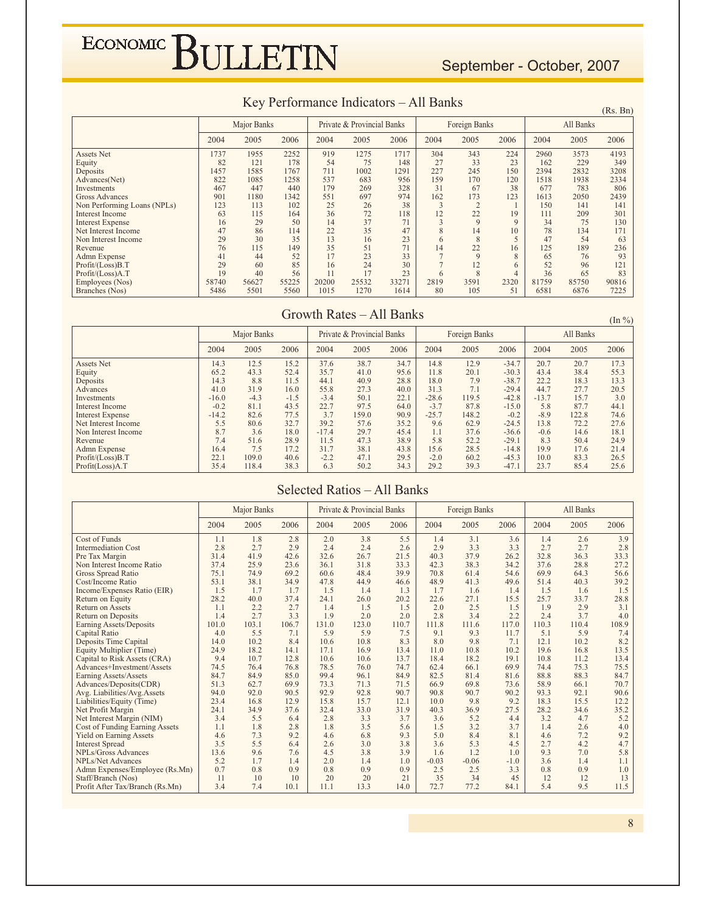#### September - October, 2007

#### Key Performance Indicators – All Banks  $(X, Bn)$

|                             |       |                    |       |       |                            |       |              |               |              |       |           | (15.1) |
|-----------------------------|-------|--------------------|-------|-------|----------------------------|-------|--------------|---------------|--------------|-------|-----------|--------|
|                             |       | <b>Major Banks</b> |       |       | Private & Provincial Banks |       |              | Foreign Banks |              |       | All Banks |        |
|                             | 2004  | 2005               | 2006  | 2004  | 2005                       | 2006  | 2004         | 2005          | 2006         | 2004  | 2005      | 2006   |
| Assets Net                  | 1737  | 1955               | 2252  | 919   | 1275                       | 1717  | 304          | 343           | 224          | 2960  | 3573      | 4193   |
| Equity                      | 82    | 121                | 178   | 54    | 75                         | 148   | 27           | 33            | 23           | 162   | 229       | 349    |
| Deposits                    | 1457  | 1585               | 1767  | 711   | 1002                       | 1291  | 227          | 245           | 150          | 2394  | 2832      | 3208   |
| Advances(Net)               | 822   | 1085               | 1258  | 537   | 683                        | 956   | 159          | 170           | 120          | 1518  | 1938      | 2334   |
| Investments                 | 467   | 447                | 440   | 179   | 269                        | 328   | 31           | 67            | 38           | 677   | 783       | 806    |
| <b>Gross Advances</b>       | 901   | 1180               | 1342  | 551   | 697                        | 974   | 162          | 173           | 123          | 1613  | 2050      | 2439   |
| Non Performing Loans (NPLs) | 123   | 113                | 102   | 25    | 26                         | 38    | 3            | $\mathcal{L}$ |              | 150   | 141       | 141    |
| Interest Income             | 63    | 115                | 164   | 36    | 72                         | 118   | 12           | 22            | 19           | 111   | 209       | 301    |
| <b>Interest Expense</b>     | 16    | 29                 | 50    | 14    | 37                         | 71    | $\mathbf{3}$ | 9             | $\mathbf Q$  | 34    | 75        | 130    |
| Net Interest Income         | 47    | 86                 | 114   | 22    | 35                         | 47    | 8            | 14            | 10           | 78    | 134       | 171    |
| Non Interest Income         | 29    | 30                 | 35    | 13    | 16                         | 23    | $\sigma$     | 8             |              | 47    | 54        | 63     |
| Revenue                     | 76    | 115                | 149   | 35    | 51                         | 71    | 14           | 22            | 16           | 125   | 189       | 236    |
| Admn Expense                | 41    | 44                 | 52    | 17    | 23                         | 33    |              | 9             | $\mathbf{8}$ | 65    | 76        | 93     |
| Profit/(Loss)B.T            | 29    | 60                 | 85    | 16    | 24                         | 30    |              | 12            | 6            | 52    | 96        | 121    |
| Profit/(Loss)A.T            | 19    | 40                 | 56    | 11    | 17                         | 23    |              | 8             |              | 36    | 65        | 83     |
| Employees (Nos)             | 58740 | 56627              | 55225 | 20200 | 25532                      | 33271 | 2819         | 3591          | 2320         | 81759 | 85750     | 90816  |
| Branches (Nos)              | 5486  | 5501               | 5560  | 1015  | 1270                       | 1614  | 80           | 105           | 51           | 6581  | 6876      | 7225   |

#### Growth Rates – All Banks  $\frac{(\ln \%)}{(\ln \%)}$

|                         |         | Major Banks |        |         | Private & Provincial Banks |      |         | Foreign Banks |         |         | All Banks |      |
|-------------------------|---------|-------------|--------|---------|----------------------------|------|---------|---------------|---------|---------|-----------|------|
|                         | 2004    | 2005        | 2006   | 2004    | 2005                       | 2006 | 2004    | 2005          | 2006    | 2004    | 2005      | 2006 |
| Assets Net              | 14.3    | 12.5        | 15.2   | 37.6    | 38.7                       | 34.7 | 14.8    | 12.9          | $-34.7$ | 20.7    | 20.7      | 17.3 |
| Equity                  | 65.2    | 43.3        | 52.4   | 35.7    | 41.0                       | 95.6 | 11.8    | 20.1          | $-30.3$ | 43.4    | 38.4      | 55.3 |
| Deposits                | 14.3    | 8.8         | 11.5   | 44.1    | 40.9                       | 28.8 | 18.0    | 7.9           | $-38.7$ | 22.2    | 18.3      | 13.3 |
| Advances                | 41.0    | 31.9        | 16.0   | 55.8    | 27.3                       | 40.0 | 31.3    | 7.1           | $-29.4$ | 44.7    | 27.7      | 20.5 |
| Investments             | $-16.0$ | $-4.3$      | $-1.5$ | $-3.4$  | 50.1                       | 22.1 | $-28.6$ | 119.5         | $-42.8$ | $-13.7$ | 15.7      | 3.0  |
| Interest Income         | $-0.2$  | 81.1        | 43.5   | 22.7    | 97.5                       | 64.0 | $-3.7$  | 87.8          | $-15.0$ | 5.8     | 87.7      | 44.1 |
| <b>Interest Expense</b> | $-14.2$ | 82.6        | 77.5   | 3.7     | 159.0                      | 90.9 | $-25.7$ | 148.2         | $-0.2$  | $-8.9$  | 122.8     | 74.6 |
| Net Interest Income     | 5.5     | 80.6        | 32.7   | 39.2    | 57.6                       | 35.2 | 9.6     | 62.9          | $-24.5$ | 13.8    | 72.2      | 27.6 |
| Non Interest Income     | 8.7     | 3.6         | 18.0   | $-17.4$ | 29.7                       | 45.4 | 1.1     | 37.6          | $-36.6$ | $-0.6$  | 14.6      | 18.1 |
| Revenue                 | 7.4     | 51.6        | 28.9   | 11.5    | 47.3                       | 38.9 | 5.8     | 52.2          | $-29.1$ | 8.3     | 50.4      | 24.9 |
| Admn Expense            | 16.4    | 7.5         | 17.2   | 31.7    | 38.1                       | 43.8 | 15.6    | 28.5          | $-14.8$ | 19.9    | 17.6      | 21.4 |
| Profit/(Loss)B.T        | 22.1    | 109.0       | 40.6   | $-2.2$  | 47.1                       | 29.5 | $-2.0$  | 60.2          | $-45.3$ | 10.0    | 83.3      | 26.5 |
| Profit(Loss)A.T         | 35.4    | 118.4       | 38.3   | 6.3     | 50.2                       | 34.3 | 29.2    | 39.3          | $-47.1$ | 23.7    | 85.4      | 25.6 |

#### Selected Ratios – All Banks

|                                       |       | Major Banks |       |       | Private & Provincial Banks |       |         | <b>Foreign Banks</b> |        |       | All Banks |       |
|---------------------------------------|-------|-------------|-------|-------|----------------------------|-------|---------|----------------------|--------|-------|-----------|-------|
|                                       | 2004  | 2005        | 2006  | 2004  | 2005                       | 2006  | 2004    | 2005                 | 2006   | 2004  | 2005      | 2006  |
| Cost of Funds                         | 1.1   | 1.8         | 2.8   | 2.0   | 3.8                        | 5.5   | 1.4     | 3.1                  | 3.6    | 1.4   | 2.6       | 3.9   |
| <b>Intermediation Cost</b>            | 2.8   | 2.7         | 2.9   | 2.4   | 2.4                        | 2.6   | 2.9     | 3.3                  | 3.3    | 2.7   | 2.7       | 2.8   |
| Pre Tax Margin                        | 31.4  | 41.9        | 42.6  | 32.6  | 26.7                       | 21.5  | 40.3    | 37.9                 | 26.2   | 32.8  | 36.3      | 33.3  |
| Non Interest Income Ratio             | 37.4  | 25.9        | 23.6  | 36.1  | 31.8                       | 33.3  | 42.3    | 38.3                 | 34.2   | 37.6  | 28.8      | 27.2  |
| Gross Spread Ratio                    | 75.1  | 74.9        | 69.2  | 60.6  | 48.4                       | 39.9  | 70.8    | 61.4                 | 54.6   | 69.9  | 64.3      | 56.6  |
| Cost/Income Ratio                     | 53.1  | 38.1        | 34.9  | 47.8  | 44.9                       | 46.6  | 48.9    | 41.3                 | 49.6   | 51.4  | 40.3      | 39.2  |
| Income/Expenses Ratio (EIR)           | 1.5   | 1.7         | 1.7   | 1.5   | 1.4                        | 1.3   | 1.7     | 1.6                  | 1.4    | 1.5   | 1.6       | 1.5   |
| Return on Equity                      | 28.2  | 40.0        | 37.4  | 24.1  | 26.0                       | 20.2  | 22.6    | 27.1                 | 15.5   | 25.7  | 33.7      | 28.8  |
| <b>Return on Assets</b>               | 1.1   | 2.2         | 2.7   | 1.4   | 1.5                        | 1.5   | 2.0     | 2.5                  | 1.5    | 1.9   | 2.9       | 3.1   |
| <b>Return on Deposits</b>             | 1.4   | 2.7         | 3.3   | 1.9   | 2.0                        | 2.0   | 2.8     | 3.4                  | 2.2    | 2.4   | 3.7       | 4.0   |
| Earning Assets/Deposits               | 101.0 | 103.1       | 106.7 | 131.0 | 123.0                      | 110.7 | 111.8   | 111.6                | 117.0  | 110.3 | 110.4     | 108.9 |
| Capital Ratio                         | 4.0   | 5.5         | 7.1   | 5.9   | 5.9                        | 7.5   | 9.1     | 9.3                  | 11.7   | 5.1   | 5.9       | 7.4   |
| Deposits Time Capital                 | 14.0  | 10.2        | 8.4   | 10.6  | 10.8                       | 8.3   | 8.0     | 9.8                  | 7.1    | 12.1  | 10.2      | 8.2   |
| Equity Multiplier (Time)              | 24.9  | 18.2        | 14.1  | 17.1  | 16.9                       | 13.4  | 11.0    | 10.8                 | 10.2   | 19.6  | 16.8      | 13.5  |
| Capital to Risk Assets (CRA)          | 9.4   | 10.7        | 12.8  | 10.6  | 10.6                       | 13.7  | 18.4    | 18.2                 | 19.1   | 10.8  | 11.2      | 13.4  |
| Advances+Investment/Assets            | 74.5  | 76.4        | 76.8  | 78.5  | 76.0                       | 74.7  | 62.4    | 66.1                 | 69.9   | 74.4  | 75.3      | 75.5  |
| Earning Assets/Assets                 | 84.7  | 84.9        | 85.0  | 99.4  | 96.1                       | 84.9  | 82.5    | 81.4                 | 81.6   | 88.8  | 88.3      | 84.7  |
| Advances/Deposits(CDR)                | 51.3  | 62.7        | 69.9  | 73.3  | 71.3                       | 71.5  | 66.9    | 69.8                 | 73.6   | 58.9  | 66.1      | 70.7  |
| Avg. Liabilities/Avg.Assets           | 94.0  | 92.0        | 90.5  | 92.9  | 92.8                       | 90.7  | 90.8    | 90.7                 | 90.2   | 93.3  | 92.1      | 90.6  |
| Liabilities/Equity (Time)             | 23.4  | 16.8        | 12.9  | 15.8  | 15.7                       | 12.1  | 10.0    | 9.8                  | 9.2    | 18.3  | 15.5      | 12.2  |
| Net Profit Margin                     | 24.1  | 34.9        | 37.6  | 32.4  | 33.0                       | 31.9  | 40.3    | 36.9                 | 27.5   | 28.2  | 34.6      | 35.2  |
| Net Interest Margin (NIM)             | 3.4   | 5.5         | 6.4   | 2.8   | 3.3                        | 3.7   | 3.6     | 5.2                  | 4.4    | 3.2   | 4.7       | 5.2   |
| <b>Cost of Funding Earning Assets</b> | 1.1   | 1.8         | 2.8   | 1.8   | 3.5                        | 5.6   | 1.5     | 3.2                  | 3.7    | 1.4   | 2.6       | 4.0   |
| <b>Yield on Earning Assets</b>        | 4.6   | 7.3         | 9.2   | 4.6   | 6.8                        | 9.3   | 5.0     | 8.4                  | 8.1    | 4.6   | 7.2       | 9.2   |
| <b>Interest Spread</b>                | 3.5   | 5.5         | 6.4   | 2.6   | 3.0                        | 3.8   | 3.6     | 5.3                  | 4.5    | 2.7   | 4.2       | 4.7   |
| <b>NPLs/Gross Advances</b>            | 13.6  | 9.6         | 7.6   | 4.5   | 3.8                        | 3.9   | 1.6     | 1.2                  | 1.0    | 9.3   | 7.0       | 5.8   |
| <b>NPLs/Net Advances</b>              | 5.2   | 1.7         | 1.4   | 2.0   | 1.4                        | 1.0   | $-0.03$ | $-0.06$              | $-1.0$ | 3.6   | 1.4       | 1.1   |
| Admn Expenses/Employee (Rs.Mn)        | 0.7   | 0.8         | 0.9   | 0.8   | 0.9                        | 0.9   | 2.5     | 2.5                  | 3.3    | 0.8   | 0.9       | 1.0   |
| Staff/Branch (Nos)                    | 11    | 10          | 10    | 20    | 20                         | 21    | 35      | 34                   | 45     | 12    | 12        | 13    |
| Profit After Tax/Branch (Rs.Mn)       | 3.4   | 7.4         | 10.1  | 11.1  | 13.3                       | 14.0  | 72.7    | 77.2                 | 84.1   | 5.4   | 9.5       | 11.5  |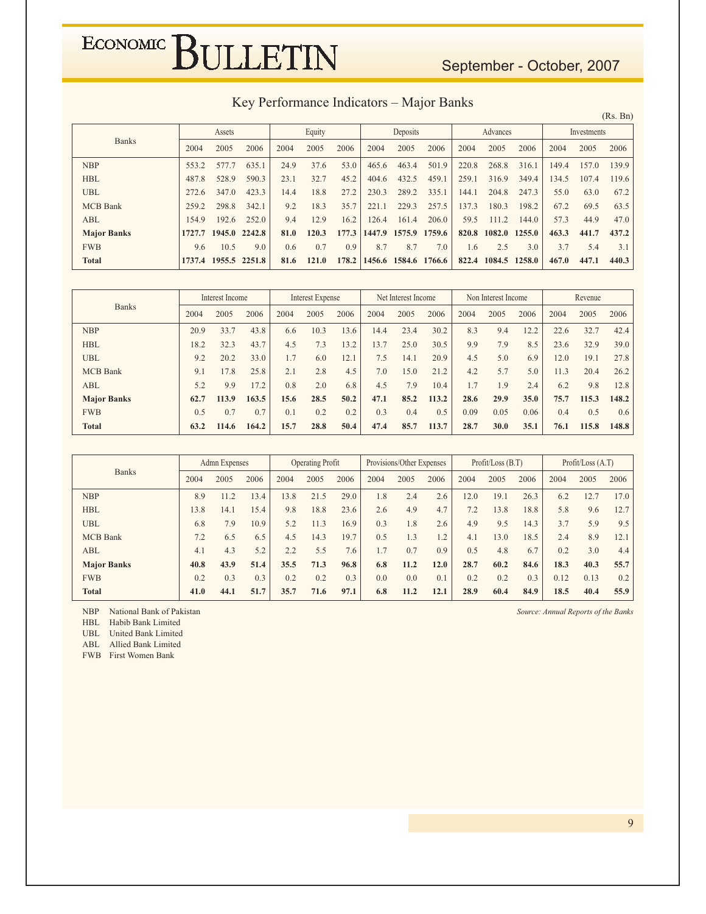#### September - October, 2007

Key Performance Indicators - Major Banks

 $(Rs. Bn)$ Assets Equity Deposits Advances Investments **Banks** 2004 2005 2004 2005 2006 2005 2006 2004 2005 2006 2004 2005 2006 2006 2004 **NBP** 553.2 577.7 635.1 24.9 37.6 53.0 465.6 463.4 501.9 220.8 268.8 316.1 149.4 157.0 139.9  $HBL$ 590.3  $23.1$ 32.7 45.2 432.5 459.1 259.1 349.4 134.5 107.4 119.6 487.8 528.9 404.6 316.9 **UBL** 272.6 347.0 423.3 14.4 18.8 27.2 230.3 289.2 335.1 144.1 204.8 247.3 55.0 63.0 67.2 **MCB** Bank 259.2 298.8 342.1 9.2 18.3 35.7 221.1 229.3 257.5 137.3 180.3 198.2 67.2 69.5 63.5 ABL 154.9 192.6 252.0 9.4 12.9  $16.2$ 126.4 161.4 206.0 59.5 111.2 144.0 57.3 44.9 47.0 **Major Banks** 1727.7 1945.0 2242.8 81.0 120.3 177.3 1447.9 1575.9 1759.6 820.8 1082.0 1255.0 463.3 441.7 437.2 **FWB** 9.6 10.5  $9.0$  $0.7$  $0.9$ 8.7 7.0  $2.5$  $3.7$  $5.4$  $0.6$ 8.7 1.6  $3.0$  $3.1$ 1737.4 1955.5 2251.8 822.4 1084.5 1258.0 **Total** 81.6 121.0 178.2 1456.6 1584.6 1766.6 467.0 447.1 440.3

|                    |      | Interest Income |       |      | Interest Expense |      |      | Net Interest Income |       |      | Non Interest Income |      |      | Revenue |       |
|--------------------|------|-----------------|-------|------|------------------|------|------|---------------------|-------|------|---------------------|------|------|---------|-------|
| <b>Banks</b>       | 2004 | 2005            | 2006  | 2004 | 2005             | 2006 | 2004 | 2005                | 2006  | 2004 | 2005                | 2006 | 2004 | 2005    | 2006  |
| <b>NBP</b>         | 20.9 | 33.7            | 43.8  | 6.6  | 10.3             | 13.6 | 14.4 | 23.4                | 30.2  | 8.3  | 9.4                 | 12.2 | 22.6 | 32.7    | 42.4  |
| <b>HBL</b>         | 18.2 | 32.3            | 43.7  | 4.5  | 7.3              | 13.2 | 13.7 | 25.0                | 30.5  | 9.9  | 7.9                 | 8.5  | 23.6 | 32.9    | 39.0  |
| <b>UBL</b>         | 9.2  | 20.2            | 33.0  | 1.7  | 6.0              | 12.1 | 7.5  | 14.1                | 20.9  | 4.5  | 5.0                 | 6.9  | 12.0 | 19.1    | 27.8  |
| <b>MCB</b> Bank    | 9.1  | 17.8            | 25.8  | 2.1  | 2.8              | 4.5  | 7.0  | 15.0                | 21.2  | 4.2  | 5.7                 | 5.0  | 11.3 | 20.4    | 26.2  |
| ABL                | 5.2  | 9.9             | 17.2  | 0.8  | 2.0              | 6.8  | 4.5  | 7.9                 | 10.4  | 1.7  | 1.9                 | 2.4  | 6.2  | 9.8     | 12.8  |
| <b>Major Banks</b> | 62.7 | 113.9           | 163.5 | 15.6 | 28.5             | 50.2 | 47.1 | 85.2                | 113.2 | 28.6 | 29.9                | 35.0 | 75.7 | 115.3   | 148.2 |
| <b>FWB</b>         | 0.5  | 0.7             | 0.7   | 0.1  | 0.2              | 0.2  | 0.3  | 0.4                 | 0.5   | 0.09 | 0.05                | 0.06 | 0.4  | 0.5     | 0.6   |
| <b>Total</b>       | 63.2 | 114.6           | 164.2 | 15.7 | 28.8             | 50.4 | 47.4 | 85.7                | 113.7 | 28.7 | 30.0                | 35.1 | 76.1 | 115.8   | 148.8 |

|                    |      | Admn Expenses |      |      | <b>Operating Profit</b> |      |      | Provisions/Other Expenses |      |      | Profit / Loss (B.T) |      |      | Profit / Loss (A.T) |      |
|--------------------|------|---------------|------|------|-------------------------|------|------|---------------------------|------|------|---------------------|------|------|---------------------|------|
| <b>Banks</b>       | 2004 | 2005          | 2006 | 2004 | 2005                    | 2006 | 2004 | 2005                      | 2006 | 2004 | 2005                | 2006 | 2004 | 2005                | 2006 |
| <b>NBP</b>         | 8.9  | 11.2          | 13.4 | 13.8 | 21.5                    | 29.0 | 1.8  | 2.4                       | 2.6  | 12.0 | 19.1                | 26.3 | 6.2  | 12.7                | 17.0 |
| <b>HBL</b>         | 13.8 | 14.1          | 15.4 | 9.8  | 18.8                    | 23.6 | 2.6  | 4.9                       | 4.7  | 7.2  | 13.8                | 18.8 | 5.8  | 9.6                 | 12.7 |
| <b>UBL</b>         | 6.8  | 7.9           | 10.9 | 5.2  | 11.3                    | 16.9 | 0.3  | 1.8                       | 2.6  | 4.9  | 9.5                 | 14.3 | 3.7  | 5.9                 | 9.5  |
| <b>MCB</b> Bank    | 7.2  | 6.5           | 6.5  | 4.5  | 14.3                    | 19.7 | 0.5  | 1.3                       | 1.2  | 4.1  | 13.0                | 18.5 | 2.4  | 8.9                 | 12.1 |
| <b>ABL</b>         | 4.1  | 4.3           | 5.2  | 2.2  | 5.5                     | 7.6  | 1.7  | 0.7                       | 0.9  | 0.5  | 4.8                 | 6.7  | 0.2  | 3.0                 | 4.4  |
| <b>Major Banks</b> | 40.8 | 43.9          | 51.4 | 35.5 | 71.3                    | 96.8 | 6.8  | 11.2                      | 12.0 | 28.7 | 60.2                | 84.6 | 18.3 | 40.3                | 55.7 |
| <b>FWB</b>         | 0.2  | 0.3           | 0.3  | 0.2  | 0.2                     | 0.3  | 0.0  | 0.0                       | 0.1  | 0.2  | 0.2                 | 0.3  | 0.12 | 0.13                | 0.2  |
| <b>Total</b>       | 41.0 | 44.1          | 51.7 | 35.7 | 71.6                    | 97.1 | 6.8  | 11.2                      | 12.1 | 28.9 | 60.4                | 84.9 | 18.5 | 40.4                | 55.9 |

NBP National Bank of Pakistan

HBL Habib Bank Limited

 $UBL$ United Bank Limited

ABL Allied Bank Limited

FWB First Women Bank

Source: Annual Reports of the Banks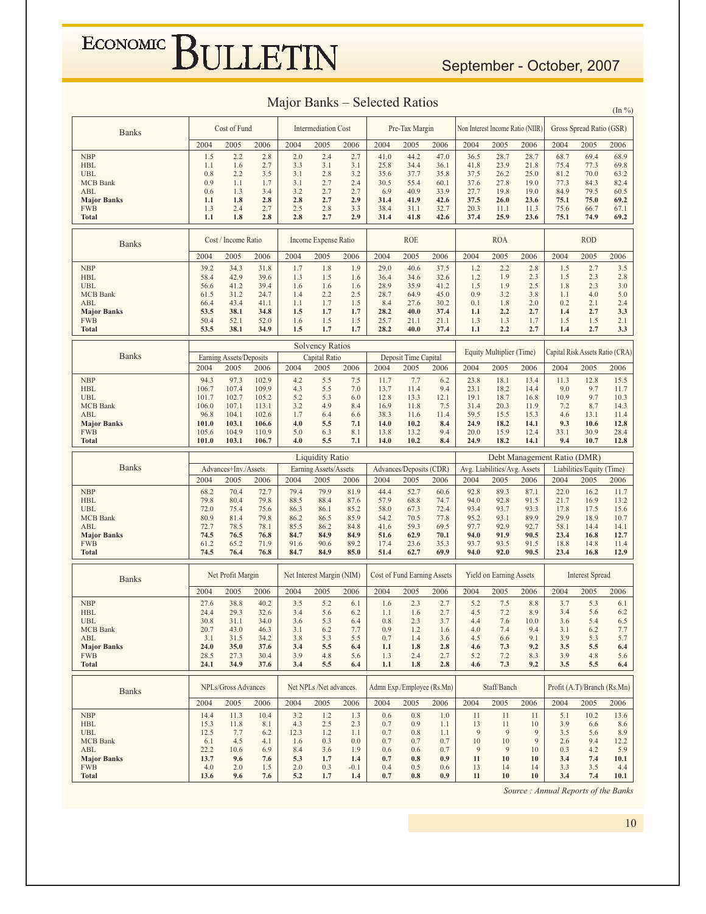#### September - October, 2007

#### Major Banks – Selected Ratios

|                                  |                |                         |                |              |                            |               |              |                                    |              |                                  |                              |              |                             |                             | $(\ln \frac{9}{6})$             |
|----------------------------------|----------------|-------------------------|----------------|--------------|----------------------------|---------------|--------------|------------------------------------|--------------|----------------------------------|------------------------------|--------------|-----------------------------|-----------------------------|---------------------------------|
| <b>Banks</b>                     |                | Cost of Fund            |                |              | <b>Intermediation Cost</b> |               |              | Pre-Tax Margin                     |              | Non Interest Income Ratio (NIIR) |                              |              |                             | Gross Spread Ratio (GSR)    |                                 |
|                                  | 2004           | 2005                    | 2006           | 2004         | 2005                       | 2006          | 2004         | 2005                               | 2006         | 2004                             | 2005                         | 2006         | 2004                        | 2005                        | 2006                            |
| <b>NBP</b>                       | 1.5            | 2.2                     | 2.8            | 2.0          | 2.4                        | 2.7           | 41.0         | 44.2                               | 47.0         | 36.5                             | 28.7                         | 28.7         | 68.7                        | 69.4                        | 68.9                            |
| <b>HBL</b>                       | 1.1            | 1.6                     | 2.7            | 3.3          | 3.1                        | 3.1           | 25.8         | 34.4                               | 36.1         | 41.8                             | 23.9                         | 21.8         | 75.4                        | 77.3                        | 69.8                            |
| <b>UBL</b>                       | 0.8            | 2.2                     | 3.5            | 3.1          | 2.8                        | 3.2           | 35.6         | 37.7                               | 35.8         | 37.5                             | 26.2                         | 25.0         | 81.2                        | 70.0                        | 63.2                            |
| <b>MCB</b> Bank                  | 0.9            | 1.1                     | 1.7            | 3.1          | 2.7                        | 2.4           | 30.5         | 55.4                               | 60.1         | 37.6                             | 27.8                         | 19.0         | 77.3                        | 84.3                        | 82.4                            |
| ABL<br><b>Major Banks</b>        | 0.6<br>1.1     | 1.3<br>1.8              | 3.4<br>2.8     | 3.2<br>2.8   | 2.7<br>2.7                 | 2.7<br>2.9    | 6.9<br>31.4  | 40.9<br>41.9                       | 33.9<br>42.6 | 27.7<br>37.5                     | 19.8<br>26.0                 | 19.0<br>23.6 | 84.9<br>75.1                | 79.5<br>75.0                | 60.5<br>69.2                    |
| <b>FWB</b>                       | 1.3            | 2.4                     | 2.7            | 2.5          | 2.8                        | 3.3           | 38.4         | 31.1                               | 32.7         | 20.3                             | 11.1                         | 11.3         | 75.6                        | 66.7                        | 67.1                            |
| <b>Total</b>                     | 1.1            | 1.8                     | 2.8            | 2.8          | 2.7                        | 2.9           | 31.4         | 41.8                               | 42.6         | 37.4                             | 25.9                         | 23.6         | 75.1                        | 74.9                        | 69.2                            |
| <b>Banks</b>                     |                | Cost / Income Ratio     |                |              | Income Expense Ratio       |               |              | <b>ROE</b>                         |              |                                  | <b>ROA</b>                   |              |                             | <b>ROD</b>                  |                                 |
|                                  | 2004           | 2005                    | 2006           | 2004         | 2005                       | 2006          | 2004         | 2005                               | 2006         | 2004                             | 2005                         | 2006         | 2004                        | 2005                        | 2006                            |
| <b>NBP</b>                       | 39.2           | 34.3                    | 31.8           | 1.7          | 1.8                        | 1.9           | 29.0         | 40.6                               | 37.5         | 1.2                              | 2.2                          | 2.8          | 1.5                         | 2.7                         | 3.5                             |
| <b>HBL</b>                       | 58.4           | 42.9                    | 39.6           | 1.3          | 1.5                        | 1.6           | 36.4         | 34.6                               | 32.6         | 1.2                              | 1.9                          | 2.3          | 1.5                         | 2.3                         | 2.8                             |
| <b>UBL</b>                       | 56.6           | 41.2                    | 39.4           | 1.6          | 1.6                        | 1.6           | 28.9         | 35.9                               | 41.2         | 1.5                              | 1.9                          | 2.5          | 1.8                         | 2.3                         | 3.0                             |
| <b>MCB</b> Bank                  | 61.5           | 31.2                    | 24.7           | 1.4          | 2.2                        | 2.5           | 28.7         | 64.9                               | 45.0         | 0.9                              | 3.2                          | 3.8          | 1.1                         | 4.0                         | 5.0                             |
| ABL                              | 66.4<br>53.5   | 43.4<br>38.1            | 41.1<br>34.8   | 1.1<br>1.5   | 1.7<br>1.7                 | 1.5<br>1.7    | 8.4<br>28.2  | 27.6<br>40.0                       | 30.2<br>37.4 | 0.1<br>1.1                       | 1.8<br>2.2                   | 2.0<br>2.7   | 0.2<br>1.4                  | 2.1<br>2.7                  | 2.4<br>3.3                      |
| <b>Major Banks</b><br><b>FWB</b> | 50.4           | 52.1                    | 52.0           | 1.6          | 1.5                        | 1.5           | 25.7         | 21.1                               | 21.1         | 1.3                              | 1.3                          | 1.7          | 1.5                         | 1.5                         | 2.1                             |
| <b>Total</b>                     | 53.5           | 38.1                    | 34.9           | 1.5          | 1.7                        | 1.7           | 28.2         | 40.0                               | 37.4         | 1.1                              | 2.2                          | 2.7          | 1.4                         | 2.7                         | 3.3                             |
|                                  |                |                         |                |              | <b>Solvency Ratios</b>     |               |              |                                    |              |                                  |                              |              |                             |                             |                                 |
| <b>Banks</b>                     |                | Earning Assets/Deposits |                |              | Capital Ratio              |               |              | Deposit Time Capital               |              |                                  | Equity Multiplier (Time)     |              |                             |                             | Capital Risk Assets Ratio (CRA) |
|                                  | 2004           | 2005                    | 2006           | 2004         | 2005                       | 2006          | 2004         | 2005                               | 2006         | 2004                             | 2005                         | 2006         | 2004                        | 2005                        | 2006                            |
| <b>NBP</b><br><b>HBL</b>         | 94.3<br>106.7  | 97.3<br>107.4           | 102.9<br>109.9 | 4.2<br>4.3   | 5.5<br>5.5                 | 7.5<br>7.0    | 11.7<br>13.7 | 7.7<br>11.4                        | 6.2<br>9.4   | 23.8<br>23.1                     | 18.1<br>18.2                 | 13.4<br>14.4 | 11.3<br>9.0                 | 12.8<br>9.7                 | 15.5<br>11.7                    |
| <b>UBL</b>                       | 101.7          | 102.7                   | 105.2          | 5.2          | 5.3                        | 6.0           | 12.8         | 13.3                               | 12.1         | 19.1                             | 18.7                         | 16.8         | 10.9                        | 9.7                         | 10.3                            |
| <b>MCB</b> Bank                  | 106.0          | 107.1                   | 113.1          | 3.2          | 4.9                        | 8.4           | 16.9         | 11.8                               | 7.5          | 31.4                             | 20.3                         | 11.9         | 7.2                         | 8.7                         | 14.3                            |
| ABL                              | 96.8           | 104.1                   | 102.6          | 1.7          | 6.4                        | 6.6           | 38.3         | 11.6                               | 11.4         | 59.5                             | 15.5                         | 15.3         | 4.6                         | 13.1                        | 11.4                            |
| <b>Major Banks</b>               | 101.0          | 103.1                   | 106.6          | 4.0          | 5.5                        | 7.1           | 14.0         | 10.2                               | 8.4          | 24.9                             | 18.2                         | 14.1         | 9.3                         | 10.6                        | 12.8                            |
| <b>FWB</b><br><b>Total</b>       | 105.6<br>101.0 | 104.9<br>103.1          | 110.9<br>106.7 | 5.0<br>4.0   | 6.3<br>5.5                 | 8.1<br>7.1    | 13.8<br>14.0 | 13.2<br>10.2                       | 9.4<br>8.4   | 20.0<br>24.9                     | 15.9<br>18.2                 | 12.4<br>14.1 | 33.1<br>9.4                 | 30.9<br>10.7                | 28.4<br>12.8                    |
|                                  |                |                         |                |              |                            |               |              |                                    |              |                                  |                              |              |                             |                             |                                 |
|                                  |                |                         |                |              |                            |               |              |                                    |              |                                  |                              |              |                             |                             |                                 |
|                                  |                |                         |                |              | <b>Liquidity Ratio</b>     |               |              |                                    |              |                                  |                              |              | Debt Management Ratio (DMR) |                             |                                 |
| <b>Banks</b>                     |                | Advances+Inv./Assets    |                |              | Earning Assets/Assets      |               |              | Advances/Deposits (CDR)            |              |                                  | Avg. Liabilities/Avg. Assets |              |                             | Liabilities/Equity (Time)   |                                 |
|                                  | 2004           | 2005                    | 2006           | 2004         | 2005                       | 2006          | 2004         | 2005                               | 2006         | 2004                             | 2005                         | 2006         | 2004                        | 2005                        | 2006                            |
| <b>NBP</b>                       | 68.2           | 70.4                    | 72.7           | 79.4         | 79.9                       | 81.9          | 44.4         | 52.7                               | 60.6         | 92.8                             | 89.3                         | 87.1         | 22.0                        | 16.2                        | 11.7                            |
| <b>HBL</b><br><b>UBL</b>         | 79.8           | 80.4                    | 79.8           | 88.5         | 88.4<br>86.1               | 87.6          | 57.9<br>58.0 | 68.8                               | 74.7         | 94.0<br>93.4                     | 92.8<br>93.7                 | 91.5<br>93.3 | 21.7                        | 16.9                        | 13.2                            |
| <b>MCB</b> Bank                  | 72.0<br>80.9   | 75.4<br>81.4            | 75.6<br>79.8   | 86.3<br>86.2 | 86.5                       | 85.2<br>85.9  | 54.2         | 67.3<br>70.5                       | 72.4<br>77.8 | 95.2                             | 93.1                         | 89.9         | 17.8<br>29.9                | 17.5<br>18.9                | 15.6<br>10.7                    |
| ABL                              | 72.7           | 78.5                    | 78.1           | 85.5         | 86.2                       | 84.8          | 41.6         | 59.3                               | 69.5         | 97.7                             | 92.9                         | 92.7         | 58.1                        | 14.4                        | 14.1                            |
| <b>Major Banks</b>               | 74.5           | 76.5                    | 76.8           | 84.7         | 84.9                       | 84.9          | 51.6         | 62.9                               | 70.1         | 94.0                             | 91.9                         | 90.5         | 23.4                        | 16.8                        | 12.7                            |
| <b>FWB</b>                       | 61.2           | 65.2                    | 71.9           | 91.6         | 90.6                       | 89.2          | 17.4         | 23.6                               | 35.3         | 93.7                             | 93.5                         | 91.5         | 18.8                        | 14.8                        | 11.4                            |
| <b>Total</b>                     | 74.5           | 76.4                    | 76.8           | 84.7         | 84.9                       | 85.0          | 51.4         | 62.7                               | 69.9         | 94.0                             | 92.0                         | 90.5         | 23.4                        | 16.8                        | 12.9                            |
| <b>Banks</b>                     |                | Net Profit Margin       |                |              | Net Interest Margin (NIM)  |               |              | <b>Cost of Fund Earning Assets</b> |              |                                  | Yield on Earning Assets      |              |                             | <b>Interest Spread</b>      |                                 |
|                                  | 2004           | 2005                    | 2006           | 2004         | 2005                       | 2006          | 2004         | 2005                               | 2006         | 2004                             | 2005                         | 2006         | 2004                        | 2005                        | 2006                            |
| <b>NBP</b>                       | 27.6           | 38.8                    | 40.2           | 3.5          | 5.2                        | 6.1           | 1.6          | 2.3                                | 2.7          | 5.2                              | 7.5                          | 8.8          | 3.7                         | 5.3                         | 6.1                             |
| <b>HBL</b>                       | 24.4           | 29.3                    | 32.6           | 3.4          | 5.6                        | 6.2           | 1.1          | 1.6                                | 2.7          | 4.5                              | 7.2                          | 8.9          | 3.4                         | 5.6                         | 6.2                             |
| <b>UBL</b>                       | 30.8           | 31.1                    | 34.0           | 3.6          | 5.3                        | 6.4           | 0.8          | 2.3                                | 3.7          | 4.4                              | 7.6                          | 10.0         | 3.6                         | 5.4                         | 6.5                             |
| <b>MCB</b> Bank<br>ABL           | 20.7<br>3.1    | 43.0<br>31.5            | 46.3<br>34.2   | 3.1<br>3.8   | 6.2<br>5.3                 | 7.7<br>5.5    | 0.9<br>0.7   | 1.2<br>1.4                         | 1.6<br>3.6   | 4.0<br>4.5                       | 7.4<br>6.6                   | 9.4<br>9.1   | 3.1<br>3.9                  | 6.2<br>5.3                  | 7.7<br>5.7                      |
| <b>Major Banks</b>               | 24.0           | 35.0                    | 37.6           | 3.4          | 5.5                        | 6.4           | 1.1          | 1.8                                | 2.8          | 4.6                              | 7.3                          | 9.2          | 3.5                         | 5.5                         | 6.4                             |
| <b>FWB</b>                       | 28.5           | 27.3                    | 30.4           | 3.9          | 4.8                        | 5.6           | 1.3          | 2.4                                | 2.7          | 5.2                              | 7.2                          | 8.3          | 3.9                         | 4.8                         | 5.6                             |
| <b>Total</b>                     | 24.1           | 34.9                    | 37.6           | 3.4          | 5.5                        | 6.4           | 1.1          | 1.8                                | 2.8          | 4.6                              | 7.3                          | 9.2          | 3.5                         | 5.5                         | 6.4                             |
| <b>Banks</b>                     |                | NPLs/Gross Advances     |                |              | Net NPLs /Net advances.    |               |              | Admn Exp./Employee (Rs.Mn)         |              |                                  | Staff/Banch                  |              |                             | Profit (A.T)/Branch (Rs.Mn) |                                 |
|                                  | 2004           | 2005                    | 2006           | 2004         | 2005                       | 2006          | 2004         | 2005                               | 2006         | 2004                             | 2005                         | 2006         | 2004                        | 2005                        | 2006                            |
| <b>NBP</b>                       | 14.4           | 11.3                    | 10.4           | 3.2          | 1.2                        | 1.3           | 0.6          | 0.8                                | 1.0          | 11                               | 11                           | 11           | 5.1                         | 10.2                        | 13.6                            |
| <b>HBL</b>                       | 15.3           | 11.8                    | 8.1            | 4.3          | 2.5                        | 2.3           | 0.7          | 0.9                                | 1.1          | 13                               | 11                           | 10           | 3.9                         | 6.6                         | 8.6                             |
| <b>UBL</b>                       | 12.5           | 7.7                     | 6.2            | 12.3         | 1.2                        | 1.1           | 0.7          | 0.8                                | 1.1          | 9                                | 9                            | 9            | 3.5                         | 5.6                         | 8.9                             |
| <b>MCB</b> Bank<br>ABL           | 6.1<br>22.2    | 4.5<br>10.6             | 4.1<br>6.9     | 1.6<br>8.4   | 0.3<br>3.6                 | 0.0<br>1.9    | 0.7<br>0.6   | 0.7<br>0.6                         | 0.7<br>0.7   | 10<br>9                          | 10<br>9                      | 9<br>10      | 2.6<br>0.3                  | 9.4<br>4.2                  | 12.2<br>5.9                     |
| <b>Major Banks</b>               | 13.7           | 9.6                     | 7.6            | 5.3          | 1.7                        | 1.4           | 0.7          | 0.8                                | 0.9          | 11                               | 10                           | 10           | 3.4                         | 7.4                         | 10.1                            |
| <b>FWB</b><br><b>Total</b>       | 4.0<br>13.6    | 2.0<br>9.6              | 1.5<br>7.6     | 2.0<br>5.2   | 0.3<br>1.7                 | $-0.1$<br>1.4 | 0.4<br>0.7   | 0.5<br>0.8                         | 0.6<br>0.9   | 13<br>11                         | 14<br>10                     | 14<br>10     | 3.3<br>3.4                  | 3.5<br>7.4                  | 4.4<br>10.1                     |

Source : Annual Reports of the Banks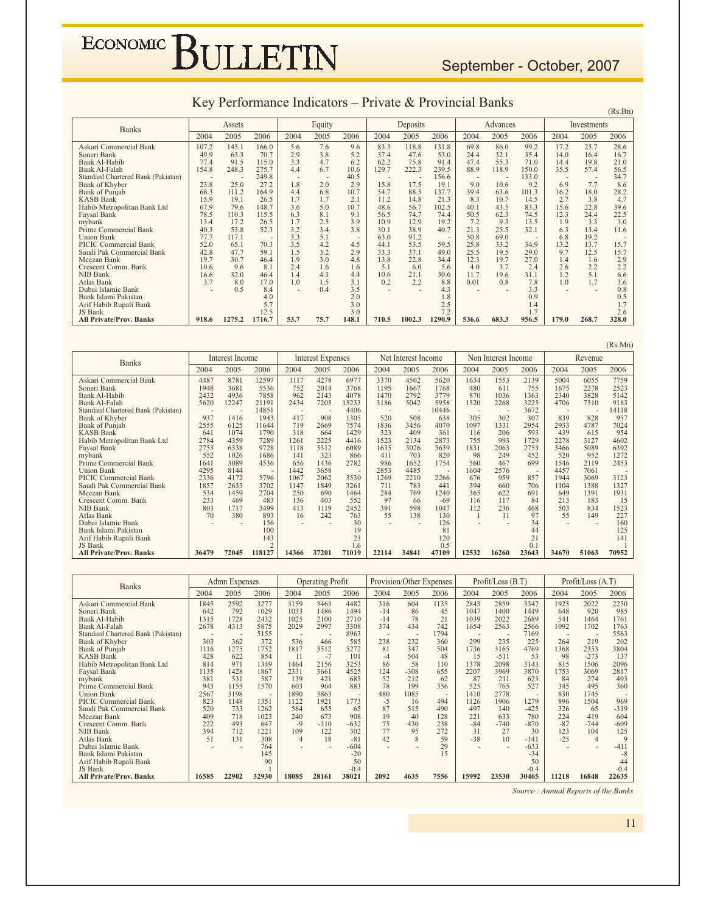#### September - October, 2007

|                                    |       |        |        |      |        |       |       |                |        |       |          |       |       |             | (Rs.Bn) |
|------------------------------------|-------|--------|--------|------|--------|-------|-------|----------------|--------|-------|----------|-------|-------|-------------|---------|
| <b>Banks</b>                       |       | Assets |        |      | Equity |       |       | Deposits       |        |       | Advances |       |       | Investments |         |
|                                    | 2004  | 2005   | 2006   | 2004 | 2005   | 2006  | 2004  | 2005           | 2006   | 2004  | 2005     | 2006  | 2004  | 2005        | 2006    |
| Askari Commercial Bank             | 107.2 | 145.1  | 166.0  | 5.6  | 7.6    | 9.6   | 83.3  | 118.8          | 131.8  | 69.8  | 86.0     | 99.2  | 17.2  | 25.7        | 28.6    |
| Soneri Bank                        | 49.9  | 63.3   | 70.7   | 2.9  | 3.8    | 5.2   | 37.4  | 47.6           | 53.0   | 24.4  | 32.1     | 35.4  | 14.0  | 16.4        | 16.7    |
| Bank Al-Habib                      | 77.4  | 91.5   | 115.0  | 3.3  | 4.7    | 6.2   | 62.2  | 75.8           | 91.4   | 47.4  | 55.3     | 71.0  | 14.4  | 19.8        | 21.0    |
| <b>Bank Al-Falah</b>               | 154.8 | 248.3  | 275.7  | 4.4  | 6.7    | 10.6  | 129.7 | 222.3          | 239.5  | 88.9  | 118.9    | 150.0 | 35.5  | 57.4        | 56.5    |
| Standard Chartered Bank (Pakistan) |       | $\sim$ | 249.8  | ۰    |        | 40.5  |       | $\overline{a}$ | 156.6  |       |          | 133.0 |       |             | 34.7    |
| <b>Bank of Khyber</b>              | 23.8  | 25.0   | 27.2   | 1.8  | 2.0    | 2.9   | 15.8  | 17.5           | 19.1   | 9.0   | 10.6     | 9.2   | 6.9   | 7.7         | 8.6     |
| <b>Bank of Punjab</b>              | 66.3  | 111.2  | 164.9  | 4.4  | 6.8    | 10.7  | 54.7  | 88.5           | 137.7  | 39.4  | 63.6     | 101.3 | 16.2  | 18.0        | 28.2    |
| <b>KASB Bank</b>                   | 15.9  | 19.1   | 26.5   | 1.7  | 1.7    | 2.1   | 11.2  | 14.8           | 21.3   | 8.3   | 10.7     | 14.5  | 2.7   | 3.8         | 4.7     |
| Habib Metropolitan Bank Ltd        | 67.9  | 79.6   | 148.7  | 3.6  | 5.0    | 10.7  | 48.6  | 56.7           | 102.5  | 40.1  | 43.5     | 83.3  | 15.6  | 22.8        | 39.6    |
| Faysal Bank                        | 78.5  | 110.3  | 115.5  | 6.3  | 8.1    | 9.1   | 56.5  | 74.7           | 74.4   | 50.5  | 62.3     | 74.5  | 12.3  | 24.4        | 22.5    |
| mybank                             | 13.4  | 17.2   | 26.5   | 1.7  | 2.5    | 3.9   | 10.9  | 12.9           | 19.2   | 7.2   | 9.3      | 13.5  | 1.9   | 3.3         | 3.0     |
| Prime Commercial Bank              | 40.3  | 53.8   | 52.3   | 3.2  | 3.4    | 3.8   | 30.1  | 38.9           | 40.7   | 21.3  | 25.5     | 32.1  | 6.3   | 13.4        | 11.6    |
| <b>Union Bank</b>                  | 77.7  | 117.1  |        | 3.3  | 5.1    |       | 63.0  | 91.2           | $\sim$ | 50.8  | 69.0     |       | 6.8   | 19.2        |         |
| <b>PICIC Commercial Bank</b>       | 52.0  | 65.1   | 70.3   | 3.5  | 4.2    | 4.5   | 44.1  | 53.5           | 59.5   | 25.8  | 33.2     | 34.9  | 13.2  | 13.7        | 15.7    |
| Saudi Pak Commercial Bank          | 42.8  | 47.7   | 59.1   | 1.5  | 3.2    | 2.9   | 33.3  | 37.1           | 49.0   | 25.5  | 19.5     | 29.0  | 9.7   | 12.5        | 15.7    |
| Meezan Bank                        | 19.7  | 30.7   | 46.4   | 1.9  | 3.0    | 4.8   | 13.8  | 22.8           | 34.4   | 12.3  | 19.7     | 27.0  | 1.4   | 1.6         | 2.9     |
| Crescent Comm. Bank                | 10.6  | 9.6    | 8.1    | 2.4  | 1.6    | 1.6   | 5.1   | 6.0            | 5.6    | 4.0   | 3.7      | 2.4   | 2.6   | 2.2         | 2.2     |
| <b>NIB Bank</b>                    | 16.6  | 32.0   | 46.4   | 1.4  | 4.3    | 4.4   | 10.6  | 21.1           | 30.6   | 11.7  | 19.6     | 31.1  | 1.2   | 5.1         | 6.6     |
| Atlas Bank                         | 3.7   | 8.0    | 17.0   | 1.0  | 1.5    | 3.1   | 0.2   | 2.2            | 8.8    | 0.01  | 0.8      | 7.8   | 1.0   | 1.7         | 3.6     |
| Dubai Islamic Bank                 |       | 0.5    | 8.4    |      | 0.4    | 3.5   |       |                | 4.3    |       |          | 3.3   |       |             | 0.8     |
| Bank Islami Pakistan               |       |        | 4.0    |      |        | 2.0   |       |                | 1.8    |       |          | 0.9   |       |             | 0.5     |
| Arif Habib Rupali Bank             |       |        | 5.7    |      |        | 3.0   |       |                | 2.5    |       |          | 1.4   |       |             |         |
| JS Bank                            |       |        | 12.5   |      |        | 3.0   |       |                | 7.2    |       |          |       |       |             | 2.6     |
| <b>All Private/Prov. Banks</b>     | 918.6 | 1275.2 | 1716.7 | 53.7 | 75.7   | 148.1 | 710.5 | 1002.3         | 1290.9 | 536.6 | 683.3    | 956.5 | 179.0 | 268.7       | 328.0   |

| <b>Banks</b>                       |       | Interest Income |                |       | <b>Interest Expenses</b> |        |       | Net Interest Income      |        |        | Non Interest Income |                 |       | Revenue |       |
|------------------------------------|-------|-----------------|----------------|-------|--------------------------|--------|-------|--------------------------|--------|--------|---------------------|-----------------|-------|---------|-------|
|                                    | 2004  | 2005            | 2006           | 2004  | 2005                     | 2006   | 2004  | 2005                     | 2006   | 2004   | 2005                | 2006            | 2004  | 2005    | 2006  |
| Askari Commercial Bank             | 4487  | 8781            | 12597          | 1117  | 4278                     | 6977   | 3370  | 4502                     | 5620   | 1634   | 1553                | 2139            | 5004  | 6055    | 7759  |
| Soneri Bank                        | 1948  | 3681            | 5536           | 752   | 2014                     | 3768   | 1195  | 1667                     | 1768   | 480    | 611                 | 755             | 1675  | 2278    | 2523  |
| Bank Al-Habib                      | 2432  | 4936            | 7858           | 962   | 2143                     | 4078   | 1470  | 2792                     | 3779   | 870    | 1036                | 1363            | 2340  | 3828    | 5142  |
| <b>Bank Al-Falah</b>               | 5620  | 12247           | 21191          | 2434  | 7205                     | 15233  | 3186  | 5042                     | 5958   | 1520   | 2268                | 3225            | 4706  | 7310    | 9183  |
| Standard Chartered Bank (Pakistan) | ٠     | $\overline{a}$  | 14851          | ٠     |                          | 4406   |       | $\overline{\phantom{a}}$ | 10446  | $\sim$ |                     | 3672            |       |         | 14118 |
| Bank of Khyber                     | 937   | 1416            | 1943           | 417   | 908                      | 1305   | 520   | 508                      | 638    | 305    | 302                 | 307             | 839   | 828     | 957   |
| <b>Bank of Punjab</b>              | 2555  | 6125            | 11644          | 719   | 2669                     | 7574   | 1836  | 3456                     | 4070   | 1097   | 1331                | 2954            | 2933  | 4787    | 7024  |
| <b>KASB Bank</b>                   | 641   | 1074            | 1790           | 318   | 664                      | 1429   | 323   | 409                      | 361    | 116    | 206                 | 593             | 439   | 615     | 954   |
| Habib Metropolitan Bank Ltd        | 2784  | 4359            | 7289           | 1261  | 2225                     | 4416   | 1523  | 2134                     | 2873   | 755    | 993                 | 1729            | 2278  | 3127    | 4602  |
| Faysal Bank                        | 2753  | 6338            | 9728           | 1118  | 3312                     | 6089   | 1635  | 3026                     | 3639   | 1831   | 2063                | 2753            | 3466  | 5089    | 6392  |
| mybank                             | 552   | 1026            | 1686           | 141   | 323                      | 866    | 411   | 703                      | 820    | 98     | 249                 | 452             | 520   | 952     | 1272  |
| Prime Commercial Bank              | 1641  | 3089            | 4536           | 656   | 1436                     | 2782   | 986   | 1652                     | 1754   | 560    | 467                 | 699             | 1546  | 2119    | 2453  |
| <b>Union Bank</b>                  | 4295  | 8144            | $\sim$         | 1442  | 3658                     | $\sim$ | 2853  | 4485                     | $\sim$ | 1604   | 2576                | $\sim$          | 4457  | 7061    |       |
| PICIC Commercial Bank              | 2336  | 4172            | 5796           | 1067  | 2062                     | 3530   | 1269  | 2210                     | 2266   | 676    | 959                 | 857             | 1944  | 3069    | 3123  |
| Saudi Pak Commercial Bank          | 1857  | 2633            | 3702           | 1147  | 1849                     | 3261   | 711   | 783                      | 441    | 394    | 660                 | 706             | 1104  | 1388    | 1327  |
| Meezan Bank                        | 534   | 1459            | 2704           | 250   | 690                      | 1464   | 284   | 769                      | 1240   | 365    | 622                 | 69 <sup>°</sup> | 649   | 1391    | 1931  |
| Crescent Comm. Bank                | 233   | 469             | 483            | 136   | 403                      | 552    | 97    | 66                       | $-69$  | 116    | 117                 | 84              | 213   | 183     | 15    |
| NIB Bank                           | 803   | 1717            | 3499           | 413   | 1119                     | 2452   | 391   | 598                      | 1047   | 112    | 236                 | 468             | 503   | 834     | 1523  |
| Atlas Bank                         | 70    | 380             | 893            | 16    | 242                      | 763    | 55    | 138                      | 130    |        | 11                  | 97              | 55    | 149     | 227   |
| Dubai Islamic Bank                 |       |                 | 156            |       |                          | 30     |       |                          | 126    |        |                     | 34              |       |         | 160   |
| Bank Islami Pakistan               |       |                 | 100            |       |                          | 19     |       |                          | 81     |        |                     | 44              |       |         | 125   |
| Arif Habib Rupali Bank             |       |                 | 143            |       |                          | 23     |       |                          | 120    |        |                     | $\overline{2}$  |       |         | 141   |
| JS Bank                            |       |                 | $\overline{2}$ |       |                          | 1.6    |       |                          | 0.5    |        |                     | 0.1             |       |         |       |
| <b>All Private/Prov. Banks</b>     | 36479 | 72045           | 118127         | 14366 | 37201                    | 71019  | 22114 | 34841                    | 47109  | 12532  | 16260               | 23643           | 34670 | 51063   | 70952 |

| <b>Banks</b>                       |       | <b>Admn</b> Expenses |                          |                          | <b>Operating Profit</b>  |        |       | Provision/Other Expenses |        |       | Profit/Loss (B.T)        |                          |                          | Profit/Loss $(A,T)$ |                |
|------------------------------------|-------|----------------------|--------------------------|--------------------------|--------------------------|--------|-------|--------------------------|--------|-------|--------------------------|--------------------------|--------------------------|---------------------|----------------|
|                                    | 2004  | 2005                 | 2006                     | 2004                     | 2005                     | 2006   | 2004  | 2005                     | 2006   | 2004  | 2005                     | 2006                     | 2004                     | 2005                | 2006           |
| Askari Commercial Bank             | 1845  | 2592                 | 3277                     | 3159                     | 3463                     | 4482   | 316   | 604                      | 1135   | 2843  | 2859                     | 3347                     | 1923                     | 2022                | 2250           |
| Soneri Bank                        | 642   | 792                  | 1029                     | 1033                     | 1486                     | 1494   | $-14$ | 86                       | 45     | 1047  | 1400                     | 1449                     | 648                      | 920                 | 985            |
| Bank Al-Habib                      | 1315  | 1728                 | 2432                     | 1025                     | 2100                     | 2710   | $-14$ | 78                       | 21     | 1039  | 2022                     | 2689                     | 541                      | 1464                | 1761           |
| <b>Bank Al-Falah</b>               | 2678  | 4313                 | 5875                     | 2029                     | 2997                     | 3308   | 374   | 434                      | 742    | 1654  | 2563                     | 2566                     | 1092                     | 1702                | 1763           |
| Standard Chartered Bank (Pakistan) |       | ٠                    | 5155                     | $\overline{\phantom{a}}$ | $\overline{\phantom{a}}$ | 8963   | ٠     | $\overline{\phantom{a}}$ | 1794   |       | $\overline{\phantom{a}}$ | 7169                     | $\overline{\phantom{a}}$ | $\sim$              | 5563           |
| Bank of Khyber                     | 303   | 362                  | 372                      | 536                      | 466                      | 585    | 238   | 232                      | 360    | 299   | 235                      | 225                      | 264                      | 219                 | 202            |
| <b>Bank of Punjab</b>              | 1116  | 1275                 | 1752                     | 1817                     | 3512                     | 5272   | 81    | 347                      | 504    | 1736  | 3165                     | 4769                     | 1368                     | 2353                | 3804           |
| <b>KASB Bank</b>                   | 428   | 622                  | 854                      | 11                       | $-7$                     | 101    | $-4$  | 504                      | 48     | 15    | $-511$                   | 53                       | 98                       | $-273$              | 137            |
| Habib Metropolitan Bank Ltd        | 814   | 971                  | 1349                     | 1464                     | 2156                     | 3253   | 86    | 58                       | 110    | 1378  | 2098                     | 3143                     | 815                      | 1506                | 2096           |
| Faysal Bank                        | 1135  | 1428                 | 1867                     | 2331                     | 3661                     | 4525   | 124   | $-308$                   | 655    | 2207  | 3969                     | 3870                     | 1753                     | 3069                | 2817           |
| mybank                             | 381   | 531                  | 587                      | 139                      | 421                      | 685    | 52    | 212                      | 62     | 87    | 211                      | 623                      | 84                       | 274                 | 493            |
| Prime Commercial Bank              | 943   | 1155                 | 1570                     | 603                      | 964                      | 883    | 78    | 199                      | 356    | 525   | 765                      | 527                      | 345                      | 495                 | 360            |
| <b>Union Bank</b>                  | 2567  | 3198                 | $\overline{\phantom{a}}$ | 1890                     | 3863                     | $\sim$ | 480   | 1085                     | $\sim$ | 1410  | 2778                     | $\overline{\phantom{a}}$ | 830                      | 1745                |                |
| PICIC Commercial Bank              | 823   | 1148                 | 1351                     | 1122                     | 1921                     | 1773   | $-5$  | 16                       | 494    | 1126  | 1906                     | 1279                     | 896                      | 1504                | 969            |
| Saudi Pak Commercial Bank          | 520   | 733                  | 1262                     | 584                      | 655                      | 65     | 87    | 515                      | 490    | 497   | 140                      | $-425$                   | 326                      | 65                  | $-319$         |
| Meezan Bank                        | 409   | 718                  | 1023                     | 240                      | 673                      | 908    | 19    | 40                       | 128    | 221   | 633                      | 780                      | 224                      | 419                 | 604            |
| Crescent Comm. Bank                | 222   | 493                  | 647                      | $-9$                     | $-310$                   | $-632$ | 75    | 430                      | 238    | $-84$ | $-740$                   | $-870$                   | $-87$                    | $-744$              | $-609$         |
| <b>NIB Bank</b>                    | 394   | 712                  | 1221                     | 109                      | 122                      | 302    | 77    | 95                       | 272    | 31    | 27                       | 30                       | 123                      | 104                 | 125            |
| Atlas Bank                         | 51    | 131                  | 308                      | 4                        | 18                       | $-81$  | 42    | 8                        | 59     | $-38$ | 10                       | $-141$                   | $-25$                    | 4                   | $\overline{Q}$ |
| Dubai Islamic Bank                 |       |                      | 764                      |                          | ٠                        | $-604$ |       |                          | 29     |       | $\overline{\phantom{a}}$ | $-633$                   |                          |                     | $-411$         |
| Bank Islami Pakistan               |       |                      | 145                      |                          |                          | $-20$  |       |                          | 15     |       |                          | $-34$                    |                          |                     | $-8$           |
| Arif Habib Rupali Bank             |       |                      | 90                       |                          |                          | 50     |       |                          |        |       |                          | 50                       |                          |                     | 44             |
| JS Bank                            |       |                      |                          |                          |                          | $-0.4$ |       |                          |        |       |                          | $-0.4$                   |                          |                     | $-0.4$         |
| <b>All Private/Prov. Banks</b>     | 16585 | 22902                | 32930                    | 18085                    | 28161                    | 38021  | 2092  | 4635                     | 7556   | 15992 | 23530                    | 30465                    | 11218                    | 16848               | 22635          |

Source : Annual Reports of the Banks

 $(Rs.Mn)$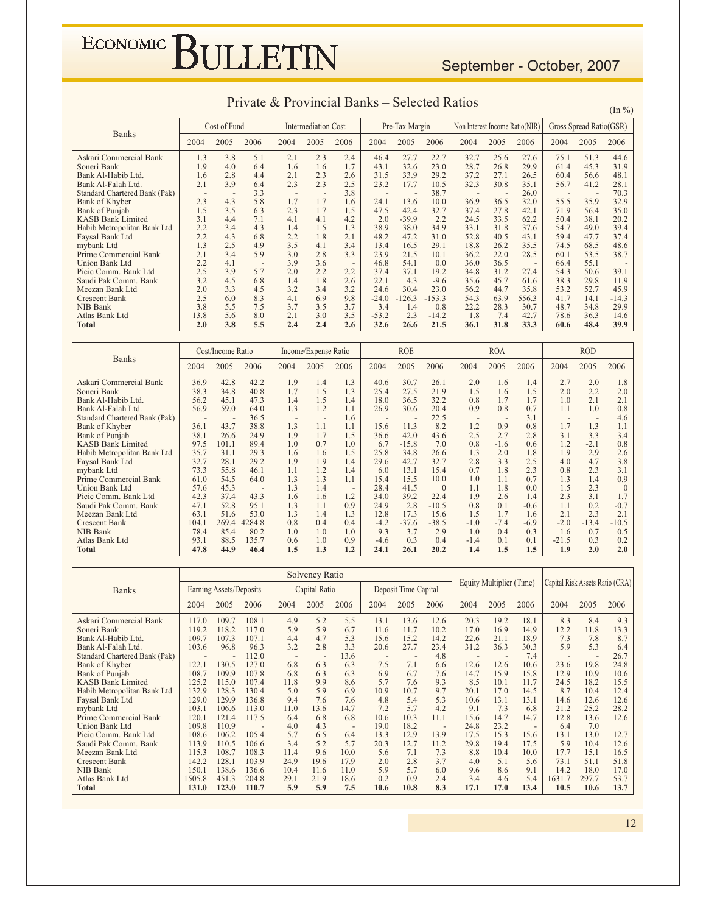#### September - October, 2007

|                               |      | Cost of Fund |      |                          | <b>Intermediation Cost</b> |      |         | Pre-Tax Margin |          | Non Interest Income Ratio(NIR) |      |       |      | Gross Spread Ratio(GSR) |         |
|-------------------------------|------|--------------|------|--------------------------|----------------------------|------|---------|----------------|----------|--------------------------------|------|-------|------|-------------------------|---------|
| <b>Banks</b>                  | 2004 | 2005         | 2006 | 2004                     | 2005                       | 2006 | 2004    | 2005           | 2006     | 2004                           | 2005 | 2006  | 2004 | 2005                    | 2006    |
| Askari Commercial Bank        | 1.3  | 3.8          | 5.1  | 2.1                      | 2.3                        | 2.4  | 46.4    | 27.7           | 22.7     | 32.7                           | 25.6 | 27.6  | 75.1 | 51.3                    | 44.6    |
| Soneri Bank                   | 1.9  | 4.0          | 6.4  | 1.6                      | 1.6                        | 1.7  | 43.1    | 32.6           | 23.0     | 28.7                           | 26.8 | 29.9  | 61.4 | 45.3                    | 31.9    |
| Bank Al-Habib Ltd.            | 1.6  | 2.8          | 4.4  | 2.1                      | 2.3                        | 2.6  | 31.5    | 33.9           | 29.2     | 37.2                           | 27.1 | 26.5  | 60.4 | 56.6                    | 48.1    |
| Bank Al-Falah Ltd.            | 2.1  | 3.9          | 6.4  | 2.3                      | 2.3                        | 2.5  | 23.2    | 17.7           | 10.5     | 32.3                           | 30.8 | 35.1  | 56.7 | 41.2                    | 28.1    |
| Standard Chartered Bank (Pak) |      |              | 3.3  | $\overline{\phantom{a}}$ | $\overline{\phantom{a}}$   | 3.8  |         | ٠              | 38.7     |                                |      | 26.0  |      |                         | 70.3    |
| Bank of Khyber                | 2.3  | 4.3          | 5.8  | 1.7                      | 1.7                        | 1.6  | 24.1    | 13.6           | 10.0     | 36.9                           | 36.5 | 32.0  | 55.5 | 35.9                    | 32.9    |
| <b>Bank of Punjab</b>         | 1.5  | 3.5          | 6.3  | 2.3                      | 1.7                        | 1.5  | 47.5    | 42.4           | 32.7     | 37.4                           | 27.8 | 42.1  | 71.9 | 56.4                    | 35.0    |
| <b>KASB Bank Limited</b>      | 3.1  | 4.4          | 7.1  | 4.1                      | 4.1                        | 4.2  | 2.0     | $-39.9$        | 2.2      | 24.5                           | 33.5 | 62.2  | 50.4 | 38.1                    | 20.2    |
| Habib Metropolitan Bank Ltd   | 2.2  | 3.4          | 4.3  | 1.4                      | 1.5                        | 1.3  | 38.9    | 38.0           | 34.9     | 33.1                           | 31.8 | 37.6  | 54.7 | 49.0                    | 39.4    |
| Faysal Bank Ltd               | 2.2  | 4.3          | 6.8  | 2.2                      | 1.8                        | 2.1  | 48.2    | 47.2           | 31.0     | 52.8                           | 40.5 | 43.1  | 59.4 | 47.7                    | 37.4    |
| mybank Ltd                    | 1.3  | 2.5          | 4.9  | 3.5                      | 4.1                        | 3.4  | 13.4    | 16.5           | 29.1     | 18.8                           | 26.2 | 35.5  | 74.5 | 68.5                    | 48.6    |
| Prime Commercial Bank         | 2.1  | 3.4          | 5.9  | 3.0                      | 2.8                        | 3.3  | 23.9    | 21.5           | 10.1     | 36.2                           | 22.0 | 28.5  | 60.1 | 53.5                    | 38.7    |
| Union Bank Ltd                | 2.2  | 4.1          |      | 3.9                      | 3.6                        |      | 46.8    | 54.1           | 0.0      | 36.0                           | 36.5 |       | 66.4 | 55.1                    |         |
| Picic Comm. Bank Ltd          | 2.5  | 3.9          | 5.7  | 2.0                      | 2.2                        | 2.2  | 37.4    | 37.1           | 19.2     | 34.8                           | 31.2 | 27.4  | 54.3 | 50.6                    | 39.1    |
| Saudi Pak Comm. Bank          | 3.2  | 4.5          | 6.8  | 1.4                      | 1.8                        | 2.6  | 22.1    | 4.3            | $-9.6$   | 35.6                           | 45.7 | 61.6  | 38.3 | 29.8                    | 11.9    |
| Meezan Bank Ltd               | 2.0  | 3.3          | 4.5  | 3.2                      | 3.4                        | 3.2  | 24.6    | 30.4           | 23.0     | 56.2                           | 44.7 | 35.8  | 53.2 | 52.7                    | 45.9    |
| <b>Crescent Bank</b>          | 2.5  | 6.0          | 8.3  | 4.1                      | 6.9                        | 9.8  | $-24.0$ | $-126.3$       | $-153.3$ | 54.3                           | 63.9 | 556.3 | 41.7 | 14.1                    | $-14.3$ |
| <b>NIB Bank</b>               | 3.8  | 5.5          | 7.5  | 3.7                      | 3.5                        | 3.7  | 3.4     | 1.4            | 0.8      | 22.2                           | 28.3 | 30.7  | 48.7 | 34.8                    | 29.9    |
| Atlas Bank Ltd                | 13.8 | 5.6          | 8.0  | 2.1                      | 3.0                        | 3.5  | $-53.2$ | 2.3            | $-14.2$  | 1.8                            | 7.4  | 42.7  | 78.6 | 36.3                    | 14.6    |
| Total                         | 2.0  | 3.8          | 5.5  | 2.4                      | 2.4                        | 2.6  | 32.6    | 26.6           | 21.5     | 36.1                           | 31.8 | 33.3  | 60.6 | 48.4                    | 39.9    |

| <b>Banks</b>                  | Cost/Income Ratio |       |                          |      | Income/Expense Ratio |                          | <b>ROE</b> |         | <b>ROA</b> |                          |        | <b>ROD</b> |         |                          |          |
|-------------------------------|-------------------|-------|--------------------------|------|----------------------|--------------------------|------------|---------|------------|--------------------------|--------|------------|---------|--------------------------|----------|
|                               | 2004              | 2005  | 2006                     | 2004 | 2005                 | 2006                     | 2004       | 2005    | 2006       | 2004                     | 2005   | 2006       | 2004    | 2005                     | 2006     |
| Askari Commercial Bank        | 36.9              | 42.8  | 42.2                     | 1.9  | 1.4                  | 1.3                      | 40.6       | 30.7    | 26.1       | 2.0                      | 1.6    | 1.4        | 2.7     | 2.0                      | 1.8      |
| Soneri Bank                   | 38.3              | 34.8  | 40.8                     | 1.7  | 1.5                  | 1.3                      | 25.4       | 27.5    | 21.9       | 1.5                      | 1.6    | 1.5        | 2.0     | 2.2                      | 2.0      |
| Bank Al-Habib Ltd.            | 56.2              | 45.1  | 47.3                     | 1.4  | 1.5                  | 1.4                      | 18.0       | 36.5    | 32.2       | 0.8                      | 1.7    | 1.7        | 1.0     | 2.1                      | 2.1      |
| Bank Al-Falah Ltd.            | 56.9              | 59.0  | 64.0                     | 1.3  | 1.2                  | 1.1                      | 26.9       | 30.6    | 20.4       | 0.9                      | 0.8    | 0.7        | 1.1     | 1.0                      | 0.8      |
| Standard Chartered Bank (Pak) |                   |       | 36.5                     |      |                      | 1.6                      |            |         | 22.5       | $\overline{\phantom{a}}$ |        | 3.1        |         | $\overline{\phantom{a}}$ | 4.6      |
| Bank of Khyber                | 36.1              | 43.7  | 38.8                     | 1.3  | 1.1                  | 1.1                      | 15.6       | 11.3    | 8.2        | 1.2                      | 0.9    | 0.8        | 1.7     | 1.3                      | 1.1      |
| Bank of Punjab                | 38.1              | 26.6  | 24.9                     | 1.9  | 1.7                  | 1.5                      | 36.6       | 42.0    | 43.6       | 2.5                      | 2.7    | 2.8        | 3.1     | 3.3                      | 3.4      |
| <b>KASB Bank Limited</b>      | 97.5              | 101.1 | 89.4                     | 1.0  | 0.7                  | 1.0                      | 6.7        | $-15.8$ | 7.0        | 0.8                      | $-1.6$ | 0.6        | 1.2     | $-2.1$                   | 0.8      |
| Habib Metropolitan Bank Ltd   | 35.7              | 31.1  | 29.3                     | 1.6  | 1.6                  | 1.5                      | 25.8       | 34.8    | 26.6       | 1.3                      | 2.0    | 1.8        | 1.9     | 2.9                      | 2.6      |
| Faysal Bank Ltd               | 32.7              | 28.1  | 29.2                     | 1.9  | 1.9                  | 1.4                      | 29.6       | 42.7    | 32.7       | 2.8                      | 3.3    | 2.5        | 4.0     | 4.7                      | 3.8      |
| mybank Ltd                    | 73.3              | 55.8  | 46.1                     | 1.1  | 1.2                  | 1.4                      | 6.0        | 13.1    | 15.4       | 0.7                      | 1.8    | 2.3        | 0.8     | 2.3                      | 3.1      |
| Prime Commercial Bank         | 61.0              | 54.5  | 64.0                     | 1.3  | 1.3                  | 1.1                      | 15.4       | 15.5    | 10.0       | 1.0                      | 1.1    | 0.7        | 1.3     | 1.4                      | 0.9      |
| Union Bank Ltd                | 57.6              | 45.3  | $\overline{\phantom{a}}$ | 1.3  | 1.4                  | $\overline{\phantom{a}}$ | 28.4       | 41.5    | $\Omega$   | 1.1                      | 1.8    | 0.0        | 1.5     | 2.3                      | $\Omega$ |
| Picic Comm. Bank Ltd          | 42.3              | 37.4  | 43.3                     | 1.6  | 1.6                  | 1.2                      | 34.0       | 39.2    | 22.4       | 1.9                      | 2.6    | 1.4        | 2.3     | 3.1                      | 1.7      |
| Saudi Pak Comm. Bank          | 47.1              | 52.8  | 95.1                     | 1.3  | 1.1                  | 0.9                      | 24.9       | 2.8     | $-10.5$    | 0.8                      | 0.1    | $-0.6$     | 1.1     | 0.2                      | $-0.7$   |
| Meezan Bank Ltd               | 63.1              | 51.6  | 53.0                     | 1.3  | 1.4                  | 1.3                      | 12.8       | 17.3    | 15.6       | 1.5                      | 1.7    | 1.6        | 2.1     | 2.3                      | 2.1      |
| <b>Crescent Bank</b>          | 104.1             | 269.4 | 4284.8                   | 0.8  | 0.4                  | 0.4                      | $-4.2$     | $-37.6$ | $-38.5$    | $-1.0$                   | $-7.4$ | $-6.9$     | $-2.0$  | $-13.4$                  | $-10.5$  |
| NIB Bank                      | 78.4              | 85.4  | 80.2                     | 1.0  | 1.0                  | 1.0                      | 9.3        | 3.7     | 2.9        | 1.0                      | 0.4    | 0.3        | 1.6     | 0.7                      | 0.5      |
| Atlas Bank Ltd                | 93.1              | 88.5  | 135.7                    | 0.6  | 1.0                  | 0.9                      | $-4.6$     | 0.3     | 0.4        | $-1.4$                   | 0.1    | 0.1        | $-21.5$ | 0.3                      | 0.2      |
| <b>Total</b>                  | 47.8              | 44.9  | 46.4                     | 1.5  | 1.3                  | 1.2                      | 24.1       | 26.1    | 20.2       | 1.4                      | 1.5    | 1.5        | 1.9     | 2.0                      | 2.0      |

|                               |        |                         |       |      | Solvency Ratio |                          |                          |                      |      |      |                          |                          |                                 |                          |      |
|-------------------------------|--------|-------------------------|-------|------|----------------|--------------------------|--------------------------|----------------------|------|------|--------------------------|--------------------------|---------------------------------|--------------------------|------|
| <b>Banks</b>                  |        | Earning Assets/Deposits |       |      | Capital Ratio  |                          |                          | Deposit Time Capital |      |      | Equity Multiplier (Time) |                          | Capital Risk Assets Ratio (CRA) |                          |      |
|                               | 2004   | 2005                    | 2006  | 2004 | 2005           | 2006                     | 2004                     | 2005                 | 2006 | 2004 | 2005                     | 2006                     | 2004                            | 2005                     | 2006 |
| Askari Commercial Bank        | 117.0  | 109.7                   | 108.1 | 4.9  | 5.2            | 5.5                      | 13.1                     | 13.6                 | 12.6 | 20.3 | 19.2                     | 18.1                     | 8.3                             | 8.4                      | 9.3  |
| Soneri Bank                   | 119.2  | 118.2                   | 117.0 | 5.9  | 5.9            | 6.7                      | 11.6                     | 11.7                 | 10.2 | 17.0 | 16.9                     | 14.9                     | 12.2                            | 11.8                     | 13.3 |
| Bank Al-Habib Ltd.            | 109.7  | 107.3                   | 107.1 | 4.4  | 4.7            | 5.3                      | 15.6                     | 15.2                 | 14.2 | 22.6 | 21.1                     | 18.9                     | 7.3                             | 7.8                      | 8.7  |
| Bank Al-Falah Ltd.            | 103.6  | 96.8                    | 96.3  | 3.2  | 2.8            | 3.3                      | 20.6                     | 27.7                 | 23.4 | 31.2 | 36.3                     | 30.3                     | 5.9                             | 5.3                      | 6.4  |
| Standard Chartered Bank (Pak) |        | ٠                       | 12.0  |      | $\overline{a}$ | 13.6                     | $\overline{\phantom{a}}$ |                      | 4.8  |      |                          | 7.4                      | $\overline{\phantom{a}}$        | $\overline{\phantom{a}}$ | 26.7 |
| Bank of Khyber                | 122.1  | 130.5                   | 127.0 | 6.8  | 6.3            | 6.3                      | 7.5                      | 7.1                  | 6.6  | 12.6 | 12.6                     | 10.6                     | 23.6                            | 19.8                     | 24.8 |
| Bank of Punjab                | 108.7  | 109.9                   | 107.8 | 6.8  | 6.3            | 6.3                      | 6.9                      | 6.7                  | 7.6  | 14.7 | 15.9                     | 15.8                     | 12.9                            | 10.9                     | 10.6 |
| <b>KASB Bank Limited</b>      | 125.2  | 115.0                   | 107.4 | 11.8 | 9.9            | 8.6                      | 5.7                      | 7.6                  | 9.3  | 8.5  | 10.1                     | 11.7                     | 24.5                            | 18.2                     | 15.5 |
| Habib Metropolitan Bank Ltd   | 132.9  | 128.3                   | 130.4 | 5.0  | 5.9            | 6.9                      | 10.9                     | 10.7                 | 9.7  | 20.1 | 17.0                     | 14.5                     | 8.7                             | 10.4                     | 12.4 |
| Faysal Bank Ltd               | 129.0  | 129.9                   | 136.8 | 9.4  | 7.6            | 7.6                      | 4.8                      | 5.4                  | 5.3  | 10.6 | 13.1                     | 13.1                     | 14.6                            | 12.6                     | 12.6 |
| mybank Ltd                    | 103.1  | 106.6                   | 113.0 | 11.0 | 13.6           | 14.7                     | 7.2                      | 5.7                  | 4.2  | 9.1  | 7.3                      | 6.8                      | 21.2                            | 25.2                     | 28.2 |
| Prime Commercial Bank         | 120.1  | 121.4                   | 117.5 | 6.4  | 6.8            | 6.8                      | 10.6                     | 10.3                 | 11.1 | 15.6 | 14.7                     | 14.7                     | 12.8                            | 13.6                     | 12.6 |
| <b>Union Bank Ltd</b>         | 109.8  | 110.9                   |       | 4.0  | 4.3            | $\overline{\phantom{a}}$ | 19.0                     | 18.2                 |      | 24.8 | 23.2                     | $\overline{\phantom{a}}$ | 6.4                             | 7.0                      |      |
| Picic Comm. Bank Ltd          | 108.6  | 106.2                   | 105.4 | 5.7  | 6.5            | 6.4                      | 13.3                     | 12.9                 | 13.9 | 17.5 | 15.3                     | 15.6                     | 13.1                            | 13.0                     | 12.7 |
| Saudi Pak Comm. Bank          | 113.9  | 110.5                   | 106.6 | 3.4  | 5.2            | 5.7                      | 20.3                     | 12.7                 | 11.2 | 29.8 | 19.4                     | 17.5                     | 5.9                             | 10.4                     | 12.6 |
| Meezan Bank Ltd               | 115.3  | 108.7                   | 108.3 | 11.4 | 9.6            | 10.0                     | 5.6                      | 7.1                  | 7.3  | 8.8  | 10.4                     | 10.0                     | 17.7                            | 15.1                     | 16.5 |
| <b>Crescent Bank</b>          | 142.2  | 128.1                   | 103.9 | 24.9 | 19.6           | 17.9                     | 2.0                      | 2.8                  | 3.7  | 4.0  | 5.1                      | 5.6                      | 73.1                            | 51.1                     | 51.8 |
| NIB Bank                      | 150.1  | 138.6                   | 136.6 | 10.4 | 11.6           | 11.0                     | 5.9                      | 5.7                  | 6.0  | 9.6  | 8.6                      | 9.1                      | 14.2                            | 18.0                     | 17.0 |
| Atlas Bank Ltd                | 1505.8 | 451.3                   | 204.8 | 29.1 | 21.9           | 18.6                     | 0.2                      | 0.9                  | 2.4  | 3.4  | 4.6                      | 5.4                      | 1631.7                          | 297.7                    | 53.7 |
| Total                         | 131.0  | 123.0                   | 110.7 | 5.9  | 5.9            | 7.5                      | 10.6                     | 10.8                 | 8.3  | 17.1 | 17.0                     | 13.4                     | 10.5                            | 10.6                     | 13.7 |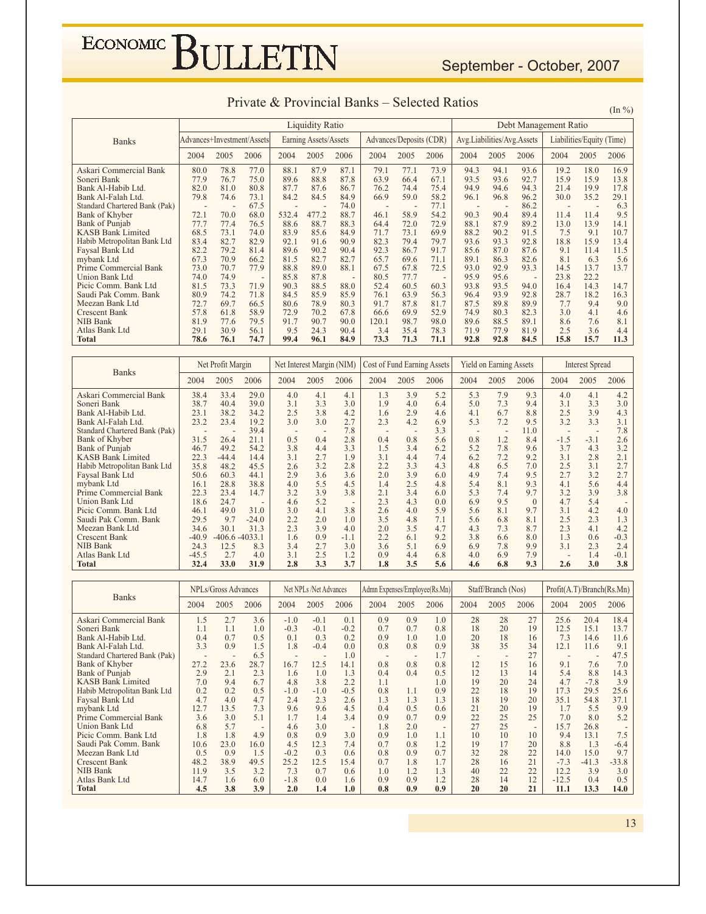|                            |                       | Private & Provincial Banks – Selected Ratios |                                                        | $(\ln \frac{9}{6})$       |
|----------------------------|-----------------------|----------------------------------------------|--------------------------------------------------------|---------------------------|
|                            | Liquidity Ratio       |                                              |                                                        | Debt Management Ratio     |
| Advances+Investment/Assets | Earning Assets/Assets |                                              | Advances/Deposits (CDR)   Avg. Liabilities/Avg. Assets | Liabilities/Equity (Time) |
|                            |                       |                                              |                                                        |                           |

|  | Private & Provincial Banks – Selected Ratios |
|--|----------------------------------------------|
|--|----------------------------------------------|

|                               |                            | <b>Liquidity Ratio</b> |      |       |                       |                          |       |                         |                          |                            |      | Debt Management Ratio    |      |                           |      |  |  |
|-------------------------------|----------------------------|------------------------|------|-------|-----------------------|--------------------------|-------|-------------------------|--------------------------|----------------------------|------|--------------------------|------|---------------------------|------|--|--|
| <b>Banks</b>                  | Advances+Investment/Assets |                        |      |       | Earning Assets/Assets |                          |       | Advances/Deposits (CDR) |                          | Avg.Liabilities/Avg.Assets |      |                          |      | Liabilities/Equity (Time) |      |  |  |
|                               | 2004                       | 2005                   | 2006 | 2004  | 2005                  | 2006                     | 2004  | 2005                    | 2006                     | 2004                       | 2005 | 2006                     | 2004 | 2005                      | 2006 |  |  |
| Askari Commercial Bank        | 80.0                       | 78.8                   | 77.0 | 88.1  | 87.9                  | 87.1                     | 79.1  | 77.1                    | 73.9                     | 94.3                       | 94.1 | 93.6                     | 19.2 | 18.0                      | 16.9 |  |  |
| Soneri Bank                   | 77.9                       | 76.7                   | 75.0 | 89.6  | 88.8                  | 87.8                     | 63.9  | 66.4                    | 67.1                     | 93.5                       | 93.6 | 92.7                     | 15.9 | 15.9                      | 13.8 |  |  |
| Bank Al-Habib Ltd.            | 82.0                       | 81.0                   | 80.8 | 87.7  | 87.6                  | 86.7                     | 76.2  | 74.4                    | 75.4                     | 94.9                       | 94.6 | 94.3                     | 21.4 | 19.9                      | 17.8 |  |  |
| Bank Al-Falah Ltd.            | 79.8                       | 74.6                   | 73.1 | 84.2  | 84.5                  | 84.9                     | 66.9  | 59.0                    | 58.2                     | 96.1                       | 96.8 | 96.2                     | 30.0 | 35.2                      | 29.1 |  |  |
| Standard Chartered Bank (Pak) |                            |                        | 67.5 |       |                       | 74.0                     |       |                         | 77.1                     | $\overline{\phantom{a}}$   |      | 86.2                     |      |                           | 6.3  |  |  |
| Bank of Khyber                | 72.1                       | 70.0                   | 68.0 | 532.4 | 477.2                 | 88.7                     | 46.1  | 58.9                    | 54.2                     | 90.3                       | 90.4 | 89.4                     | 11.4 | 11.4                      | 9.5  |  |  |
| Bank of Punjab                | 77.7                       | 77.4                   | 76.5 | 88.6  | 88.7                  | 88.3                     | 64.4  | 72.0                    | 72.9                     | 88.1                       | 87.9 | 89.2                     | 13.0 | 13.9                      | 14.1 |  |  |
| <b>KASB Bank Limited</b>      | 68.5                       | 73.1                   | 74.0 | 83.9  | 85.6                  | 84.9                     | 71.7  | 73.1                    | 69.9                     | 88.2                       | 90.2 | 91.5                     | 7.5  | 9.1                       | 10.7 |  |  |
| Habib Metropolitan Bank Ltd   | 83.4                       | 82.7                   | 82.9 | 92.1  | 91.6                  | 90.9                     | 82.3  | 79.4                    | 79.7                     | 93.6                       | 93.3 | 92.8                     | 18.8 | 15.9                      | 13.4 |  |  |
| Faysal Bank Ltd               | 82.2                       | 79.2                   | 81.4 | 89.6  | 90.2                  | 90.4                     | 92.3  | 86.7                    | 91.7                     | 85.6                       | 87.0 | 87.6                     | 9.1  | 11.4                      | 11.5 |  |  |
| mybank Ltd                    | 67.3                       | 70.9                   | 66.2 | 81.5  | 82.7                  | 82.7                     | 65.7  | 69.6                    | 71.1                     | 89.1                       | 86.3 | 82.6                     | 8.1  | 6.3                       | 5.6  |  |  |
| Prime Commercial Bank         | 73.0                       | 70.7                   | 77.9 | 88.8  | 89.0                  | 88.1                     | 67.5  | 67.8                    | 72.5                     | 93.0                       | 92.9 | 93.3                     | 14.5 | 13.7                      | 13.7 |  |  |
| <b>Union Bank Ltd</b>         | 74.0                       | 74.9                   |      | 85.8  | 87.8                  | $\overline{\phantom{a}}$ | 80.5  | 77.7                    | $\overline{\phantom{a}}$ | 95.9                       | 95.6 | $\overline{\phantom{0}}$ | 23.8 | 22.2                      |      |  |  |
| Picic Comm. Bank Ltd          | 81.5                       | 73.3                   | 71.9 | 90.3  | 88.5                  | 88.0                     | 52.4  | 60.5                    | 60.3                     | 93.8                       | 93.5 | 94.0                     | 16.4 | 14.3                      | 14.7 |  |  |
| Saudi Pak Comm. Bank          | 80.9                       | 74.2                   | 71.8 | 84.5  | 85.9                  | 85.9                     | 76.1  | 63.9                    | 56.3                     | 96.4                       | 93.9 | 92.8                     | 28.7 | 18.2                      | 16.3 |  |  |
| Meezan Bank Ltd               | 72.7                       | 69.7                   | 66.5 | 80.6  | 78.9                  | 80.3                     | 91.7  | 87.8                    | 81.7                     | 87.5                       | 89.8 | 89.9                     | 7.7  | 9.4                       | 9.0  |  |  |
| <b>Crescent Bank</b>          | 57.8                       | 61.8                   | 58.9 | 72.9  | 70.2                  | 67.8                     | 66.6  | 69.9                    | 52.9                     | 74.9                       | 80.3 | 82.3                     | 3.0  | 4.1                       | 4.6  |  |  |
| NIB Bank                      | 81.9                       | 77.6                   | 79.5 | 91.7  | 90.7                  | 90.0                     | 120.1 | 98.7                    | 98.0                     | 89.6                       | 88.5 | 89.1                     | 8.6  | 7.6                       | 8.1  |  |  |
| Atlas Bank Ltd                | 29.1                       | 30.9                   | 56.1 | 9.5   | 24.3                  | 90.4                     | 3.4   | 35.4                    | 78.3                     | 71.9                       | 77.9 | 81.9                     | 2.5  | 3.6                       | 4.4  |  |  |
| <b>Total</b>                  | 78.6                       | 76.1                   | 74.7 | 99.4  | 96.1                  | 84.9                     | 73.3  | 71.3                    | 71.1                     | 92.8                       | 92.8 | 84.5                     | 15.8 | 15.7                      | 11.3 |  |  |

| Net Profit Margin<br><b>Banks</b> |         |                   |         | Net Interest Margin (NIM)<br>2004<br>2005<br>4.0<br>4.1<br>3.3<br>3.1<br>3.8<br>2.5<br>3.0<br>3.0<br>0.5<br>0.4<br>3.8<br>4.4<br>2.7<br>3.1<br>3.2<br>2.6<br>2.9<br>3.6<br>5.5<br>4.0<br>3.2<br>3.9<br>5.2<br>4.6 |     |                          |      |      | Cost of Fund Earning Assets |                          | <b>Yield on Earning Assets</b> |          | <b>Interest Spread</b>   |                          |        |
|-----------------------------------|---------|-------------------|---------|-------------------------------------------------------------------------------------------------------------------------------------------------------------------------------------------------------------------|-----|--------------------------|------|------|-----------------------------|--------------------------|--------------------------------|----------|--------------------------|--------------------------|--------|
|                                   | 2004    | 2005              | 2006    |                                                                                                                                                                                                                   |     | 2006                     | 2004 | 2005 | 2006                        | 2004                     | 2005                           | 2006     | 2004                     | 2005                     | 2006   |
| Askari Commercial Bank            | 38.4    | 33.4              | 29.0    |                                                                                                                                                                                                                   |     | 4.1                      | 1.3  | 3.9  | 5.2                         | 5.3                      | 7.9                            | 9.3      | 4.0                      | 4.1                      | 4.2    |
| Soneri Bank                       | 38.7    | 40.4              | 39.0    |                                                                                                                                                                                                                   |     | 3.0                      | 1.9  | 4.0  | 6.4                         | 5.0                      | 7.3                            | 9.4      | 3.1                      | 3.3                      | 3.0    |
| Bank Al-Habib Ltd.                | 23.1    | 38.2              | 34.2    |                                                                                                                                                                                                                   |     | 4.2                      | 1.6  | 2.9  | 4.6                         | 4.1                      | 6.7                            | 8.8      | 2.5                      | 3.9                      | 4.3    |
| Bank Al-Falah Ltd.                | 23.2    | 23.4              | 19.2    |                                                                                                                                                                                                                   |     | 2.7                      | 2.3  | 4.2  | 6.9                         | 5.3                      | 7.2                            | 9.5      | 3.2                      | 3.3                      | 3.1    |
| Standard Chartered Bank (Pak)     |         |                   | 39.4    |                                                                                                                                                                                                                   |     | 7.8                      |      |      | 3.3                         | $\overline{\phantom{0}}$ |                                | 11.0     |                          | $\overline{\phantom{0}}$ | 7.8    |
| Bank of Khyber                    | 31.5    | 26.4              | 21.1    |                                                                                                                                                                                                                   |     | 2.8                      | 0.4  | 0.8  | 5.6                         | 0.8                      | 1.2                            | 8.4      | $-1.5$                   | $-3.1$                   | 2.6    |
| Bank of Punjab                    | 46.7    | 49.2              | 54.2    |                                                                                                                                                                                                                   |     | 3.3                      | 1.5  | 3.4  | 6.2                         | 5.2                      | 7.8                            | 9.6      | 3.7                      | 4.3                      | 3.2    |
| <b>KASB Bank Limited</b>          | 22.3    | $-44.4$           | 14.4    |                                                                                                                                                                                                                   |     | 1.9                      | 3.1  | 4.4  | 7.4                         | 6.2                      | 7.2                            | 9.2      | 3.1                      | 2.8                      | 2.1    |
| Habib Metropolitan Bank Ltd       | 35.8    | 48.2              | 45.5    |                                                                                                                                                                                                                   |     | 2.8                      | 2.2  | 3.3  | 4.3                         | 4.8                      | 6.5                            | 7.0      | 2.5                      | 3.1                      | 2.7    |
| Faysal Bank Ltd                   | 50.6    | 60.3              | 44.1    |                                                                                                                                                                                                                   |     | 3.6                      | 2.0  | 3.9  | 6.0                         | 4.9                      | 7.4                            | 9.5      | 2.7                      | 3.2                      | 2.7    |
| mybank Ltd                        | 16.1    | 28.8              | 38.8    |                                                                                                                                                                                                                   |     | 4.5                      | 1.4  | 2.5  | 4.8                         | 5.4                      | 8.1                            | 9.3      | 4.1                      | 5.6                      | 4.4    |
| Prime Commercial Bank             | 22.3    | 23.4              | 14.7    |                                                                                                                                                                                                                   |     | 3.8                      | 2.1  | 3.4  | 6.0                         | 5.3                      | 7.4                            | 9.7      | 3.2                      | 3.9                      | 3.8    |
| Union Bank Ltd                    | 18.6    | 24.7              |         |                                                                                                                                                                                                                   |     | $\overline{\phantom{a}}$ | 2.3  | 4.3  | 0.0                         | 6.9                      | 9.5                            | $\Omega$ | 4.7                      | 5.4                      |        |
| Picic Comm. Bank Ltd              | 46.1    | 49.0              | 31.0    | 3.0                                                                                                                                                                                                               | 4.1 | 3.8                      | 2.6  | 4.0  | 5.9                         | 5.6                      | 8.1                            | 9.7      | 3.1                      | 4.2                      | 4.0    |
| Saudi Pak Comm. Bank              | 29.5    | 9.7               | $-24.0$ | 2.2                                                                                                                                                                                                               | 2.0 | 1.0                      | 3.5  | 4.8  | 7.1                         | 5.6                      | 6.8                            | 8.1      | 2.5                      | 2.3                      | 1.3    |
| Meezan Bank Ltd                   | 34.6    | 30.1              | 31.3    | 2.3                                                                                                                                                                                                               | 3.9 | 4.0                      | 2.0  | 3.5  | 4.7                         | 4.3                      | 7.3                            | 8.7      | 2.3                      | 4.1                      | 4.2    |
| <b>Crescent Bank</b>              | $-40.9$ | $-406.6 - 4033.1$ |         | 1.6                                                                                                                                                                                                               | 0.9 | $-1.1$                   | 2.2  | 6.1  | 9.2                         | 3.8                      | 6.6                            | 8.0      | 1.3                      | 0.6                      | $-0.3$ |
| NIB Bank                          | 24.3    | 12.5              | 8.3     | 3.4                                                                                                                                                                                                               | 2.7 | 3.0                      | 3.6  | 5.1  | 6.9                         | 6.9                      | 7.8                            | 9.9      | 3.1                      | 2.3                      | 2.4    |
| Atlas Bank Ltd                    | $-45.5$ | 2.7               | 4.0     | 3.1                                                                                                                                                                                                               | 2.5 | 1.2                      | 0.9  | 4.4  | 6.8                         | 4.0                      | 6.9                            | 7.9      | $\overline{\phantom{a}}$ | 1.4                      | $-0.1$ |
| <b>Total</b>                      | 32.4    | 33.0              | 31.9    | 2.8                                                                                                                                                                                                               | 3.3 | 3.7                      | 1.8  | 3.5  | 5.6                         | 4.6                      | 6.8                            | 9.3      | 2.6                      | 3.0                      | 3.8    |

| <b>Banks</b>                  | NPLs/Gross Advances |                          | Net NPLs /Net Advances   |        |        |                          |                          | Admn Expenses/Employee(Rs.Mn) |                          | Staff/Branch (Nos)       |      | Profit(A.T)/Branch(Rs.Mn) |                          |                |         |
|-------------------------------|---------------------|--------------------------|--------------------------|--------|--------|--------------------------|--------------------------|-------------------------------|--------------------------|--------------------------|------|---------------------------|--------------------------|----------------|---------|
|                               | 2004                | 2005                     | 2006                     | 2004   | 2005   | 2006                     | 2004                     | 2005                          | 2006                     | 2004                     | 2005 | 2006                      | 2004                     | 2005           | 2006    |
| Askari Commercial Bank        | 1.5                 | 2.7                      | 3.6                      | $-1.0$ | $-0.1$ | 0.1                      | 0.9                      | 0.9                           | 1.0                      | 28                       | 28   | 27                        | 25.6                     | 20.4           | 18.4    |
| Soneri Bank                   | 1.1                 | 1.1                      | 1.0                      | $-0.3$ | $-0.1$ | $-0.2$                   | 0.7                      | 0.7                           | 0.8                      | 18                       | 20   | 19                        | 12.5                     | 15.1           | 13.7    |
| Bank Al-Habib Ltd.            | 0.4                 | 0.7                      | 0.5                      | 0.1    | 0.3    | 0.2                      | 0.9                      | 1.0                           | 1.0                      | 20                       | 18   | 16                        | 7.3                      | 14.6           | 11.6    |
| Bank Al-Falah Ltd.            | 3.3                 | 0.9                      | 1.5                      | 1.8    | $-0.4$ | 0.0                      | 0.8                      | 0.8                           | 0.9                      | 38                       | 35   | 34                        | 12.1                     | 11.6           | 9.1     |
| Standard Chartered Bank (Pak) |                     | $\overline{\phantom{0}}$ | 6.5                      |        |        | 1.0                      | $\overline{\phantom{a}}$ |                               | 1.7                      | $\overline{\phantom{a}}$ |      | 27                        | $\overline{\phantom{a}}$ | $\overline{a}$ | 47.5    |
| Bank of Khyber                | 27.2                | 23.6                     | 28.7                     | 16.7   | 12.5   | 14.1                     | 0.8                      | 0.8                           | 0.8                      | 12                       | 15   | 16                        | 9.1                      | 7.6            | 7.0     |
| <b>Bank of Puniab</b>         | 2.9                 | 2.1                      | 2.3                      | 1.6    | 1.0    | 1.3                      | 0.4                      | 0.4                           | 0.5                      | 12                       | 13   | 14                        | 5.4                      | 8.8            | 14.3    |
| <b>KASB Bank Limited</b>      | 7.0                 | 9.4                      | 6.7                      | 4.8    | 3.8    | 2.2                      | 1.1                      |                               | 1.0                      | 19                       | 20   | 24                        | 4.7                      | $-7.8$         | 3.9     |
| Habib Metropolitan Bank Ltd   | 0.2                 | 0.2                      | 0.5                      | $-1.0$ | $-1.0$ | $-0.5$                   | 0.8                      | 1.1                           | 0.9                      | 22                       | 18   | 19                        | 17.3                     | 29.5           | 25.6    |
| Faysal Bank Ltd               | 4.7                 | 4.0                      | 4.7                      | 2.4    | 2.3    | 2.6                      | 1.3                      | 1.3                           | 1.3                      | 18                       | 19   | 20                        | 35.1                     | 54.8           | 37.1    |
| mybank Ltd                    | 12.7                | 13.5                     | 7.3                      | 9.6    | 9.6    | 4.5                      | 0.4                      | 0.5                           | 0.6                      | 21                       | 20   | 19                        | 1.7                      | 5.5            | 9.9     |
| Prime Commercial Bank         | 3.6                 | 3.0                      | 5.1                      | 1.7    | 1.4    | 3.4                      | 0.9                      | 0.7                           | 0.9                      | 22                       | 25   | 25                        | 7.0                      | 8.0            | 5.2     |
| <b>Union Bank Ltd</b>         | 6.8                 | 5.7                      | $\overline{\phantom{0}}$ | 4.6    | 3.0    | $\overline{\phantom{a}}$ | 1.8                      | 2.0                           | $\overline{\phantom{a}}$ | 27                       | 25   | $\overline{\phantom{0}}$  | 15.7                     | 26.8           |         |
| Picic Comm. Bank Ltd          | 1.8                 | 1.8                      | 4.9                      | 0.8    | 0.9    | 3.0                      | 0.9                      | 1.0                           | 1.1                      | 10                       | 10   | 10                        | 9.4                      | 13.1           | 7.5     |
| Saudi Pak Comm. Bank          | 10.6                | 23.0                     | 16.0                     | 4.5    | 12.3   | 7.4                      | 0.7                      | 0.8                           | 1.2                      | 19                       | 17   | 20                        | 8.8                      | 1.3            | $-6.4$  |
| Meezan Bank Ltd               | 0.5                 | 0.9                      | 1.5                      | $-0.2$ | 0.3    | 0.6                      | 0.8                      | 0.9                           | 0.7                      | 32                       | 28   | 22                        | 14.0                     | 15.0           | 9.7     |
| <b>Crescent Bank</b>          | 48.2                | 38.9                     | 49.5                     | 25.2   | 12.5   | 15.4                     | 0.7                      | 1.8                           | 1.7                      | 28                       | 16   | 21                        | $-7.3$                   | $-41.3$        | $-33.8$ |
| NIB Bank                      | 11.9                | 3.5                      | 3.2                      | 7.3    | 0.7    | 0.6                      | 1.0                      | 1.2                           | 1.3                      | 40                       | 22   | 22                        | 12.2                     | 3.9            | 3.0     |
| Atlas Bank Ltd                | 14.7                | 1.6                      | 6.0                      | $-1.8$ | 0.0    | 1.6                      | 0.9                      | 0.9                           | 1.2                      | 28                       | 14   | 12                        | $-12.5$                  | 0.4            | 0.5     |
| <b>Total</b>                  | 4.5                 | 3.8                      | 3.9                      | 2.0    | 1.4    | 1.0                      | 0.8                      | 0.9                           | 0.9                      | 20                       | 20   | 21                        | 11.1                     | 13.3           | 14.0    |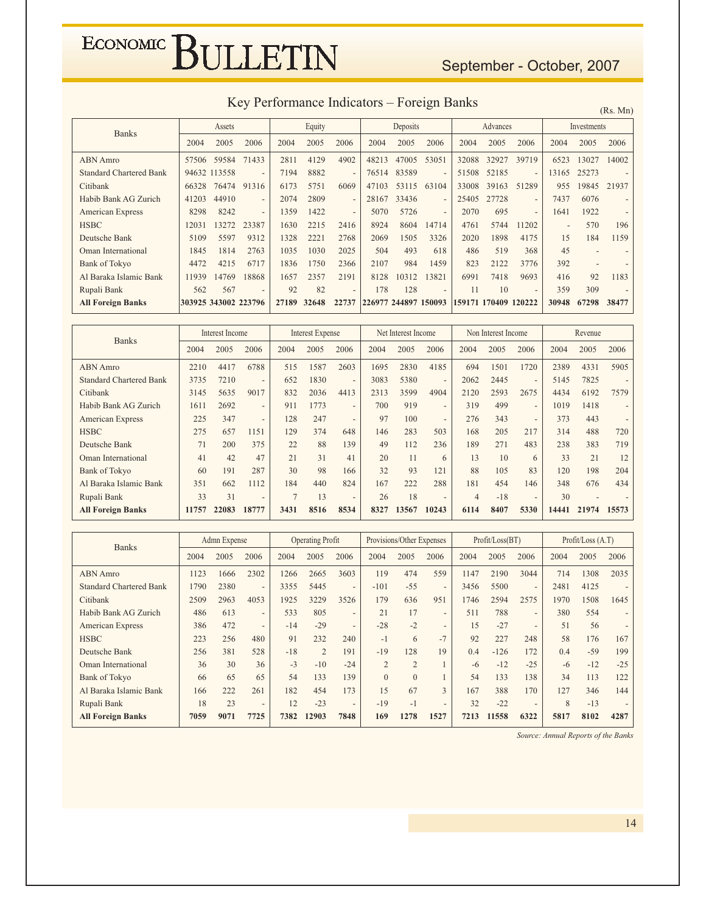#### September - October, 2007

| Key Performance Indicators – Foreign Banks |  |  |
|--------------------------------------------|--|--|
|--------------------------------------------|--|--|

| <b>INCY I CHOHMANICO INCHICATOLS</b><br>T OIVIEII DUIINS |                      |              |                          |       |        |                          |                      |          |                          |       |                      |                          | (Rs. Mn) |             |       |
|----------------------------------------------------------|----------------------|--------------|--------------------------|-------|--------|--------------------------|----------------------|----------|--------------------------|-------|----------------------|--------------------------|----------|-------------|-------|
| <b>Banks</b>                                             |                      | Assets       |                          |       | Equity |                          |                      | Deposits |                          |       | Advances             |                          |          | Investments |       |
|                                                          | 2004                 | 2005         | 2006                     | 2004  | 2005   | 2006                     | 2004                 | 2005     | 2006                     | 2004  | 2005                 | 2006                     | 2004     | 2005        | 2006  |
| <b>ABN</b> Amro                                          | 57506                | 59584        | 71433                    | 2811  | 4129   | 4902                     | 48213                | 47005    | 53051                    | 32088 | 32927                | 39719                    | 6523     | 13027       | 14002 |
| <b>Standard Chartered Bank</b>                           |                      | 94632 113558 | $\overline{\phantom{a}}$ | 7194  | 8882   | $\overline{a}$           | 76514                | 83589    | $\overline{a}$           | 51508 | 52185                | $\overline{\phantom{a}}$ | 13165    | 25273       |       |
| Citibank                                                 | 66328                | 76474        | 91316                    | 6173  | 5751   | 6069                     | 47103                | 53115    | 63104                    | 33008 | 39163                | 51289                    | 955      | 19845       | 21937 |
| Habib Bank AG Zurich                                     | 41203                | 44910        | $\overline{\phantom{0}}$ | 2074  | 2809   | $\overline{a}$           | 28167                | 33436    | $\overline{a}$           | 25405 | 27728                | $\overline{\phantom{a}}$ | 7437     | 6076        |       |
| American Express                                         | 8298                 | 8242         | $\overline{\phantom{a}}$ | 1359  | 1422   | $\overline{\phantom{0}}$ | 5070                 | 5726     | $\overline{a}$           | 2070  | 695                  | $\overline{\phantom{a}}$ | 1641     | 1922        |       |
| <b>HSBC</b>                                              | 12031                | 13272        | 23387                    | 1630  | 2215   | 2416                     | 8924                 | 8604     | 14714                    | 4761  | 5744                 | 11202                    |          | 570         | 196   |
| Deutsche Bank                                            | 5109                 | 5597         | 9312                     | 1328  | 2221   | 2768                     | 2069                 | 1505     | 3326                     | 2020  | 1898                 | 4175                     | 15       | 184         | 1159  |
| Oman International                                       | 1845                 | 1814         | 2763                     | 1035  | 1030   | 2025                     | 504                  | 493      | 618                      | 486   | 519                  | 368                      | 45       |             |       |
| Bank of Tokyo                                            | 4472                 | 4215         | 6717                     | 1836  | 1750   | 2366                     | 2107                 | 984      | 1459                     | 823   | 2122                 | 3776                     | 392      |             |       |
| Al Baraka Islamic Bank                                   | 11939                | 14769        | 18868                    | 1657  | 2357   | 2191                     | 8128                 | 10312    | 13821                    | 6991  | 7418                 | 9693                     | 416      | 92          | 1183  |
| Rupali Bank                                              | 562                  | 567          | $\overline{\phantom{a}}$ | 92    | 82     | $\overline{\phantom{0}}$ | 178                  | 128      | $\overline{\phantom{0}}$ | 11    | 10                   | $\overline{\phantom{a}}$ | 359      | 309         |       |
| <b>All Foreign Banks</b>                                 | 303925 343002 223796 |              |                          | 27189 | 32648  | 22737                    | 226977 244897 150093 |          |                          |       | 159171 170409 120222 |                          | 30948    | 67298       | 38477 |

| <b>Banks</b>                   |       | Interest Income |                          |                | <b>Interest Expense</b> |                          |      | Net Interest Income |                          |                | Non Interest Income |                          |       | Revenue |                          |
|--------------------------------|-------|-----------------|--------------------------|----------------|-------------------------|--------------------------|------|---------------------|--------------------------|----------------|---------------------|--------------------------|-------|---------|--------------------------|
|                                | 2004  | 2005            | 2006                     | 2004           | 2005                    | 2006                     | 2004 | 2005                | 2006                     | 2004           | 2005                | 2006                     | 2004  | 2005    | 2006                     |
| <b>ABN</b> Amro                | 2210  | 4417            | 6788                     | 515            | 1587                    | 2603                     | 1695 | 2830                | 4185                     | 694            | 1501                | 1720                     | 2389  | 4331    | 5905                     |
| <b>Standard Chartered Bank</b> | 3735  | 7210            | $\overline{\phantom{0}}$ | 652            | 1830                    | $\overline{\phantom{0}}$ | 3083 | 5380                | $\overline{\phantom{a}}$ | 2062           | 2445                | $\overline{\phantom{0}}$ | 5145  | 7825    |                          |
| Citibank                       | 3145  | 5635            | 9017                     | 832            | 2036                    | 4413                     | 2313 | 3599                | 4904                     | 2120           | 2593                | 2675                     | 4434  | 6192    | 7579                     |
| Habib Bank AG Zurich           | 1611  | 2692            | $\overline{\phantom{0}}$ | 911            | 1773                    | $\overline{\phantom{0}}$ | 700  | 919                 | $\overline{\phantom{a}}$ | 319            | 499                 | $\overline{\phantom{0}}$ | 1019  | 1418    | $\overline{\phantom{0}}$ |
| American Express               | 225   | 347             | $\overline{\phantom{0}}$ | 128            | 247                     | $\overline{a}$           | 97   | 100                 | $\overline{\phantom{a}}$ | 276            | 343                 | $\overline{\phantom{0}}$ | 373   | 443     | $\overline{\phantom{0}}$ |
| <b>HSBC</b>                    | 275   | 657             | 1151                     | 129            | 374                     | 648                      | 146  | 283                 | 503                      | 168            | 205                 | 217                      | 314   | 488     | 720                      |
| Deutsche Bank                  | 71    | 200             | 375                      | 22             | 88                      | 139                      | 49   | 112                 | 236                      | 189            | 271                 | 483                      | 238   | 383     | 719                      |
| Oman International             | 41    | 42              | 47                       | 21             | 31                      | 41                       | 20   | 11                  | 6                        | 13             | 10                  | 6                        | 33    | 21      | 12                       |
| <b>Bank of Tokyo</b>           | 60    | 191             | 287                      | 30             | 98                      | 166                      | 32   | 93                  | 121                      | 88             | 105                 | 83                       | 120   | 198     | 204                      |
| Al Baraka Islamic Bank         | 351   | 662             | 1112                     | 184            | 440                     | 824                      | 167  | 222                 | 288                      | 181            | 454                 | 146                      | 348   | 676     | 434                      |
| Rupali Bank                    | 33    | 31              | $\overline{\phantom{0}}$ | $\overline{7}$ | 13                      | $\overline{\phantom{0}}$ | 26   | 18                  | $\overline{\phantom{a}}$ | $\overline{4}$ | $-18$               | $\overline{\phantom{0}}$ | 30    |         |                          |
| <b>All Foreign Banks</b>       | 11757 | 22083           | 18777                    | 3431           | 8516                    | 8534                     | 8327 | 13567               | 10243                    | 6114           | 8407                | 5330                     | 14441 | 21974   | 15573                    |

| <b>Banks</b>                   |      | Admn Expense |                          |       | <b>Operating Profit</b> |                          |                | Provisions/Other Expenses |                          |      | Profit / Loss (BT) |                          | Profit / Loss (A.T) |       |       |
|--------------------------------|------|--------------|--------------------------|-------|-------------------------|--------------------------|----------------|---------------------------|--------------------------|------|--------------------|--------------------------|---------------------|-------|-------|
|                                | 2004 | 2005         | 2006                     | 2004  | 2005                    | 2006                     | 2004           | 2005                      | 2006                     | 2004 | 2005               | 2006                     | 2004                | 2005  | 2006  |
| <b>ABN</b> Amro                | 1123 | 1666         | 2302                     | 1266  | 2665                    | 3603                     | 119            | 474                       | 559                      | 1147 | 2190               | 3044                     | 714                 | 1308  | 2035  |
| <b>Standard Chartered Bank</b> | 1790 | 2380         | $\overline{\phantom{0}}$ | 3355  | 5445                    | $\overline{\phantom{a}}$ | $-101$         | $-55$                     | $\overline{\phantom{a}}$ | 3456 | 5500               | $\overline{\phantom{a}}$ | 2481                | 4125  |       |
| Citibank                       | 2509 | 2963         | 4053                     | 1925  | 3229                    | 3526                     | 179            | 636                       | 951                      | 1746 | 2594               | 2575                     | 1970                | 1508  | 1645  |
| Habib Bank AG Zurich           | 486  | 613          | $\overline{\phantom{0}}$ | 533   | 805                     | $\overline{\phantom{a}}$ | 21             | 17                        | $\overline{\phantom{a}}$ | 511  | 788                | $\overline{\phantom{a}}$ | 380                 | 554   |       |
| <b>American Express</b>        | 386  | 472          | $\overline{\phantom{0}}$ | $-14$ | $-29$                   | $\overline{\phantom{0}}$ | $-28$          | $-2$                      | $\overline{\phantom{0}}$ | 15   | $-27$              | $\overline{\phantom{a}}$ | 51                  | 56    |       |
| <b>HSBC</b>                    | 223  | 256          | 480                      | 91    | 232                     | 240                      | $-1$           | 6                         | $-7$                     | 92   | 227                | 248                      | 58                  | 176   | 167   |
| Deutsche Bank                  | 256  | 381          | 528                      | $-18$ | $\overline{2}$          | 191                      | $-19$          | 128                       | 19                       | 0.4  | $-126$             | 172                      | 0.4                 | $-59$ | 199   |
| Oman International             | 36   | 30           | 36                       | $-3$  | $-10$                   | $-24$                    | $\overline{2}$ | $\overline{2}$            |                          | -6   | $-12$              | $-25$                    | -6                  | $-12$ | $-25$ |
| <b>Bank of Tokyo</b>           | 66   | 65           | 65                       | 54    | 133                     | 139                      | $\theta$       | $\theta$                  |                          | 54   | 133                | 138                      | 34                  | 113   | 122   |
| Al Baraka Islamic Bank         | 166  | 222          | 261                      | 182   | 454                     | 173                      | 15             | 67                        | 3                        | 167  | 388                | 170                      | 127                 | 346   | 144   |
| Rupali Bank                    | 18   | 23           | $\overline{\phantom{0}}$ | 12    | $-23$                   | $\overline{\phantom{a}}$ | $-19$          | $-1$                      | $\overline{\phantom{0}}$ | 32   | $-22$              | $\overline{\phantom{0}}$ | $\mathbf{8}$        | $-13$ |       |
| <b>All Foreign Banks</b>       | 7059 | 9071         | 7725                     | 7382  | 12903                   | 7848                     | 169            | 1278                      | 1527                     | 7213 | 11558              | 6322                     | 5817                | 8102  | 4287  |

Source: Annual Reports of the Banks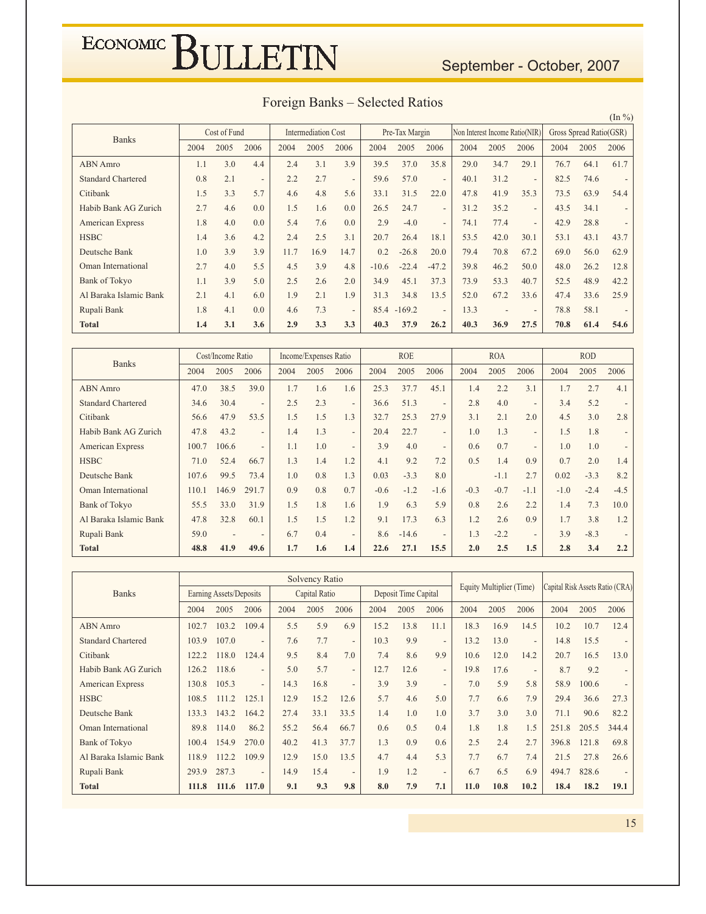#### September - October, 2007

| Foreign Banks – Selected Ratios |  |  |
|---------------------------------|--|--|
|---------------------------------|--|--|

Cost of Fund Intermediation C ost | Pre-Tax Margin | Non Interest Income Ratio(NIR) | Gross Spread Cost of Fund Intermediation Cost Pre-Tax Margin Non Interest Income Ratio(NIR) Gross Spread Ratio(GSR) ABN Amro Standard Chartered Citibank Habib Bank AG Zurich American Express **HSBC** Deutsche Bank Oman International Bank of Tokyo Al Baraka Islamic Bank Rupali Bank **-** 2004 2005 2006 | 2004 2005 2006 | 2004 2005 2006 | 2004 2005 2006 2004 2005 2006 1.1 0.8 1.5 2.7 1.8 4  $1.0\,$ 2.7 1.1 2.1  $1.8\,$ **1.4**  $3.0$ 2.1  $3.3$ 4 4  $3.6$  $3.9$ 4  $3.9$ 4 4 3.1 4 ? 5.7 0.0  $0.0$ 4  $3.9$ 5.5 5.0 6.0  $0.0\,$  $3.6$ 2.4 2.2 4 1.5 ;4 4  $11.7$ 4.5 2.5 1.9 4 **!%**  $3.1$ 2.7 4 1.6 7.6 2.5 16.9  $3.9$ 2.6 2.1  $7.3$ 3.3  $3.9$ ? 5.6 0.0  $0.0$  $3.1$ 14.7 4 2.0 1.9 ? 3.3 39.5 59.6  $33.1$ 26.5 2.9 20.7  $0.2 -26.8$  $-10.6$   $-22.4$ 34.9  $31.3$ 85.4 -169.2 **40.3** 37.0 57.0  $31.5$ 24.7  $-4.0$ 26.4 45.1 34.8 37.9 35.8 ? 22.0 ? ? 18.1 20.0  $-47.2$  $37.3$ 13.5 ? **!** 29.0  $40.1$ 47.8  $31.2$ 74.1 53.5 79.4 39.8 73.9 52.0  $13.3$  $40.3$ 34.7  $31.2$ 41.9  $35.2$ 77.4 42.0 70.8 46.2 53.3 67.2 ? **\$!%** 29.1 ?  $35.3$ ? ?  $30.1$ 67.2 50.0 40.7 33.6 ?  $27.5$ 76.7 82.5 73.5  $43.5$ 42.9 53.1 69.0 48.0 52.5 47.4  $78.8$  $70.8$ 64.1 74.6 63.9  $34.1$ 28.8  $43.1$ 56.0 26.2 48.9 33.6  $58.1$  $61.4$ 61.7 ? 54.4 ? ? 43.7 62.9 12.8  $42.2$ 25.9 ?  $54.6$ 

| <b>Banks</b>              |       | Cost/Income Ratio        |                          |      | Income/Expenses Ratio |                          |        | <b>ROE</b> |                          |        | <b>ROA</b> |                          |        | <b>ROD</b> |                          |
|---------------------------|-------|--------------------------|--------------------------|------|-----------------------|--------------------------|--------|------------|--------------------------|--------|------------|--------------------------|--------|------------|--------------------------|
|                           | 2004  | 2005                     | 2006                     | 2004 | 2005                  | 2006                     | 2004   | 2005       | 2006                     | 2004   | 2005       | 2006                     | 2004   | 2005       | 2006                     |
| <b>ABN</b> Amro           | 47.0  | 38.5                     | 39.0                     | 1.7  | 1.6                   | 1.6                      | 25.3   | 37.7       | 45.1                     | 1.4    | 2.2        | 3.1                      | 1.7    | 2.7        | 4.1                      |
| <b>Standard Chartered</b> | 34.6  | 30.4                     | $\overline{\phantom{0}}$ | 2.5  | 2.3                   | $\overline{\phantom{a}}$ | 36.6   | 51.3       | $\overline{\phantom{a}}$ | 2.8    | 4.0        | $\overline{\phantom{a}}$ | 3.4    | 5.2        | $\overline{\phantom{0}}$ |
| Citibank                  | 56.6  | 47.9                     | 53.5                     | 1.5  | 1.5                   | 1.3                      | 32.7   | 25.3       | 27.9                     | 3.1    | 2.1        | 2.0                      | 4.5    | 3.0        | 2.8                      |
| Habib Bank AG Zurich      | 47.8  | 43.2                     | $\overline{\phantom{0}}$ | 1.4  | 1.3                   | $\overline{\phantom{a}}$ | 20.4   | 22.7       | $\overline{\phantom{a}}$ | 1.0    | 1.3        | $\overline{\phantom{a}}$ | 1.5    | 1.8        |                          |
| <b>American Express</b>   | 100.7 | 106.6                    | $\overline{\phantom{0}}$ | 1.1  | 1.0                   | $\overline{\phantom{a}}$ | 3.9    | 4.0        | $\overline{\phantom{a}}$ | 0.6    | 0.7        | $\overline{\phantom{a}}$ | 1.0    | 1.0        | $\overline{a}$           |
| <b>HSBC</b>               | 71.0  | 52.4                     | 66.7                     | 1.3  | 1.4                   | 1.2                      | 4.1    | 9.2        | 7.2                      | 0.5    | 1.4        | 0.9                      | 0.7    | 2.0        | 1.4                      |
| Deutsche Bank             | 107.6 | 99.5                     | 73.4                     | 1.0  | 0.8                   | 1.3                      | 0.03   | $-3.3$     | 8.0                      |        | $-1.1$     | 2.7                      | 0.02   | $-3.3$     | 8.2                      |
| Oman International        | 110.1 | 146.9                    | 291.7                    | 0.9  | 0.8                   | 0.7                      | $-0.6$ | $-1.2$     | $-1.6$                   | $-0.3$ | $-0.7$     | $-1.1$                   | $-1.0$ | $-2.4$     | $-4.5$                   |
| Bank of Tokyo             | 55.5  | 33.0                     | 31.9                     | 1.5  | 1.8                   | 1.6                      | 1.9    | 6.3        | 5.9                      | 0.8    | 2.6        | 2.2                      | 1.4    | 7.3        | 10.0                     |
| Al Baraka Islamic Bank    | 47.8  | 32.8                     | 60.1                     | 1.5  | 1.5                   | 1.2                      | 9.1    | 17.3       | 6.3                      | 1.2    | 2.6        | 0.9                      | 1.7    | 3.8        | 1.2                      |
| Rupali Bank               | 59.0  | $\overline{\phantom{a}}$ | $\overline{\phantom{0}}$ | 6.7  | 0.4                   | $\overline{\phantom{0}}$ | 8.6    | $-14.6$    | $\overline{\phantom{a}}$ | 1.3    | $-2.2$     | $\overline{\phantom{a}}$ | 3.9    | $-8.3$     |                          |
| <b>Total</b>              | 48.8  | 41.9                     | 49.6                     | 1.7  | 1.6                   | 1.4                      | 22.6   | 27.1       | 15.5                     | 2.0    | 2.5        | 1.5                      | 2.8    | 3.4        | 2.2                      |

|                           |       | Solvency Ratio          |                          |      |               |                          |      |                      |                          |      |                          |                          | Capital Risk Assets Ratio (CRA) |       |                          |
|---------------------------|-------|-------------------------|--------------------------|------|---------------|--------------------------|------|----------------------|--------------------------|------|--------------------------|--------------------------|---------------------------------|-------|--------------------------|
| <b>Banks</b>              |       | Earning Assets/Deposits |                          |      | Capital Ratio |                          |      | Deposit Time Capital |                          |      | Equity Multiplier (Time) |                          |                                 |       |                          |
|                           | 2004  | 2005                    | 2006                     | 2004 | 2005          | 2006                     | 2004 | 2005                 | 2006                     | 2004 | 2005                     | 2006                     | 2004                            | 2005  | 2006                     |
| <b>ABN</b> Amro           | 102.7 | 103.2                   | 109.4                    | 5.5  | 5.9           | 6.9                      | 15.2 | 13.8                 | 11.1                     | 18.3 | 16.9                     | 14.5                     | 10.2                            | 10.7  | 12.4                     |
| <b>Standard Chartered</b> | 103.9 | 107.0                   | $\overline{\phantom{0}}$ | 7.6  | 7.7           | $\overline{\phantom{a}}$ | 10.3 | 9.9                  | $\overline{\phantom{a}}$ | 13.2 | 13.0                     | $\overline{\phantom{0}}$ | 14.8                            | 15.5  |                          |
| Citibank                  | 122.2 | 118.0                   | 124.4                    | 9.5  | 8.4           | 7.0                      | 7.4  | 8.6                  | 9.9                      | 10.6 | 12.0                     | 14.2                     | 20.7                            | 16.5  | 13.0                     |
| Habib Bank AG Zurich      | 126.2 | 118.6                   | $\overline{\phantom{0}}$ | 5.0  | 5.7           | $\overline{\phantom{a}}$ | 12.7 | 12.6                 | $\overline{\phantom{a}}$ | 19.8 | 17.6                     | $\overline{\phantom{a}}$ | 8.7                             | 9.2   | $\overline{\phantom{0}}$ |
| <b>American Express</b>   | 130.8 | 105.3                   | $\overline{\phantom{0}}$ | 14.3 | 16.8          | $\overline{\phantom{a}}$ | 3.9  | 3.9                  | $\overline{\phantom{a}}$ | 7.0  | 5.9                      | 5.8                      | 58.9                            | 100.6 |                          |
| <b>HSBC</b>               | 108.5 | 111.2                   | 125.1                    | 12.9 | 15.2          | 12.6                     | 5.7  | 4.6                  | 5.0                      | 7.7  | 6.6                      | 7.9                      | 29.4                            | 36.6  | 27.3                     |
| Deutsche Bank             | 133.3 | 143.2                   | 164.2                    | 27.4 | 33.1          | 33.5                     | 1.4  | 1.0                  | 1.0                      | 3.7  | 3.0                      | 3.0                      | 71.1                            | 90.6  | 82.2                     |
| Oman International        | 89.8  | 114.0                   | 86.2                     | 55.2 | 56.4          | 66.7                     | 0.6  | 0.5                  | 0.4                      | 1.8  | 1.8                      | 1.5                      | 251.8                           | 205.5 | 344.4                    |
| Bank of Tokyo             | 100.4 | 154.9                   | 270.0                    | 40.2 | 41.3          | 37.7                     | 1.3  | 0.9                  | 0.6                      | 2.5  | 2.4                      | 2.7                      | 396.8                           | 121.8 | 69.8                     |
| Al Baraka Islamic Bank    | 118.9 | 112.2                   | 109.9                    | 12.9 | 15.0          | 13.5                     | 4.7  | 4.4                  | 5.3                      | 7.7  | 6.7                      | 7.4                      | 21.5                            | 27.8  | 26.6                     |
| Rupali Bank               | 293.9 | 287.3                   | $\overline{\phantom{0}}$ | 14.9 | 15.4          | $\overline{\phantom{a}}$ | 1.9  | 1.2                  | $\overline{\phantom{a}}$ | 6.7  | 6.5                      | 6.9                      | 494.7                           | 828.6 |                          |
| <b>Total</b>              | 111.8 | 111.6                   | 117.0                    | 9.1  | 9.3           | 9.8                      | 8.0  | 7.9                  | 7.1                      | 11.0 | 10.8                     | 10.2                     | 18.4                            | 18.2  | 19.1                     |

 $(\ln \frac{9}{6})$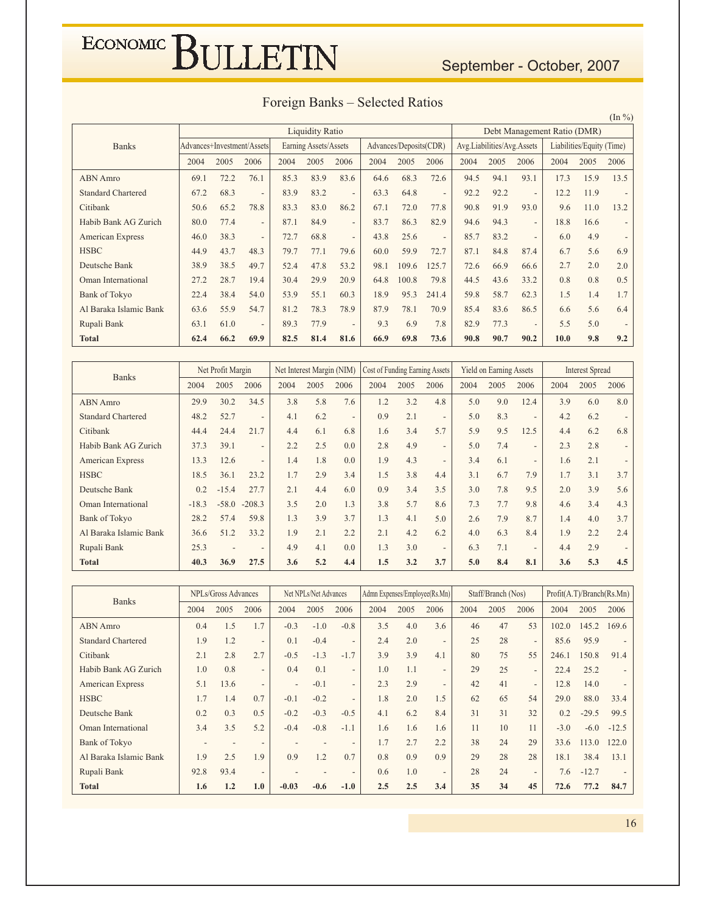#### September - October, 2007

|  |  | Foreign Banks – Selected Ratios |  |
|--|--|---------------------------------|--|
|--|--|---------------------------------|--|

 $(\ln \frac{9}{0})$ 

|                           |      | <b>Liquidity Ratio</b> |                            |      |                       |                          |      |                        |                          | Debt Management Ratio (DMR) |                            |                          |      |                           |      |  |
|---------------------------|------|------------------------|----------------------------|------|-----------------------|--------------------------|------|------------------------|--------------------------|-----------------------------|----------------------------|--------------------------|------|---------------------------|------|--|
| <b>Banks</b>              |      |                        | Advances+Investment/Assets |      | Earning Assets/Assets |                          |      | Advances/Deposits(CDR) |                          |                             | Avg.Liabilities/Avg.Assets |                          |      | Liabilities/Equity (Time) |      |  |
|                           | 2004 | 2005                   | 2006                       | 2004 | 2005                  | 2006                     | 2004 | 2005                   | 2006                     | 2004                        | 2005                       | 2006                     | 2004 | 2005                      | 2006 |  |
| <b>ABN</b> Amro           | 69.1 | 72.2                   | 76.1                       | 85.3 | 83.9                  | 83.6                     | 64.6 | 68.3                   | 72.6                     | 94.5                        | 94.1                       | 93.1                     | 17.3 | 15.9                      | 13.5 |  |
| <b>Standard Chartered</b> | 67.2 | 68.3                   | $\overline{\phantom{a}}$   | 83.9 | 83.2                  | $\overline{\phantom{a}}$ | 63.3 | 64.8                   | $\overline{\phantom{a}}$ | 92.2                        | 92.2                       | $\overline{\phantom{a}}$ | 12.2 | 11.9                      |      |  |
| Citibank                  | 50.6 | 65.2                   | 78.8                       | 83.3 | 83.0                  | 86.2                     | 67.1 | 72.0                   | 77.8                     | 90.8                        | 91.9                       | 93.0                     | 9.6  | 11.0                      | 13.2 |  |
| Habib Bank AG Zurich      | 80.0 | 77.4                   | $\overline{\phantom{a}}$   | 87.1 | 84.9                  | $\overline{\phantom{a}}$ | 83.7 | 86.3                   | 82.9                     | 94.6                        | 94.3                       | $\overline{\phantom{a}}$ | 18.8 | 16.6                      |      |  |
| <b>American Express</b>   | 46.0 | 38.3                   | $\overline{\phantom{a}}$   | 72.7 | 68.8                  | $\overline{\phantom{a}}$ | 43.8 | 25.6                   | $\overline{\phantom{a}}$ | 85.7                        | 83.2                       | $\overline{\phantom{a}}$ | 6.0  | 4.9                       |      |  |
| <b>HSBC</b>               | 44.9 | 43.7                   | 48.3                       | 79.7 | 77.1                  | 79.6                     | 60.0 | 59.9                   | 72.7                     | 87.1                        | 84.8                       | 87.4                     | 6.7  | 5.6                       | 6.9  |  |
| Deutsche Bank             | 38.9 | 38.5                   | 49.7                       | 52.4 | 47.8                  | 53.2                     | 98.1 | 109.6                  | 125.7                    | 72.6                        | 66.9                       | 66.6                     | 2.7  | 2.0                       | 2.0  |  |
| Oman International        | 27.2 | 28.7                   | 19.4                       | 30.4 | 29.9                  | 20.9                     | 64.8 | 100.8                  | 79.8                     | 44.5                        | 43.6                       | 33.2                     | 0.8  | 0.8                       | 0.5  |  |
| <b>Bank of Tokyo</b>      | 22.4 | 38.4                   | 54.0                       | 53.9 | 55.1                  | 60.3                     | 18.9 | 95.3                   | 241.4                    | 59.8                        | 58.7                       | 62.3                     | 1.5  | 1.4                       | 1.7  |  |
| Al Baraka Islamic Bank    | 63.6 | 55.9                   | 54.7                       | 81.2 | 78.3                  | 78.9                     | 87.9 | 78.1                   | 70.9                     | 85.4                        | 83.6                       | 86.5                     | 6.6  | 5.6                       | 6.4  |  |
| Rupali Bank               | 63.1 | 61.0                   | $\overline{\phantom{a}}$   | 89.3 | 77.9                  | $\overline{a}$           | 9.3  | 6.9                    | 7.8                      | 82.9                        | 77.3                       |                          | 5.5  | 5.0                       |      |  |
| <b>Total</b>              | 62.4 | 66.2                   | 69.9                       | 82.5 | 81.4                  | 81.6                     | 66.9 | 69.8                   | 73.6                     | 90.8                        | 90.7                       | 90.2                     | 10.0 | 9.8                       | 9.2  |  |

| <b>Banks</b>              |         | Net Profit Margin        |                              |      | Net Interest Margin (NIM) |                          | Cost of Funding Earning Assets |      |                          |      | <b>Yield on Earning Assets</b> |                          |      | <b>Interest Spread</b> |                          |
|---------------------------|---------|--------------------------|------------------------------|------|---------------------------|--------------------------|--------------------------------|------|--------------------------|------|--------------------------------|--------------------------|------|------------------------|--------------------------|
|                           | 2004    | 2005                     | 2006                         | 2004 | 2005                      | 2006                     | 2004                           | 2005 | 2006                     | 2004 | 2005                           | 2006                     | 2004 | 2005                   | 2006                     |
| <b>ABN</b> Amro           | 29.9    | 30.2                     | 34.5                         | 3.8  | 5.8                       | 7.6                      | 1.2                            | 3.2  | 4.8                      | 5.0  | 9.0                            | 12.4                     | 3.9  | 6.0                    | 8.0                      |
| <b>Standard Chartered</b> | 48.2    | 52.7                     | $\qquad \qquad \blacksquare$ | 4.1  | 6.2                       | $\overline{\phantom{a}}$ | 0.9                            | 2.1  | $\overline{\phantom{a}}$ | 5.0  | 8.3                            | $\overline{\phantom{a}}$ | 4.2  | 6.2                    |                          |
| Citibank                  | 44.4    | 24.4                     | 21.7                         | 4.4  | 6.1                       | 6.8                      | 1.6                            | 3.4  | 5.7                      | 5.9  | 9.5                            | 12.5                     | 4.4  | 6.2                    | 6.8                      |
| Habib Bank AG Zurich      | 37.3    | 39.1                     | $\overline{\phantom{0}}$     | 2.2  | 2.5                       | 0.0                      | 2.8                            | 4.9  | $\overline{\phantom{a}}$ | 5.0  | 7.4                            | $\overline{\phantom{a}}$ | 2.3  | 2.8                    | $\overline{\phantom{a}}$ |
| <b>American Express</b>   | 13.3    | 12.6                     | $\overline{\phantom{0}}$     | 1.4  | 1.8                       | 0.0                      | 1.9                            | 4.3  | $\overline{\phantom{a}}$ | 3.4  | 6.1                            | $\overline{\phantom{a}}$ | 1.6  | 2.1                    | $\overline{\phantom{a}}$ |
| <b>HSBC</b>               | 18.5    | 36.1                     | 23.2                         | 1.7  | 2.9                       | 3.4                      | 1.5                            | 3.8  | 4.4                      | 3.1  | 6.7                            | 7.9                      | 1.7  | 3.1                    | 3.7                      |
| Deutsche Bank             | 0.2     | $-15.4$                  | 27.7                         | 2.1  | 4.4                       | 6.0                      | 0.9                            | 3.4  | 3.5                      | 3.0  | 7.8                            | 9.5                      | 2.0  | 3.9                    | 5.6                      |
| Oman International        | $-18.3$ | $-58.0$                  | $-208.3$                     | 3.5  | 2.0                       | 1.3                      | 3.8                            | 5.7  | 8.6                      | 7.3  | 7.7                            | 9.8                      | 4.6  | 3.4                    | 4.3                      |
| <b>Bank of Tokyo</b>      | 28.2    | 57.4                     | 59.8                         | 1.3  | 3.9                       | 3.7                      | 1.3                            | 4.1  | 5.0                      | 2.6  | 7.9                            | 8.7                      | 1.4  | 4.0                    | 3.7                      |
| Al Baraka Islamic Bank    | 36.6    | 51.2                     | 33.2                         | 1.9  | 2.1                       | 2.2                      | 2.1                            | 4.2  | 6.2                      | 4.0  | 6.3                            | 8.4                      | 1.9  | 2.2                    | 2.4                      |
| Rupali Bank               | 25.3    | $\overline{\phantom{a}}$ | $\qquad \qquad$              | 4.9  | 4.1                       | 0.0                      | 1.3                            | 3.0  | $\overline{\phantom{a}}$ | 6.3  | 7.1                            | $\overline{\phantom{a}}$ | 4.4  | 2.9                    |                          |
| <b>Total</b>              | 40.3    | 36.9                     | 27.5                         | 3.6  | 5.2                       | 4.4                      | 1.5                            | 3.2  | 3.7                      | 5.0  | 8.4                            | 8.1                      | 3.6  | 5.3                    | 4.5                      |

| <b>Banks</b>              |      | NPLs/Gross Advances |                          |         | Net NPLs/Net Advances |                          | Admn Expenses/Employee(Rs.Mn) |      |                          |      | Staff/Branch (Nos) |                          | Profit(A.T)/Branch(Rs.Mn) |         |         |
|---------------------------|------|---------------------|--------------------------|---------|-----------------------|--------------------------|-------------------------------|------|--------------------------|------|--------------------|--------------------------|---------------------------|---------|---------|
|                           | 2004 | 2005                | 2006                     | 2004    | 2005                  | 2006                     | 2004                          | 2005 | 2006                     | 2004 | 2005               | 2006                     | 2004                      | 2005    | 2006    |
| <b>ABN</b> Amro           | 0.4  | 1.5                 | 1.7                      | $-0.3$  | $-1.0$                | $-0.8$                   | 3.5                           | 4.0  | 3.6                      | 46   | 47                 | 53                       | 102.0                     | 145.2   | 169.6   |
| <b>Standard Chartered</b> | 1.9  | 1.2                 | $\overline{\phantom{0}}$ | 0.1     | $-0.4$                | $\overline{\phantom{0}}$ | 2.4                           | 2.0  | $\overline{\phantom{a}}$ | 25   | 28                 | $\overline{\phantom{a}}$ | 85.6                      | 95.9    |         |
| Citibank                  | 2.1  | 2.8                 | 2.7                      | $-0.5$  | $-1.3$                | $-1.7$                   | 3.9                           | 3.9  | 4.1                      | 80   | 75                 | 55                       | 246.1                     | 150.8   | 91.4    |
| Habib Bank AG Zurich      | 1.0  | 0.8                 | $\overline{\phantom{0}}$ | 0.4     | 0.1                   | $\overline{\phantom{0}}$ | 1.0                           | 1.1  | $\overline{\phantom{a}}$ | 29   | 25                 | $\overline{\phantom{a}}$ | 22.4                      | 25.2    |         |
| <b>American Express</b>   | 5.1  | 13.6                | $\overline{\phantom{0}}$ |         | $-0.1$                | $\overline{a}$           | 2.3                           | 2.9  | $\overline{\phantom{a}}$ | 42   | 41                 | $\overline{\phantom{a}}$ | 12.8                      | 14.0    |         |
| <b>HSBC</b>               | 1.7  | 1.4                 | 0.7                      | $-0.1$  | $-0.2$                | $\overline{a}$           | 1.8                           | 2.0  | 1.5                      | 62   | 65                 | 54                       | 29.0                      | 88.0    | 33.4    |
| Deutsche Bank             | 0.2  | 0.3                 | 0.5                      | $-0.2$  | $-0.3$                | $-0.5$                   | 4.1                           | 6.2  | 8.4                      | 31   | 31                 | 32                       | 0.2                       | $-29.5$ | 99.5    |
| Oman International        | 3.4  | 3.5                 | 5.2                      | $-0.4$  | $-0.8$                | $-1.1$                   | 1.6                           | 1.6  | 1.6                      | 11   | 10                 | 11                       | $-3.0$                    | $-6.0$  | $-12.5$ |
| Bank of Tokyo             |      |                     | $\qquad \qquad -$        |         |                       | $\overline{\phantom{0}}$ | 1.7                           | 2.7  | 2.2                      | 38   | 24                 | 29                       | 33.6                      | 113.0   | 122.0   |
| Al Baraka Islamic Bank    | 1.9  | 2.5                 | 1.9                      | 0.9     | 1.2                   | 0.7                      | 0.8                           | 0.9  | 0.9                      | 29   | 28                 | 28                       | 18.1                      | 38.4    | 13.1    |
| Rupali Bank               | 92.8 | 93.4                | $\overline{\phantom{0}}$ |         |                       | $\overline{\phantom{0}}$ | 0.6                           | 1.0  | $\overline{\phantom{a}}$ | 28   | 24                 | $\overline{\phantom{a}}$ | 7.6                       | $-12.7$ |         |
| <b>Total</b>              | 1.6  | 1.2                 | 1.0                      | $-0.03$ | $-0.6$                | $-1.0$                   | 2.5                           | 2.5  | 3.4                      | 35   | 34                 | 45                       | 72.6                      | 77.2    | 84.7    |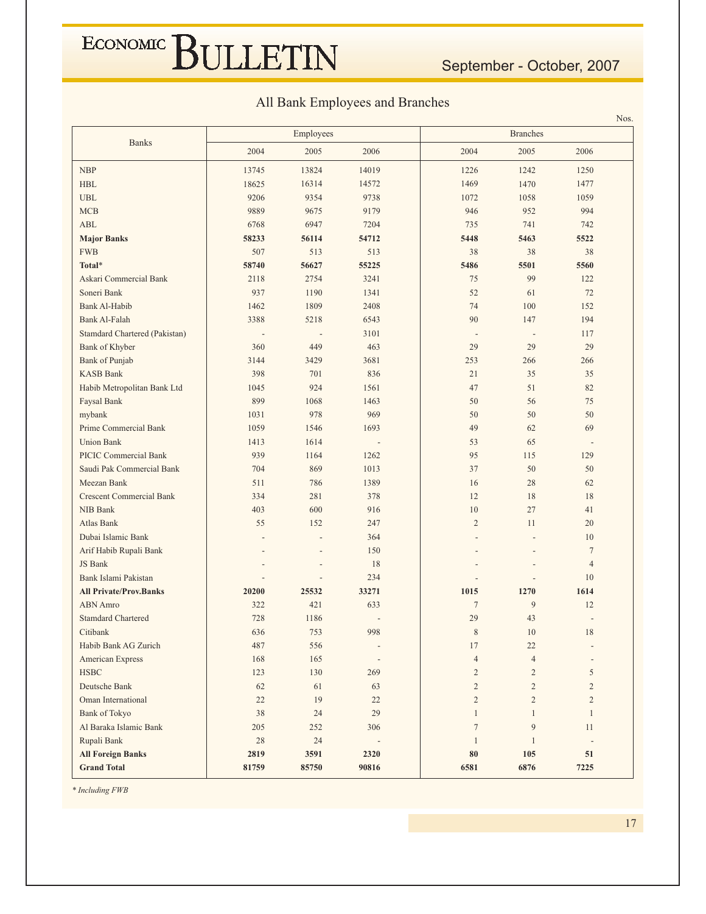#### All Bank Employees and Branches

|                                 |         | Employees      |                          |                          | <b>Branches</b> |                          | NOS. |
|---------------------------------|---------|----------------|--------------------------|--------------------------|-----------------|--------------------------|------|
| <b>Banks</b>                    | 2004    | 2005           | 2006                     | 2004                     | 2005            | 2006                     |      |
| <b>NBP</b>                      | 13745   | 13824          | 14019                    | 1226                     | 1242            | 1250                     |      |
| <b>HBL</b>                      | 18625   | 16314          | 14572                    | 1469                     | 1470            | 1477                     |      |
| <b>UBL</b>                      | 9206    | 9354           | 9738                     | 1072                     | 1058            | 1059                     |      |
| <b>MCB</b>                      | 9889    | 9675           | 9179                     | 946                      | 952             | 994                      |      |
| ABL                             | 6768    | 6947           | 7204                     | 735                      | 741             | 742                      |      |
| <b>Major Banks</b>              | 58233   | 56114          | 54712                    | 5448                     | 5463            | 5522                     |      |
| <b>FWB</b>                      | 507     | 513            | 513                      | 38                       | 38              | 38                       |      |
| Total*                          | 58740   | 56627          | 55225                    | 5486                     | 5501            | 5560                     |      |
| Askari Commercial Bank          | 2118    | 2754           | 3241                     | 75                       | 99              | 122                      |      |
| Soneri Bank                     | 937     | 1190           | 1341                     | 52                       | 61              | 72                       |      |
| Bank Al-Habib                   | 1462    | 1809           | 2408                     | 74                       | 100             | 152                      |      |
| Bank Al-Falah                   | 3388    | 5218           | 6543                     | 90                       | 147             | 194                      |      |
| Stamdard Chartered (Pakistan)   |         |                | 3101                     | $\overline{\phantom{a}}$ | $\overline{a}$  | 117                      |      |
| Bank of Khyber                  | 360     | 449            | 463                      | 29                       | 29              | 29                       |      |
| Bank of Punjab                  | 3144    | 3429           | 3681                     | 253                      | 266             | 266                      |      |
| <b>KASB Bank</b>                | 398     | 701            | 836                      | 21                       | 35              | 35                       |      |
| Habib Metropolitan Bank Ltd     | 1045    | 924            | 1561                     | 47                       | 51              | 82                       |      |
| Faysal Bank                     | 899     | 1068           | 1463                     | 50                       | 56              | 75                       |      |
| mybank                          | 1031    | 978            | 969                      | 50                       | 50              | 50                       |      |
| Prime Commercial Bank           | 1059    | 1546           | 1693                     | 49                       | 62              | 69                       |      |
| <b>Union Bank</b>               | 1413    | 1614           |                          | 53                       | 65              |                          |      |
| <b>PICIC Commercial Bank</b>    | 939     | 1164           | 1262                     | 95                       | 115             | 129                      |      |
| Saudi Pak Commercial Bank       | 704     | 869            | 1013                     | 37                       | 50              | 50                       |      |
| Meezan Bank                     | 511     | 786            | 1389                     | 16                       | 28              | 62                       |      |
| <b>Crescent Commercial Bank</b> | 334     | 281            | 378                      | 12                       | 18              | 18                       |      |
| NIB Bank                        | 403     | 600            | 916                      | 10                       | 27              | 41                       |      |
| Atlas Bank                      | 55      | 152            | 247                      | $\overline{2}$           | 11              | 20                       |      |
| Dubai Islamic Bank              |         |                | 364                      |                          |                 | 10                       |      |
| Arif Habib Rupali Bank          |         |                | 150                      |                          |                 | $7\phantom{.0}$          |      |
| JS Bank                         |         | $\overline{a}$ | 18                       |                          |                 | $\overline{4}$           |      |
| Bank Islami Pakistan            |         | $\overline{a}$ | 234                      |                          |                 | 10                       |      |
| <b>All Private/Prov.Banks</b>   | 20200   | 25532          | 33271                    | 1015                     | 1270            | 1614                     |      |
| <b>ABN</b> Amro                 | 322     | 421            | 633                      | $\overline{7}$           | 9               | 12                       |      |
| <b>Stamdard Chartered</b>       | 728     | 1186           |                          | 29                       | 43              |                          |      |
| Citibank                        | 636     | 753            | 998                      | 8                        | 10              | 18                       |      |
| Habib Bank AG Zurich            | 487     | 556            |                          | 17                       | $22\,$          |                          |      |
| American Express                | 168     | 165            |                          | $\overline{4}$           | $\overline{4}$  | $\overline{\phantom{a}}$ |      |
| <b>HSBC</b>                     | 123     | 130            | 269                      | $\overline{c}$           | $\overline{2}$  | 5                        |      |
| Deutsche Bank                   | 62      | 61             | 63                       | $\overline{2}$           | $\overline{2}$  | $\overline{2}$           |      |
| Oman International              | 22      | 19             | 22                       | $\overline{c}$           | $\overline{2}$  | $\overline{2}$           |      |
| <b>Bank of Tokyo</b>            | 38      | 24             | 29                       | $\mathbf{1}$             | $\mathbf{1}$    | $\mathbf{1}$             |      |
| Al Baraka Islamic Bank          | $205\,$ | 252            | 306                      | $\boldsymbol{7}$         | $\overline{9}$  | 11                       |      |
| Rupali Bank                     | $28\,$  | $24\,$         | $\overline{\phantom{a}}$ | $\mathbf{1}$             | $\mathbf{1}$    | $\overline{\phantom{a}}$ |      |
| <b>All Foreign Banks</b>        | 2819    | 3591           | 2320                     | 80                       | 105             | 51                       |      |
| <b>Grand Total</b>              | 81759   | 85750          | 90816                    | 6581                     | 6876            | 7225                     |      |

\* Including FWB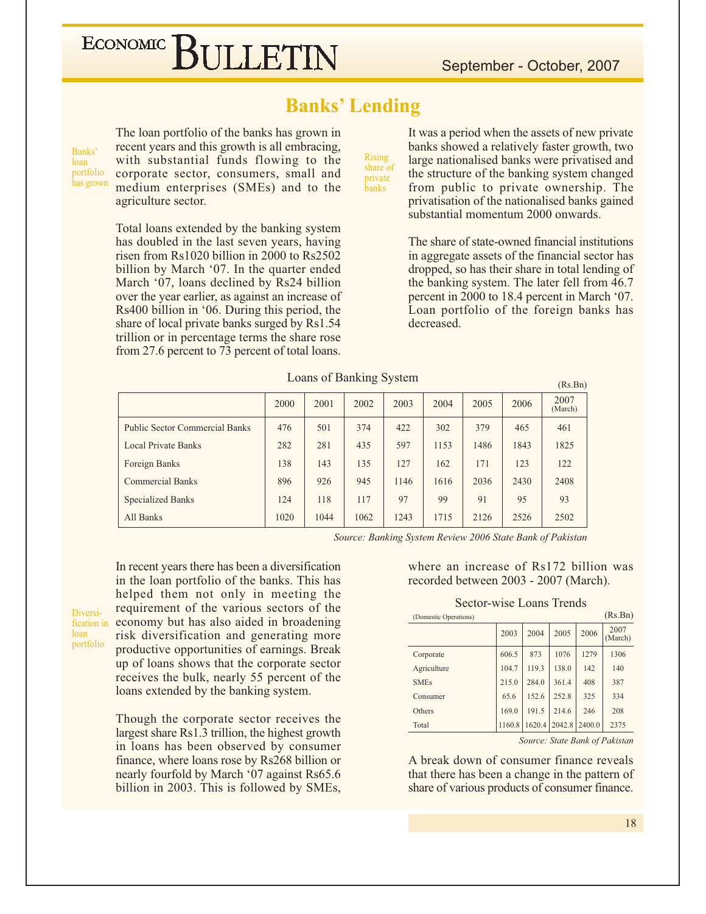#### **Banks' Lending**

Banks' loan portfolio has grown The loan portfolio of the banks has grown in recent years and this growth is all embracing, with substantial funds flowing to the corporate sector, consumers, small and medium enterprises (SMEs) and to the agriculture sector.

Total loans extended by the banking system has doubled in the last seven years, having risen from  $Rs1020$  billion in 2000 to  $Rs2502$ billion by March '07. In the quarter ended March '07, loans declined by Rs24 billion over the year earlier, as against an increase of Rs400 billion in '06. During this period, the share of local private banks surged by Rs1.54 trillion or in percentage terms the share rose from 27.6 percent to 73 percent of total loans.

**Rising** share of private .<br>banks

It was a period when the assets of new private banks showed a relatively faster growth, two large nationalised banks were privatised and the structure of the banking system changed from public to private ownership. The privatisation of the nationalised banks gained substantial momentum 2000 onwards.

The share of state-owned financial institutions in aggregate assets of the financial sector has dropped, so has their share in total lending of the banking system. The later fell from 46.7 percent in 2000 to 18.4 percent in March '07. Loan portfolio of the foreign banks has decreased.

 $(Rs Rn)$ 

| Loans of Banking System |  |  |  |
|-------------------------|--|--|--|
|-------------------------|--|--|--|

|                                       |      |      |      |      |      |      |      | $1 - 100 - 100 - 100$ |
|---------------------------------------|------|------|------|------|------|------|------|-----------------------|
|                                       | 2000 | 2001 | 2002 | 2003 | 2004 | 2005 | 2006 | 2007<br>(March)       |
| <b>Public Sector Commercial Banks</b> | 476  | 501  | 374  | 422  | 302  | 379  | 465  | 461                   |
| <b>Local Private Banks</b>            | 282  | 281  | 435  | 597  | 1153 | 1486 | 1843 | 1825                  |
| Foreign Banks                         | 138  | 143  | 135  | 127  | 162  | 171  | 123  | 122                   |
| <b>Commercial Banks</b>               | 896  | 926  | 945  | 1146 | 1616 | 2036 | 2430 | 2408                  |
| <b>Specialized Banks</b>              | 124  | 118  | 117  | 97   | 99   | 91   | 95   | 93                    |
| All Banks                             | 1020 | 1044 | 1062 | 1243 | 1715 | 2126 | 2526 | 2502                  |

Source: Banking System Review 2006 State Bank of Pakistan

In recent years there has been a diversification in the loan portfolio of the banks. This has helped them not only in meeting the requirement of the various sectors of the Diversification in economy but has also aided in broadening risk diversification and generating more portfolio productive opportunities of earnings. Break up of loans shows that the corporate sector receives the bulk, nearly 55 percent of the

loan

loans extended by the banking system. Though the corporate sector receives the largest share Rs1.3 trillion, the highest growth in loans has been observed by consumer finance, where loans rose by Rs268 billion or nearly fourfold by March '07 against Rs65.6

billion in 2003. This is followed by SMEs,

where an increase of Rs172 billion was recorded between 2003 - 2007 (March).

#### Sector-wise Loans Trends

| (Domestic Operations) |        |        |        |        | (Rs.Bn)         |
|-----------------------|--------|--------|--------|--------|-----------------|
|                       | 2003   | 2004   | 2005   | 2006   | 2007<br>(March) |
| Corporate             | 606.5  | 873    | 1076   | 1279   | 1306            |
| Agriculture           | 104.7  | 119.3  | 138.0  | 142    | 140             |
| <b>SMEs</b>           | 215.0  | 284.0  | 361.4  | 408    | 387             |
| Consumer              | 65.6   | 152.6  | 252.8  | 325    | 334             |
| Others                | 169.0  | 191.5  | 214.6  | 246    | 208             |
| Total                 | 1160.8 | 1620.4 | 2042.8 | 2400.0 | 2375            |

Source: State Bank of Pakistan

A break down of consumer finance reveals that there has been a change in the pattern of share of various products of consumer finance.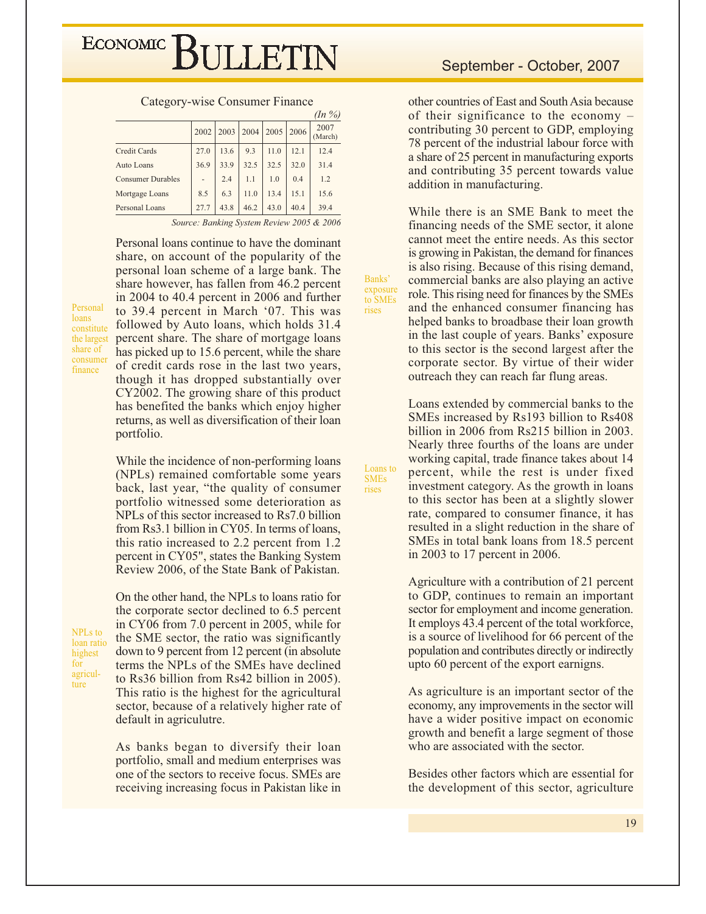|                          |      |               |      |           |      | (11/70)         |
|--------------------------|------|---------------|------|-----------|------|-----------------|
|                          |      | $2002$   2003 | 2004 | 2005 2006 |      | 2007<br>(March) |
| Credit Cards             | 27.0 | 13.6          | 9.3  | 11.0      | 12.1 | 12.4            |
| Auto Loans               | 36.9 | 33.9          | 32.5 | 32.5      | 32.0 | 31.4            |
| <b>Consumer Durables</b> |      | 2.4           | 1.1  | 1.0       | 0.4  | 1.2             |
| Mortgage Loans           | 8.5  | 6.3           | 11.0 | 13.4      | 15.1 | 15.6            |
| Personal Loans           | 27.7 | 43.8          | 46.2 | 43.0      | 40.4 | 39.4            |
|                          |      |               |      |           |      |                 |

Category-wise Consumer Finance  $(L_2, 0)$ 

Source: Banking System Review 2005 & 2006

Banks'

exposure

to SME<sub>s</sub>

Loans to

**SMEs** 

rises

rises

Personal loans continue to have the dominant share, on account of the popularity of the personal loan scheme of a large bank. The share however, has fallen from 46.2 percent in 2004 to 40.4 percent in 2006 and further to 39.4 percent in March '07. This was followed by Auto loans, which holds 31.4 percent share. The share of mortgage loans has picked up to 15.6 percent, while the share of credit cards rose in the last two years, though it has dropped substantially over CY2002. The growing share of this product has benefited the banks which enjoy higher returns, as well as diversification of their loan portfolio.

While the incidence of non-performing loans (NPLs) remained comfortable some years back, last year, "the quality of consumer portfolio witnessed some deterioration as NPLs of this sector increased to Rs7.0 billion from Rs3.1 billion in CY05. In terms of loans, this ratio increased to 2.2 percent from 1.2 percent in CY05", states the Banking System Review 2006, of the State Bank of Pakistan.

**NPLs** to loan ratio highest for agriculture

Personal

constitute

the largest

share of

consumer

finance

loans

On the other hand, the NPLs to loans ratio for the corporate sector declined to 6.5 percent in CY06 from 7.0 percent in 2005, while for the SME sector, the ratio was significantly down to 9 percent from 12 percent (in absolute) terms the NPLs of the SMEs have declined to Rs36 billion from Rs42 billion in 2005). This ratio is the highest for the agricultural sector, because of a relatively higher rate of default in agriculutre.

As banks began to diversify their loan portfolio, small and medium enterprises was one of the sectors to receive focus. SMEs are receiving increasing focus in Pakistan like in

other countries of East and South Asia because of their significance to the economy  $$ contributing 30 percent to GDP, employing 78 percent of the industrial labour force with a share of 25 percent in manufacturing exports and contributing 35 percent towards value addition in manufacturing.

While there is an SME Bank to meet the financing needs of the SME sector, it alone cannot meet the entire needs. As this sector is growing in Pakistan, the demand for finances is also rising. Because of this rising demand, commercial banks are also playing an active role. This rising need for finances by the SMEs and the enhanced consumer financing has helped banks to broadbase their loan growth in the last couple of years. Banks' exposure to this sector is the second largest after the corporate sector. By virtue of their wider outreach they can reach far flung areas.

Loans extended by commercial banks to the SMEs increased by Rs193 billion to Rs408 billion in 2006 from Rs215 billion in 2003. Nearly three fourths of the loans are under working capital, trade finance takes about 14 percent, while the rest is under fixed investment category. As the growth in loans to this sector has been at a slightly slower rate, compared to consumer finance, it has resulted in a slight reduction in the share of SMEs in total bank loans from 18.5 percent in 2003 to 17 percent in 2006.

Agriculture with a contribution of 21 percent to GDP, continues to remain an important sector for employment and income generation. It employs 43.4 percent of the total workforce, is a source of livelihood for 66 percent of the population and contributes directly or indirectly upto 60 percent of the export earnigns.

As agriculture is an important sector of the economy, any improvements in the sector will have a wider positive impact on economic growth and benefit a large segment of those who are associated with the sector.

Besides other factors which are essential for the development of this sector, agriculture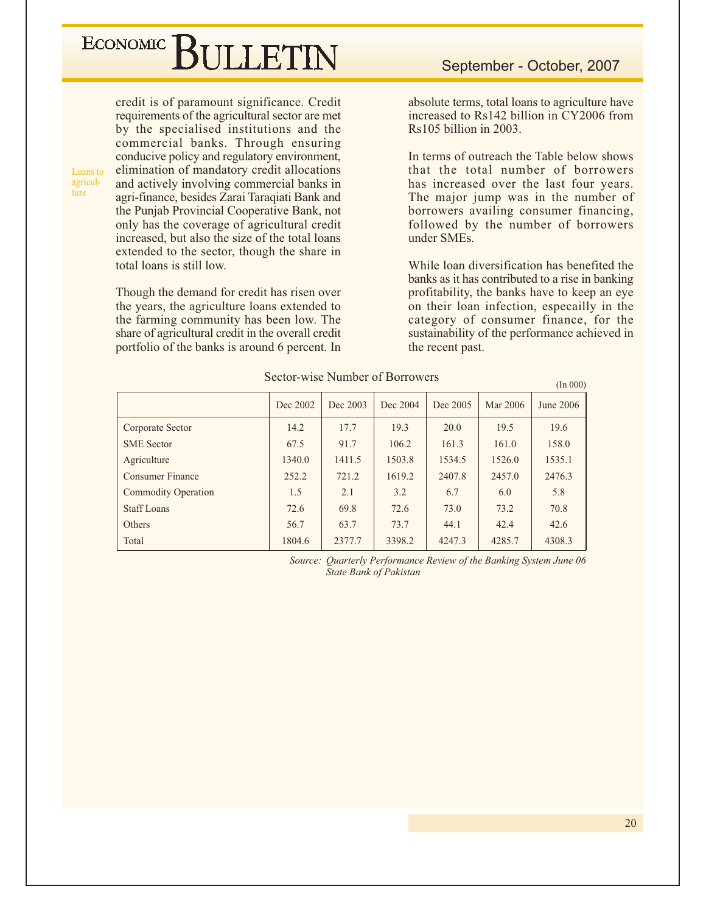## ECONOMIC BIJLETIN

Loans to agricul-

ture

credit is of paramount significance. Credit requirements of the agricultural sector are met by the specialised institutions and the commercial banks. Through ensuring conducive policy and regulatory environment, elimination of mandatory credit allocations and actively involving commercial banks in agri-finance, besides Zarai Taraqiati Bank and the Punjab Provincial Cooperative Bank, not only has the coverage of agricultural credit increased, but also the size of the total loans extended to the sector, though the share in total loans is still low.

Though the demand for credit has risen over the years, the agriculture loans extended to the farming community has been low. The share of agricultural credit in the overall credit portfolio of the banks is around 6 percent. In

absolute terms, total loans to agriculture have increased to Rs142 billion in CY2006 from  $Rs105$  billion in 2003.

In terms of outreach the Table below shows that the total number of borrowers has increased over the last four years. The major jump was in the number of borrowers availing consumer financing, followed by the number of borrowers under SMEs.

While loan diversification has benefited the banks as it has contributed to a rise in banking profitability, the banks have to keep an eye on their loan infection, especailly in the category of consumer finance, for the sustainability of the performance achieved in the recent past.

 $(In 000)$ 

|                            | Dec 2002 | Dec 2003 | Dec 2004 | Dec 2005 | Mar 2006 | June 2006 |
|----------------------------|----------|----------|----------|----------|----------|-----------|
| Corporate Sector           | 14.2     | 17.7     | 19.3     | 20.0     | 19.5     | 19.6      |
| <b>SME</b> Sector          | 67.5     | 91.7     | 106.2    | 161.3    | 161.0    | 158.0     |
| Agriculture                | 1340.0   | 1411.5   | 1503.8   | 1534.5   | 1526.0   | 1535.1    |
| Consumer Finance           | 252.2    | 721.2    | 1619.2   | 2407.8   | 2457.0   | 2476.3    |
| <b>Commodity Operation</b> | 1.5      | 2.1      | 3.2      | 6.7      | 6.0      | 5.8       |
| <b>Staff Loans</b>         | 72.6     | 69.8     | 72.6     | 73.0     | 73.2     | 70.8      |
| Others                     | 56.7     | 63.7     | 73.7     | 44.1     | 42.4     | 42.6      |
| Total                      | 1804.6   | 2377.7   | 3398.2   | 4247.3   | 4285.7   | 4308.3    |

Sector-wise Number of Borrowers

Source: Ouarterly Performance Review of the Banking System June 06 State Bank of Pakistan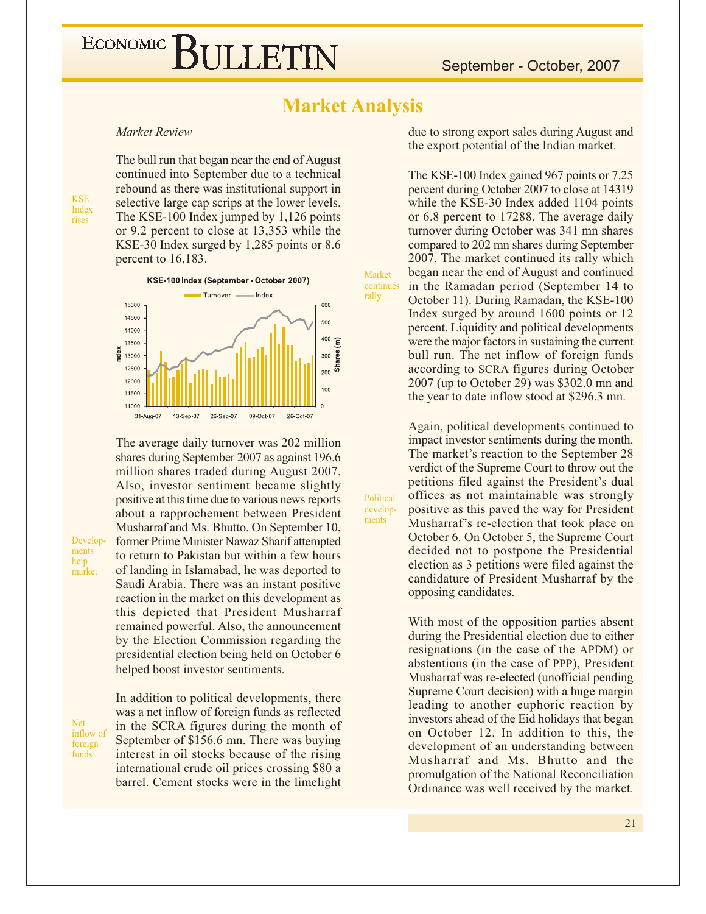#### **Market Analysis**

Market

Political

develop-

 $\mathop{\rm \bf ments}\nolimits$ 

rally

Market Review

**KSE** 

Index

rises

The bull run that began near the end of August continued into September due to a technical rebound as there was institutional support in selective large cap scrips at the lower levels. The KSE-100 Index jumped by 1,126 points or 9.2 percent to close at 13,353 while the KSE-30 Index surged by 1,285 points or 8.6 percent to 16,183.



The average daily turnover was 202 million shares during September 2007 as against 196.6 million shares traded during August 2007. Also, investor sentiment became slightly positive at this time due to various news reports about a rapprochement between President Musharraf and Ms. Bhutto. On September 10, former Prime Minister Nawaz Sharif attempted to return to Pakistan but within a few hours of landing in Islamabad, he was deported to Saudi Arabia. There was an instant positive reaction in the market on this development as this depicted that President Musharraf remained powerful. Also, the announcement by the Election Commission regarding the presidential election being held on October 6 helped boost investor sentiments.

Net inflow of foreign funds

Develop-

ments

market

help

In addition to political developments, there was a net inflow of foreign funds as reflected in the SCRA figures during the month of September of \$156.6 mn. There was buying interest in oil stocks because of the rising international crude oil prices crossing \$80 a barrel. Cement stocks were in the limelight due to strong export sales during August and the export potential of the Indian market.

The KSE-100 Index gained 967 points or 7.25 percent during October 2007 to close at 14319 while the KSE-30 Index added 1104 points or 6.8 percent to 17288. The average daily turnover during October was 341 mn shares compared to 202 mn shares during September 2007. The market continued its rally which began near the end of August and continued in the Ramadan period (September 14 to continues October 11). During Ramadan, the KSE-100 Index surged by around 1600 points or 12 percent. Liquidity and political developments were the major factors in sustaining the current bull run. The net inflow of foreign funds according to SCRA figures during October 2007 (up to October 29) was \$302.0 mn and the year to date inflow stood at \$296.3 mn.

> Again, political developments continued to impact investor sentiments during the month. The market's reaction to the September 28 verdict of the Supreme Court to throw out the petitions filed against the President's dual offices as not maintainable was strongly positive as this paved the way for President Musharraf's re-election that took place on October 6. On October 5, the Supreme Court decided not to postpone the Presidential election as 3 petitions were filed against the candidature of President Musharraf by the opposing candidates.

> With most of the opposition parties absent during the Presidential election due to either resignations (in the case of the APDM) or abstentions (in the case of PPP), President Musharraf was re-elected (unofficial pending Supreme Court decision) with a huge margin leading to another euphoric reaction by investors ahead of the Eid holidays that began on October 12. In addition to this, the development of an understanding between Musharraf and Ms. Bhutto and the promulgation of the National Reconciliation Ordinance was well received by the market.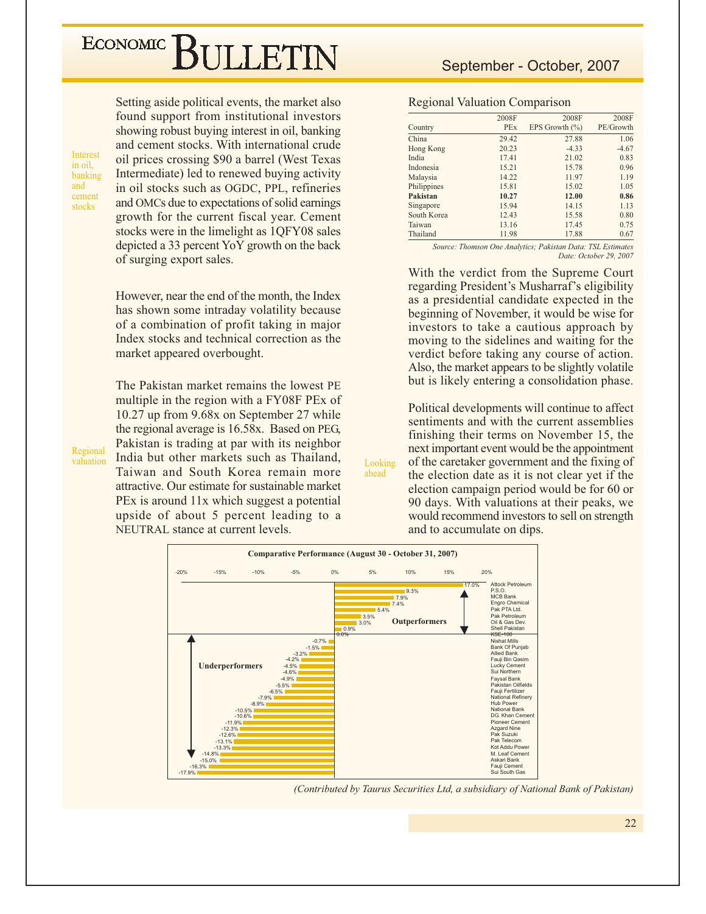Setting aside political events, the market also found support from institutional investors showing robust buying interest in oil, banking and cement stocks. With international crude oil prices crossing \$90 a barrel (West Texas) Intermediate) led to renewed buying activity in oil stocks such as OGDC, PPL, refineries and OMCs due to expectations of solid earnings growth for the current fiscal year. Cement stocks were in the limelight as 1QFY08 sales depicted a 33 percent YoY growth on the back of surging export sales.

However, near the end of the month, the Index has shown some intraday volatility because of a combination of profit taking in major Index stocks and technical correction as the market appeared overbought.

The Pakistan market remains the lowest PE multiple in the region with a FY08F PEx of 10.27 up from 9.68x on September 27 while the regional average is 16.58x. Based on PEG, Pakistan is trading at par with its neighbor India but other markets such as Thailand. Taiwan and South Korea remain more attractive. Our estimate for sustainable market PEx is around 11x which suggest a potential upside of about 5 percent leading to a NEUTRAL stance at current levels.

#### September - October, 2007

#### **Regional Valuation Comparison**

|             | 2008F | 2008F              | 2008F     |
|-------------|-------|--------------------|-----------|
| Country     | PEx   | EPS Growth $(\% )$ | PE/Growth |
| China       | 29.42 | 27.88              | 1.06      |
| Hong Kong   | 20.23 | $-4.33$            | $-4.67$   |
| India       | 17.41 | 21.02              | 0.83      |
| Indonesia   | 15.21 | 15.78              | 0.96      |
| Malaysia    | 14.22 | 11.97              | 1.19      |
| Philippines | 15.81 | 15.02              | 1.05      |
| Pakistan    | 10.27 | 12.00              | 0.86      |
| Singapore   | 15.94 | 14.15              | 1.13      |
| South Korea | 12.43 | 15.58              | 0.80      |
| Taiwan      | 13.16 | 17.45              | 0.75      |
| Thailand    | 11.98 | 17.88              | 0.67      |

Source: Thomson One Analytics; Pakistan Data: TSL Estimates Date: October 29, 2007

With the verdict from the Supreme Court regarding President's Musharraf's eligibility as a presidential candidate expected in the beginning of November, it would be wise for investors to take a cautious approach by moving to the sidelines and waiting for the verdict before taking any course of action. Also, the market appears to be slightly volatile but is likely entering a consolidation phase.

Political developments will continue to affect sentiments and with the current assemblies finishing their terms on November 15, the next important event would be the appointment of the caretaker government and the fixing of the election date as it is not clear yet if the election campaign period would be for 60 or 90 days. With valuations at their peaks, we would recommend investors to sell on strength

and to accumulate on dips.



Looking

ahead

(Contributed by Taurus Securities Ltd, a subsidiary of National Bank of Pakistan)

Regional valuation

Interest

banking and

cement

stocks

in oil.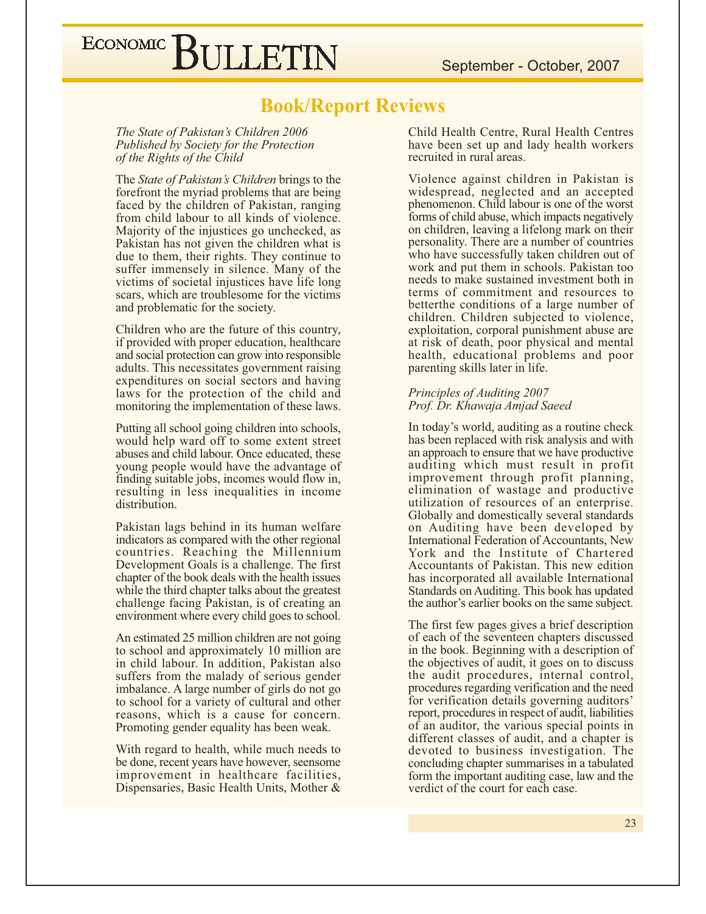September - October, 2007

### ECONOMIC BULLETIN

#### **Book/Report Reviews**

The State of Pakistan's Children 2006 Published by Society for the Protection of the Rights of the Child

The State of Pakistan's Children brings to the forefront the myriad problems that are being faced by the children of Pakistan, ranging from child labour to all kinds of violence. Majority of the injustices go unchecked, as Pakistan has not given the children what is due to them, their rights. They continue to suffer immensely in silence. Many of the victims of societal injustices have life long scars, which are troublesome for the victims and problematic for the society.

Children who are the future of this country, if provided with proper education, healthcare and social protection can grow into responsible adults. This necessitates government raising expenditures on social sectors and having laws for the protection of the child and monitoring the implementation of these laws.

Putting all school going children into schools, would help ward off to some extent street abuses and child labour. Once educated, these young people would have the advantage of finding suitable jobs, incomes would flow in, resulting in less inequalities in income distribution.

Pakistan lags behind in its human welfare indicators as compared with the other regional countries. Reaching the Millennium Development Goals is a challenge. The first chapter of the book deals with the health issues while the third chapter talks about the greatest challenge facing Pakistan, is of creating an environment where every child goes to school.

An estimated 25 million children are not going to school and approximately 10 million are in child labour. In addition, Pakistan also suffers from the malady of serious gender imbalance. A large number of girls do not go to school for a variety of cultural and other reasons, which is a cause for concern. Promoting gender equality has been weak.

With regard to health, while much needs to be done, recent years have however, seensome improvement in healthcare facilities, Dispensaries, Basic Health Units, Mother & Child Health Centre, Rural Health Centres have been set up and lady health workers recruited in rural areas.

Violence against children in Pakistan is widespread, neglected and an accepted phenomenon. Child labour is one of the worst forms of child abuse, which impacts negatively on children, leaving a lifelong mark on their personality. There are a number of countries who have successfully taken children out of work and put them in schools. Pakistan too needs to make sustained investment both in terms of commitment and resources to betterthe conditions of a large number of children. Children subjected to violence, exploitation, corporal punishment abuse are at risk of death, poor physical and mental health, educational problems and poor parenting skills later in life.

#### Principles of Auditing 2007 Prof. Dr. Khawaja Amjad Saeed

In today's world, auditing as a routine check has been replaced with risk analysis and with an approach to ensure that we have productive auditing which must result in profit improvement through profit planning, elimination of wastage and productive utilization of resources of an enterprise. Globally and domestically several standards on Auditing have been developed by International Federation of Accountants, New York and the Institute of Chartered Accountants of Pakistan. This new edition has incorporated all available International Standards on Auditing. This book has updated the author's earlier books on the same subject.

The first few pages gives a brief description of each of the seventeen chapters discussed in the book. Beginning with a description of the objectives of audit, it goes on to discuss the audit procedures, internal control, procedures regarding verification and the need for verification details governing auditors' report, procedures in respect of audit, liabilities of an auditor, the various special points in different classes of audit, and a chapter is devoted to business investigation. The concluding chapter summarises in a tabulated form the important auditing case, law and the verdict of the court for each case.